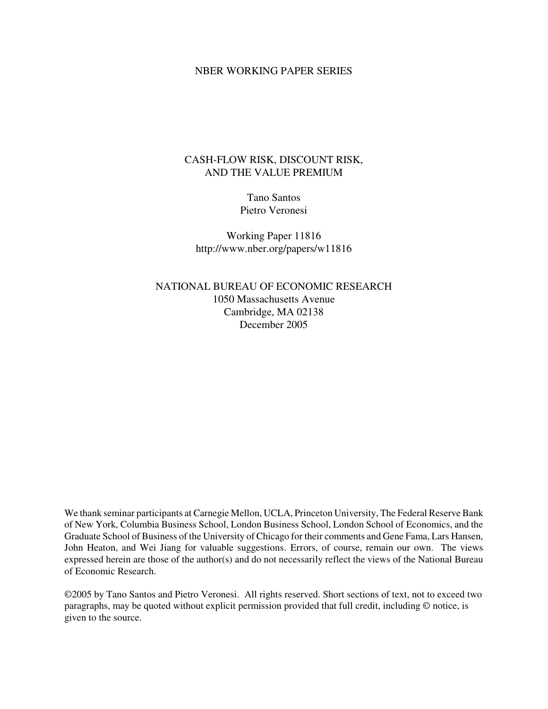# NBER WORKING PAPER SERIES

# CASH-FLOW RISK, DISCOUNT RISK, AND THE VALUE PREMIUM

Tano Santos Pietro Veronesi

Working Paper 11816 http://www.nber.org/papers/w11816

NATIONAL BUREAU OF ECONOMIC RESEARCH 1050 Massachusetts Avenue Cambridge, MA 02138 December 2005

We thank seminar participants at Carnegie Mellon, UCLA, Princeton University, The Federal Reserve Bank of New York, Columbia Business School, London Business School, London School of Economics, and the Graduate School of Business of the University of Chicago for their comments and Gene Fama, Lars Hansen, John Heaton, and Wei Jiang for valuable suggestions. Errors, of course, remain our own. The views expressed herein are those of the author(s) and do not necessarily reflect the views of the National Bureau of Economic Research.

©2005 by Tano Santos and Pietro Veronesi. All rights reserved. Short sections of text, not to exceed two paragraphs, may be quoted without explicit permission provided that full credit, including © notice, is given to the source.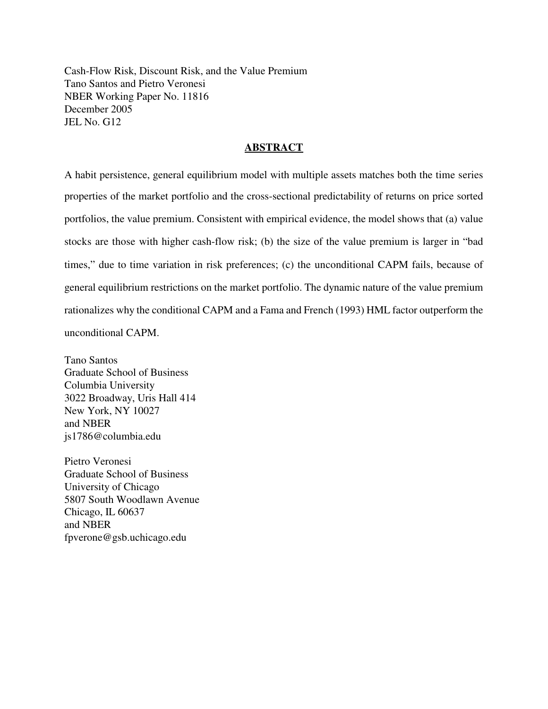Cash-Flow Risk, Discount Risk, and the Value Premium Tano Santos and Pietro Veronesi NBER Working Paper No. 11816 December 2005 JEL No. G12

# **ABSTRACT**

A habit persistence, general equilibrium model with multiple assets matches both the time series properties of the market portfolio and the cross-sectional predictability of returns on price sorted portfolios, the value premium. Consistent with empirical evidence, the model shows that (a) value stocks are those with higher cash-flow risk; (b) the size of the value premium is larger in "bad times," due to time variation in risk preferences; (c) the unconditional CAPM fails, because of general equilibrium restrictions on the market portfolio. The dynamic nature of the value premium rationalizes why the conditional CAPM and a Fama and French (1993) HML factor outperform the unconditional CAPM.

Tano Santos Graduate School of Business Columbia University 3022 Broadway, Uris Hall 414 New York, NY 10027 and NBER js1786@columbia.edu

Pietro Veronesi Graduate School of Business University of Chicago 5807 South Woodlawn Avenue Chicago, IL 60637 and NBER fpverone@gsb.uchicago.edu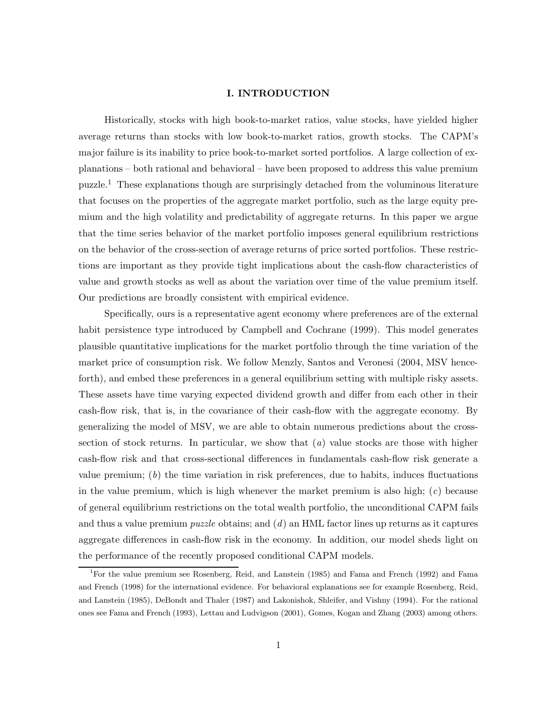# **I. INTRODUCTION**

Historically, stocks with high book-to-market ratios, value stocks, have yielded higher average returns than stocks with low book-to-market ratios, growth stocks. The CAPM's major failure is its inability to price book-to-market sorted portfolios. A large collection of explanations – both rational and behavioral – have been proposed to address this value premium puzzle.<sup>1</sup> These explanations though are surprisingly detached from the voluminous literature that focuses on the properties of the aggregate market portfolio, such as the large equity premium and the high volatility and predictability of aggregate returns. In this paper we argue that the time series behavior of the market portfolio imposes general equilibrium restrictions on the behavior of the cross-section of average returns of price sorted portfolios. These restrictions are important as they provide tight implications about the cash-flow characteristics of value and growth stocks as well as about the variation over time of the value premium itself. Our predictions are broadly consistent with empirical evidence.

Specifically, ours is a representative agent economy where preferences are of the external habit persistence type introduced by Campbell and Cochrane (1999). This model generates plausible quantitative implications for the market portfolio through the time variation of the market price of consumption risk. We follow Menzly, Santos and Veronesi (2004, MSV henceforth), and embed these preferences in a general equilibrium setting with multiple risky assets. These assets have time varying expected dividend growth and differ from each other in their cash-flow risk, that is, in the covariance of their cash-flow with the aggregate economy. By generalizing the model of MSV, we are able to obtain numerous predictions about the crosssection of stock returns. In particular, we show that (*a*) value stocks are those with higher cash-flow risk and that cross-sectional differences in fundamentals cash-flow risk generate a value premium;  $(b)$  the time variation in risk preferences, due to habits, induces fluctuations in the value premium, which is high whenever the market premium is also high; (*c*) because of general equilibrium restrictions on the total wealth portfolio, the unconditional CAPM fails and thus a value premium *puzzle* obtains; and (*d*) an HML factor lines up returns as it captures aggregate differences in cash-flow risk in the economy. In addition, our model sheds light on the performance of the recently proposed conditional CAPM models.

<sup>1</sup>For the value premium see Rosenberg, Reid, and Lanstein (1985) and Fama and French (1992) and Fama and French (1998) for the international evidence. For behavioral explanations see for example Rosenberg, Reid, and Lanstein (1985), DeBondt and Thaler (1987) and Lakonishok, Shleifer, and Vishny (1994). For the rational ones see Fama and French (1993), Lettau and Ludvigson (2001), Gomes, Kogan and Zhang (2003) among others.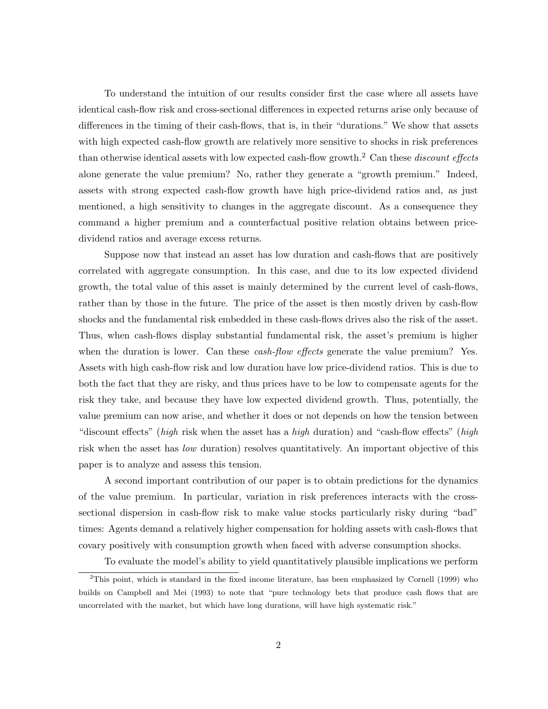To understand the intuition of our results consider first the case where all assets have identical cash-flow risk and cross-sectional differences in expected returns arise only because of differences in the timing of their cash-flows, that is, in their "durations." We show that assets with high expected cash-flow growth are relatively more sensitive to shocks in risk preferences than otherwise identical assets with low expected cash-flow growth.<sup>2</sup> Can these *discount effects* alone generate the value premium? No, rather they generate a "growth premium." Indeed, assets with strong expected cash-flow growth have high price-dividend ratios and, as just mentioned, a high sensitivity to changes in the aggregate discount. As a consequence they command a higher premium and a counterfactual positive relation obtains between pricedividend ratios and average excess returns.

Suppose now that instead an asset has low duration and cash-flows that are positively correlated with aggregate consumption. In this case, and due to its low expected dividend growth, the total value of this asset is mainly determined by the current level of cash-flows, rather than by those in the future. The price of the asset is then mostly driven by cash-flow shocks and the fundamental risk embedded in these cash-flows drives also the risk of the asset. Thus, when cash-flows display substantial fundamental risk, the asset's premium is higher when the duration is lower. Can these *cash-flow effects* generate the value premium? Yes. Assets with high cash-flow risk and low duration have low price-dividend ratios. This is due to both the fact that they are risky, and thus prices have to be low to compensate agents for the risk they take, and because they have low expected dividend growth. Thus, potentially, the value premium can now arise, and whether it does or not depends on how the tension between "discount effects" (*high* risk when the asset has a *high* duration) and "cash-flow effects" (*high* risk when the asset has *low* duration) resolves quantitatively. An important objective of this paper is to analyze and assess this tension.

A second important contribution of our paper is to obtain predictions for the dynamics of the value premium. In particular, variation in risk preferences interacts with the crosssectional dispersion in cash-flow risk to make value stocks particularly risky during "bad" times: Agents demand a relatively higher compensation for holding assets with cash-flows that covary positively with consumption growth when faced with adverse consumption shocks.

To evaluate the model's ability to yield quantitatively plausible implications we perform

<sup>2</sup>This point, which is standard in the fixed income literature, has been emphasized by Cornell (1999) who builds on Campbell and Mei (1993) to note that "pure technology bets that produce cash flows that are uncorrelated with the market, but which have long durations, will have high systematic risk."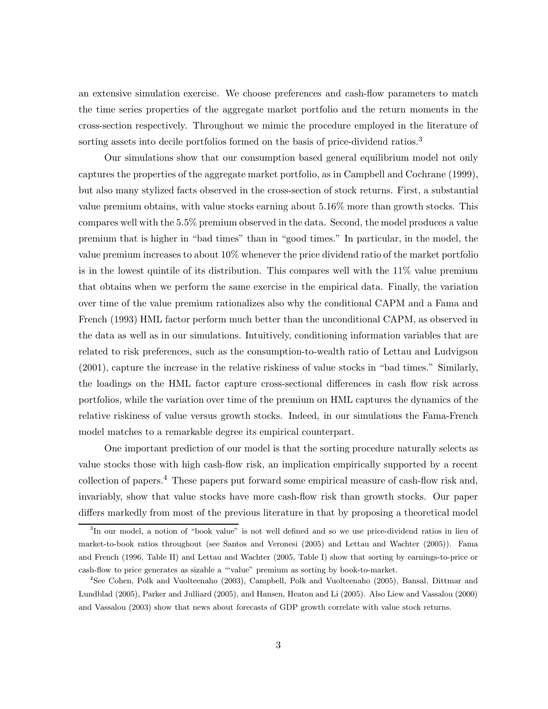an extensive simulation exercise. We choose preferences and cash-flow parameters to match the time series properties of the aggregate market portfolio and the return moments in the cross-section respectively. Throughout we mimic the procedure employed in the literature of sorting assets into decile portfolios formed on the basis of price-dividend ratios.<sup>3</sup>

Our simulations show that our consumption based general equilibrium model not only captures the properties of the aggregate market portfolio, as in Campbell and Cochrane (1999), but also many stylized facts observed in the cross-section of stock returns. First, a substantial value premium obtains, with value stocks earning about 5.16% more than growth stocks. This compares well with the 5.5% premium observed in the data. Second, the model produces a value premium that is higher in "bad times" than in "good times." In particular, in the model, the value premium increases to about 10% whenever the price dividend ratio of the market portfolio is in the lowest quintile of its distribution. This compares well with the 11% value premium that obtains when we perform the same exercise in the empirical data. Finally, the variation over time of the value premium rationalizes also why the conditional CAPM and a Fama and French (1993) HML factor perform much better than the unconditional CAPM, as observed in the data as well as in our simulations. Intuitively, conditioning information variables that are related to risk preferences, such as the consumption-to-wealth ratio of Lettau and Ludvigson (2001), capture the increase in the relative riskiness of value stocks in "bad times." Similarly, the loadings on the HML factor capture cross-sectional differences in cash flow risk across portfolios, while the variation over time of the premium on HML captures the dynamics of the relative riskiness of value versus growth stocks. Indeed, in our simulations the Fama-French model matches to a remarkable degree its empirical counterpart.

One important prediction of our model is that the sorting procedure naturally selects as value stocks those with high cash-flow risk, an implication empirically supported by a recent collection of papers.<sup>4</sup> These papers put forward some empirical measure of cash-flow risk and, invariably, show that value stocks have more cash-flow risk than growth stocks. Our paper differs markedly from most of the previous literature in that by proposing a theoretical model

<sup>&</sup>lt;sup>3</sup>In our model, a notion of "book value" is not well defined and so we use price-dividend ratios in lieu of market-to-book ratios throughout (see Santos and Veronesi (2005) and Lettau and Wachter (2005)). Fama and French (1996, Table II) and Lettau and Wachter (2005, Table I) show that sorting by earnings-to-price or cash-flow to price generates as sizable a "'value" premium as sorting by book-to-market.

<sup>4</sup>See Cohen, Polk and Vuolteenaho (2003), Campbell, Polk and Vuolteenaho (2005), Bansal, Dittmar and Lundblad (2005), Parker and Julliard (2005), and Hansen, Heaton and Li (2005). Also Liew and Vassalou (2000) and Vassalou (2003) show that news about forecasts of GDP growth correlate with value stock returns.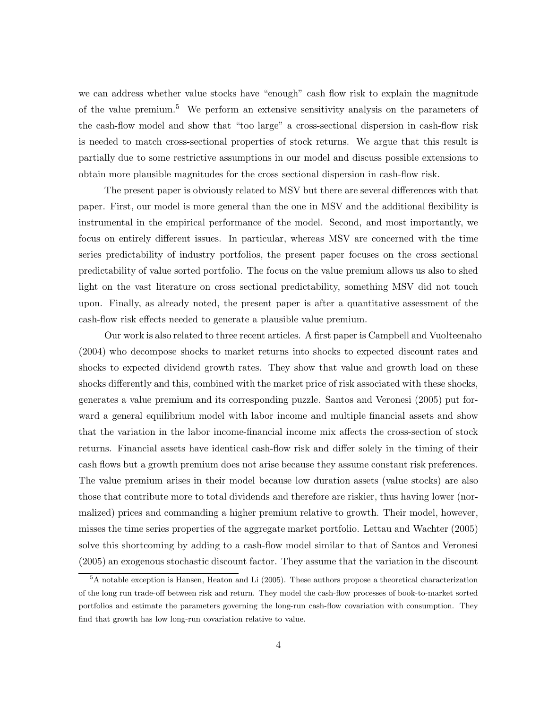we can address whether value stocks have "enough" cash flow risk to explain the magnitude of the value premium.<sup>5</sup> We perform an extensive sensitivity analysis on the parameters of the cash-flow model and show that "too large" a cross-sectional dispersion in cash-flow risk is needed to match cross-sectional properties of stock returns. We argue that this result is partially due to some restrictive assumptions in our model and discuss possible extensions to obtain more plausible magnitudes for the cross sectional dispersion in cash-flow risk.

The present paper is obviously related to MSV but there are several differences with that paper. First, our model is more general than the one in MSV and the additional flexibility is instrumental in the empirical performance of the model. Second, and most importantly, we focus on entirely different issues. In particular, whereas MSV are concerned with the time series predictability of industry portfolios, the present paper focuses on the cross sectional predictability of value sorted portfolio. The focus on the value premium allows us also to shed light on the vast literature on cross sectional predictability, something MSV did not touch upon. Finally, as already noted, the present paper is after a quantitative assessment of the cash-flow risk effects needed to generate a plausible value premium.

Our work is also related to three recent articles. A first paper is Campbell and Vuolteenaho (2004) who decompose shocks to market returns into shocks to expected discount rates and shocks to expected dividend growth rates. They show that value and growth load on these shocks differently and this, combined with the market price of risk associated with these shocks, generates a value premium and its corresponding puzzle. Santos and Veronesi (2005) put forward a general equilibrium model with labor income and multiple financial assets and show that the variation in the labor income-financial income mix affects the cross-section of stock returns. Financial assets have identical cash-flow risk and differ solely in the timing of their cash flows but a growth premium does not arise because they assume constant risk preferences. The value premium arises in their model because low duration assets (value stocks) are also those that contribute more to total dividends and therefore are riskier, thus having lower (normalized) prices and commanding a higher premium relative to growth. Their model, however, misses the time series properties of the aggregate market portfolio. Lettau and Wachter (2005) solve this shortcoming by adding to a cash-flow model similar to that of Santos and Veronesi (2005) an exogenous stochastic discount factor. They assume that the variation in the discount

<sup>5</sup>A notable exception is Hansen, Heaton and Li (2005). These authors propose a theoretical characterization of the long run trade-off between risk and return. They model the cash-flow processes of book-to-market sorted portfolios and estimate the parameters governing the long-run cash-flow covariation with consumption. They find that growth has low long-run covariation relative to value.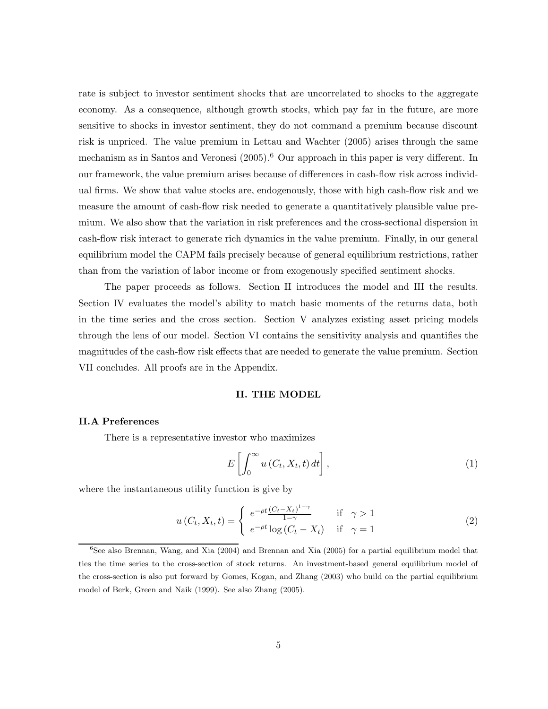rate is subject to investor sentiment shocks that are uncorrelated to shocks to the aggregate economy. As a consequence, although growth stocks, which pay far in the future, are more sensitive to shocks in investor sentiment, they do not command a premium because discount risk is unpriced. The value premium in Lettau and Wachter (2005) arises through the same mechanism as in Santos and Veronesi (2005).<sup>6</sup> Our approach in this paper is very different. In our framework, the value premium arises because of differences in cash-flow risk across individual firms. We show that value stocks are, endogenously, those with high cash-flow risk and we measure the amount of cash-flow risk needed to generate a quantitatively plausible value premium. We also show that the variation in risk preferences and the cross-sectional dispersion in cash-flow risk interact to generate rich dynamics in the value premium. Finally, in our general equilibrium model the CAPM fails precisely because of general equilibrium restrictions, rather than from the variation of labor income or from exogenously specified sentiment shocks.

The paper proceeds as follows. Section II introduces the model and III the results. Section IV evaluates the model's ability to match basic moments of the returns data, both in the time series and the cross section. Section V analyzes existing asset pricing models through the lens of our model. Section VI contains the sensitivity analysis and quantifies the magnitudes of the cash-flow risk effects that are needed to generate the value premium. Section VII concludes. All proofs are in the Appendix.

# **II. THE MODEL**

# **II.A Preferences**

There is a representative investor who maximizes

$$
E\left[\int_0^\infty u\left(C_t, X_t, t\right) dt\right],\tag{1}
$$

where the instantaneous utility function is give by

$$
u(C_t, X_t, t) = \begin{cases} e^{-\rho t} \frac{(C_t - X_t)^{1-\gamma}}{1-\gamma} & \text{if } \gamma > 1\\ e^{-\rho t} \log(C_t - X_t) & \text{if } \gamma = 1 \end{cases}
$$
 (2)

 $6$ See also Brennan, Wang, and Xia (2004) and Brennan and Xia (2005) for a partial equilibrium model that ties the time series to the cross-section of stock returns. An investment-based general equilibrium model of the cross-section is also put forward by Gomes, Kogan, and Zhang (2003) who build on the partial equilibrium model of Berk, Green and Naik (1999). See also Zhang (2005).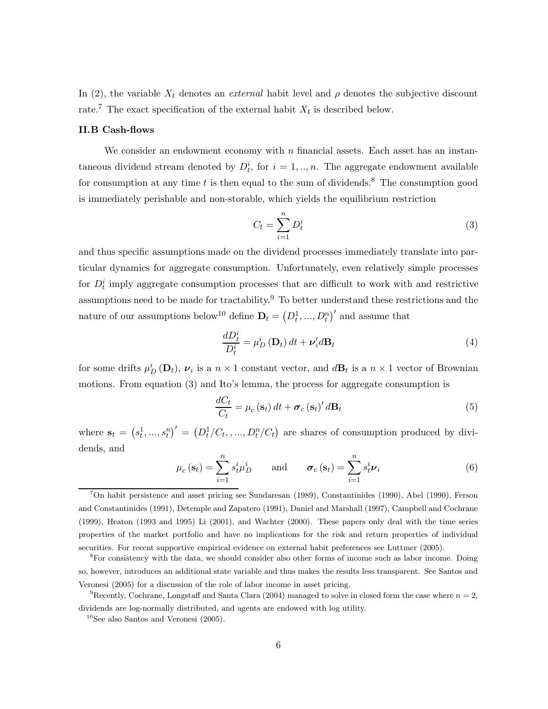In (2), the variable  $X_t$  denotes an *external* habit level and  $\rho$  denotes the subjective discount rate.<sup>7</sup> The exact specification of the external habit  $X_t$  is described below.

# **II.B Cash-flows**

We consider an endowment economy with  $n$  financial assets. Each asset has an instantaneous dividend stream denoted by  $D_t^i$ , for  $i = 1, ..., n$ . The aggregate endowment available for consumption at any time t is then equal to the sum of dividends.<sup>8</sup> The consumption good is immediately perishable and non-storable, which yields the equilibrium restriction

$$
C_t = \sum_{i=1}^{n} D_t^i \tag{3}
$$

and thus specific assumptions made on the dividend processes immediately translate into particular dynamics for aggregate consumption. Unfortunately, even relatively simple processes for  $D_t^i$  imply aggregate consumption processes that are difficult to work with and restrictive assumptions need to be made for tractability.<sup>9</sup> To better understand these restrictions and the nature of our assumptions below<sup>10</sup> define  $\mathbf{D}_t = (D_t^1, ..., D_t^n)'$  and assume that

$$
\frac{dD_t^i}{D_t^i} = \mu_D^i \left(\mathbf{D}_t\right) dt + \nu_i^{\prime} d\mathbf{B}_t
$$
\n(4)

for some drifts  $\mu_D^i(\mathbf{D}_t)$ ,  $\nu_i$  is a  $n \times 1$  constant vector, and  $d\mathbf{B}_t$  is a  $n \times 1$  vector of Brownian motions. From equation (3) and Ito's lemma, the process for aggregate consumption is

$$
\frac{dC_t}{C_t} = \mu_c(\mathbf{s}_t) dt + \boldsymbol{\sigma}_c(\mathbf{s}_t)' d\mathbf{B}_t
$$
\n(5)

where  $\mathbf{s}_t = (s_t^1, ..., s_t^n)' = (D_t^1/C_t, ..., D_t^n/C_t)$  are shares of consumption produced by dividends, and

$$
\mu_c(\mathbf{s}_t) = \sum_{i=1}^n s_t^i \mu_D^i \quad \text{and} \quad \boldsymbol{\sigma}_c(\mathbf{s}_t) = \sum_{i=1}^n s_t^i \boldsymbol{\nu}_i \tag{6}
$$

<sup>7</sup>On habit persistence and asset pricing see Sundaresan (1989), Constantinides (1990), Abel (1990), Ferson and Constantinides (1991), Detemple and Zapatero (1991), Daniel and Marshall (1997), Campbell and Cochrane (1999), Heaton (1993 and 1995) Li (2001), and Wachter (2000). These papers only deal with the time series properties of the market portfolio and have no implications for the risk and return properties of individual securities. For recent supportive empirical evidence on external habit preferences see Luttmer (2005).

<sup>8</sup>For consistency with the data, we should consider also other forms of income such as labor income. Doing so, however, introduces an additional state variable and thus makes the results less transparent. See Santos and Veronesi (2005) for a discussion of the role of labor income in asset pricing.

<sup>&</sup>lt;sup>9</sup>Recently, Cochrane, Longstaff and Santa Clara (2004) managed to solve in closed form the case where  $n = 2$ , dividends are log-normally distributed, and agents are endowed with log utility.

 $10$ See also Santos and Veronesi (2005).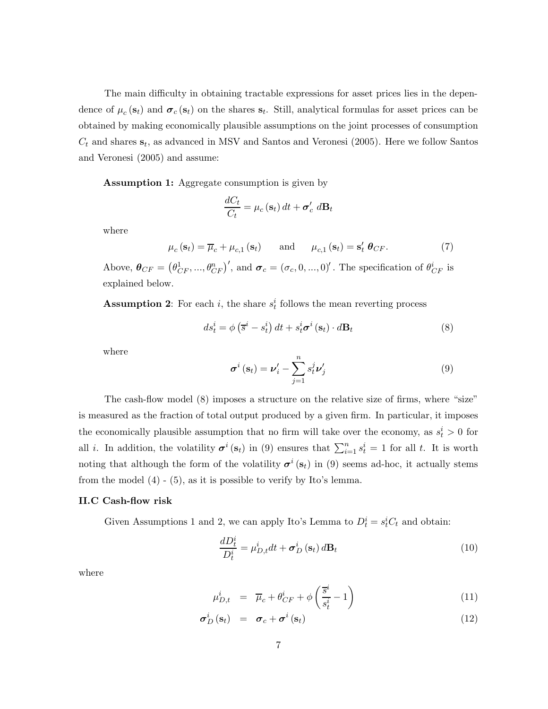The main difficulty in obtaining tractable expressions for asset prices lies in the dependence of  $\mu_c(\mathbf{s}_t)$  and  $\sigma_c(\mathbf{s}_t)$  on the shares  $\mathbf{s}_t$ . Still, analytical formulas for asset prices can be obtained by making economically plausible assumptions on the joint processes of consumption  $C_t$  and shares  $s_t$ , as advanced in MSV and Santos and Veronesi (2005). Here we follow Santos and Veronesi (2005) and assume:

**Assumption 1:** Aggregate consumption is given by

$$
\frac{dC_t}{C_t} = \mu_c(\mathbf{s}_t) dt + \boldsymbol{\sigma}'_c dB_t
$$

where

 $\mu_c(\mathbf{s}_t) = \overline{\mu}_c + \mu_{c,1}(\mathbf{s}_t)$  and  $\mu_{c,1}(\mathbf{s}_t) = \mathbf{s}'_t \boldsymbol{\theta}_{CF}.$  (7)

Above,  $\boldsymbol{\theta}_{CF} = (\theta_{CF}^1, ..., \theta_{CF}^n)'$ , and  $\boldsymbol{\sigma}_c = (\sigma_c, 0, ..., 0)'$ . The specification of  $\theta_{CF}^i$  is explained below.

**Assumption 2**: For each i, the share  $s_t^i$  follows the mean reverting process

$$
ds_t^i = \phi\left(\overline{s}^i - s_t^i\right)dt + s_t^i\sigma^i\left(\mathbf{s}_t\right) \cdot d\mathbf{B}_t
$$
\n(8)

where

$$
\boldsymbol{\sigma}^{i}\left(\mathbf{s}_{t}\right)=\boldsymbol{\nu}'_{i}-\sum_{j=1}^{n}s_{t}^{j}\boldsymbol{\nu}'_{j}\tag{9}
$$

The cash-flow model  $(8)$  imposes a structure on the relative size of firms, where "size" is measured as the fraction of total output produced by a given firm. In particular, it imposes the economically plausible assumption that no firm will take over the economy, as  $s_t^i > 0$  for all *i*. In addition, the volatility  $\sigma^{i}(s_t)$  in (9) ensures that  $\sum_{i=1}^{n} s_t^i = 1$  for all *t*. It is worth noting that although the form of the volatility  $\sigma^{i}(s_t)$  in (9) seems ad-hoc, it actually stems from the model (4) - (5), as it is possible to verify by Ito's lemma.

# **II.C Cash-flow risk**

Given Assumptions 1 and 2, we can apply Ito's Lemma to  $D_t^i = s_t^i C_t$  and obtain:

$$
\frac{dD_t^i}{D_t^i} = \mu_{D,t}^i dt + \sigma_D^i \left( \mathbf{s}_t \right) d\mathbf{B}_t \tag{10}
$$

where

$$
\mu_{D,t}^i = \overline{\mu}_c + \theta_{CF}^i + \phi \left( \frac{\overline{s}^i}{s_t^i} - 1 \right) \tag{11}
$$

$$
\sigma_D^i(\mathbf{s}_t) = \boldsymbol{\sigma}_c + \boldsymbol{\sigma}^i(\mathbf{s}_t) \tag{12}
$$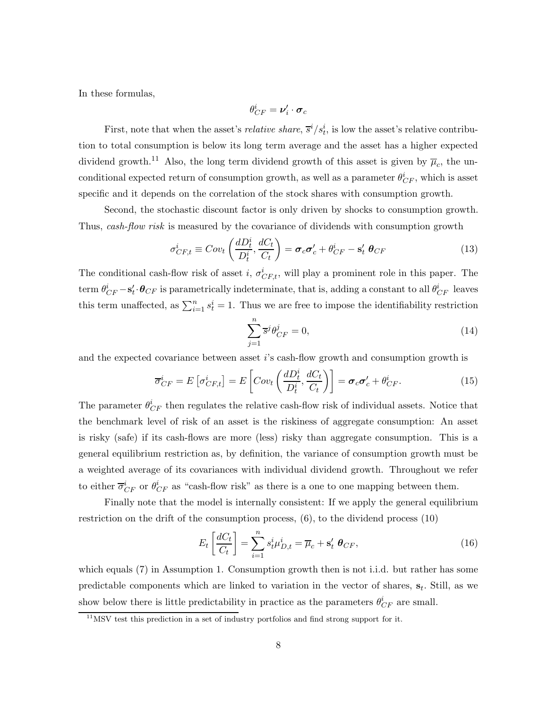In these formulas,

$$
\theta_{CF}^i = \boldsymbol{\nu}_i' \cdot \boldsymbol{\sigma}_c
$$

First, note that when the asset's *relative share*,  $\overline{s}^i/s_t^i$ , is low the asset's relative contribution to total consumption is below its long term average and the asset has a higher expected dividend growth.<sup>11</sup> Also, the long term dividend growth of this asset is given by  $\overline{\mu}_c$ , the unconditional expected return of consumption growth, as well as a parameter  $\theta_{CF}^i$ , which is asset specific and it depends on the correlation of the stock shares with consumption growth.

Second, the stochastic discount factor is only driven by shocks to consumption growth. Thus, *cash-flow risk* is measured by the covariance of dividends with consumption growth

$$
\sigma_{CF,t}^i \equiv Cov_t \left( \frac{dD_t^i}{D_t^i}, \frac{dC_t}{C_t} \right) = \sigma_c \sigma_c' + \theta_{CF}^i - \mathbf{s}_t' \ \theta_{CF}
$$
(13)

The conditional cash-flow risk of asset i,  $\sigma_{CF,t}^i$ , will play a prominent role in this paper. The  $\theta^i_{CF} - \mathbf{s}'_t \cdot \boldsymbol{\theta}_{CF}$  is parametrically indeterminate, that is, adding a constant to all  $\theta^i_{CF}$  leaves this term unaffected, as  $\sum_{i=1}^{n} s_i^i = 1$ . Thus we are free to impose the identifiability restriction

$$
\sum_{j=1}^{n} \overline{s}^{j} \theta_{CF}^{j} = 0, \qquad (14)
$$

and the expected covariance between asset i's cash-flow growth and consumption growth is

$$
\overline{\sigma}_{CF}^{i} = E\left[\sigma_{CF,t}^{i}\right] = E\left[Cov_{t}\left(\frac{dD_{t}^{i}}{D_{t}^{i}}, \frac{dC_{t}}{C_{t}}\right)\right] = \sigma_{c}\sigma_{c}' + \theta_{CF}^{i}.
$$
\n(15)

The parameter  $\theta_{CF}^i$  then regulates the relative cash-flow risk of individual assets. Notice that the benchmark level of risk of an asset is the riskiness of aggregate consumption: An asset is risky (safe) if its cash-flows are more (less) risky than aggregate consumption. This is a general equilibrium restriction as, by definition, the variance of consumption growth must be a weighted average of its covariances with individual dividend growth. Throughout we refer to either  $\overline{\sigma}_{CF}^{i}$  or  $\theta_{CF}^{i}$  as "cash-flow risk" as there is a one to one mapping between them.

Finally note that the model is internally consistent: If we apply the general equilibrium restriction on the drift of the consumption process, (6), to the dividend process (10)

$$
E_t\left[\frac{dC_t}{C_t}\right] = \sum_{i=1}^n s_t^i \mu_{D,t}^i = \overline{\mu}_c + \mathbf{s}'_t \ \boldsymbol{\theta}_{CF},\tag{16}
$$

which equals (7) in Assumption 1. Consumption growth then is not i.i.d. but rather has some predictable components which are linked to variation in the vector of shares,  $s_t$ . Still, as we show below there is little predictability in practice as the parameters  $\theta_{CF}^{i}$  are small.

 $11$ MSV test this prediction in a set of industry portfolios and find strong support for it.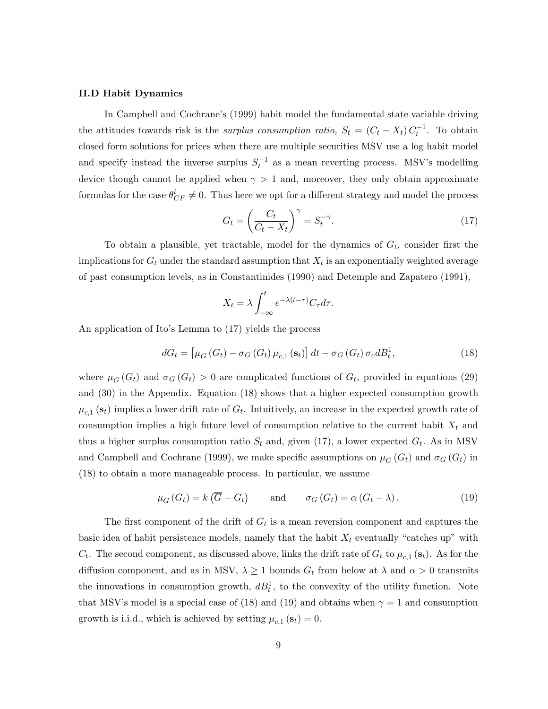## **II.D Habit Dynamics**

In Campbell and Cochrane's (1999) habit model the fundamental state variable driving the attitudes towards risk is the *surplus consumption ratio*,  $S_t = (C_t - X_t) C_t^{-1}$ . To obtain closed form solutions for prices when there are multiple securities MSV use a log habit model and specify instead the inverse surplus  $S_t^{-1}$  as a mean reverting process. MSV's modelling device though cannot be applied when  $\gamma > 1$  and, moreover, they only obtain approximate formulas for the case  $\theta_{CF}^i \neq 0$ . Thus here we opt for a different strategy and model the process

$$
G_t = \left(\frac{C_t}{C_t - X_t}\right)^{\gamma} = S_t^{-\gamma}.
$$
\n(17)

To obtain a plausible, yet tractable, model for the dynamics of  $G_t$ , consider first the implications for  $G_t$  under the standard assumption that  $X_t$  is an exponentially weighted average of past consumption levels, as in Constantinides (1990) and Detemple and Zapatero (1991),

$$
X_t = \lambda \int_{-\infty}^t e^{-\lambda(t-\tau)} C_\tau d\tau.
$$

An application of Ito's Lemma to (17) yields the process

$$
dG_t = \left[\mu_G\left(G_t\right) - \sigma_G\left(G_t\right)\mu_{c,1}\left(\mathbf{s}_t\right)\right]dt - \sigma_G\left(G_t\right)\sigma_c dB_t^1,\tag{18}
$$

where  $\mu_G(G_t)$  and  $\sigma_G(G_t) > 0$  are complicated functions of  $G_t$ , provided in equations (29) and (30) in the Appendix. Equation (18) shows that a higher expected consumption growth  $\mu_{c,1}$  (s<sub>t</sub>) implies a lower drift rate of  $G_t$ . Intuitively, an increase in the expected growth rate of consumption implies a high future level of consumption relative to the current habit  $X_t$  and thus a higher surplus consumption ratio  $S_t$  and, given (17), a lower expected  $G_t$ . As in MSV and Campbell and Cochrane (1999), we make specific assumptions on  $\mu_G(G_t)$  and  $\sigma_G(G_t)$  in (18) to obtain a more manageable process. In particular, we assume

$$
\mu_G(G_t) = k(\overline{G} - G_t) \quad \text{and} \quad \sigma_G(G_t) = \alpha(G_t - \lambda). \tag{19}
$$

The first component of the drift of  $G_t$  is a mean reversion component and captures the basic idea of habit persistence models, namely that the habit  $X_t$  eventually "catches up" with  $C_t$ . The second component, as discussed above, links the drift rate of  $G_t$  to  $\mu_{c,1}$  (s<sub>t</sub>). As for the diffusion component, and as in MSV,  $\lambda \geq 1$  bounds  $G_t$  from below at  $\lambda$  and  $\alpha > 0$  transmits the innovations in consumption growth,  $dB_t^1$ , to the convexity of the utility function. Note that MSV's model is a special case of (18) and (19) and obtains when  $\gamma = 1$  and consumption growth is i.i.d., which is achieved by setting  $\mu_{c,1}$  ( $\mathbf{s}_t$ ) = 0.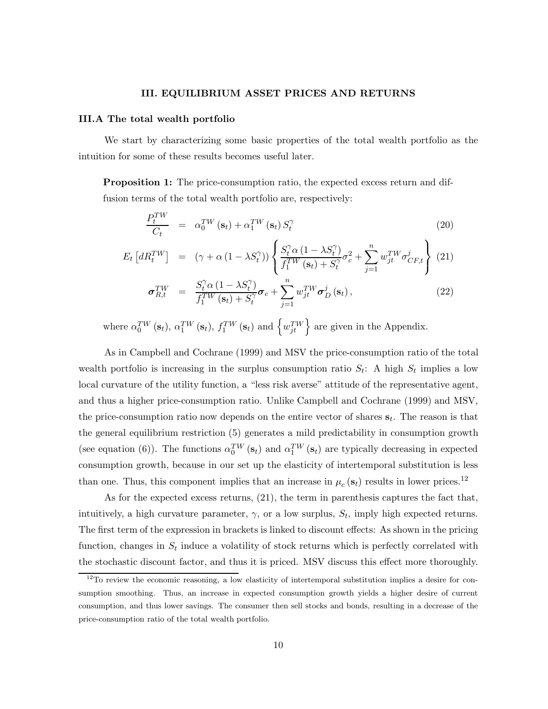## **III. EQUILIBRIUM ASSET PRICES AND RETURNS**

#### **III.A The total wealth portfolio**

We start by characterizing some basic properties of the total wealth portfolio as the intuition for some of these results becomes useful later.

**Proposition 1:** The price-consumption ratio, the expected excess return and diffusion terms of the total wealth portfolio are, respectively:

$$
\frac{P_t^{TW}}{C_t} = \alpha_0^{TW}(\mathbf{s}_t) + \alpha_1^{TW}(\mathbf{s}_t) S_t^{\gamma}
$$
\n(20)

$$
E_t \left[ dR_t^{TW} \right] = \left( \gamma + \alpha \left( 1 - \lambda S_t^{\gamma} \right) \right) \left\{ \frac{S_t^{\gamma} \alpha \left( 1 - \lambda S_t^{\gamma} \right)}{f_1^{TW} \left( \mathbf{s}_t \right) + S_t^{\gamma}} \sigma_c^2 + \sum_{j=1}^n w_{jt}^{TW} \sigma_{CF,t}^j \right\} \tag{21}
$$

$$
\sigma_{R,t}^{TW} = \frac{S_t^{\gamma} \alpha (1 - \lambda S_t^{\gamma})}{f_1^{TW}(\mathbf{s}_t) + S_t^{\gamma}} \sigma_c + \sum_{j=1}^n w_{jt}^{TW} \sigma_D^j(\mathbf{s}_t), \qquad (22)
$$

where  $\alpha_0^{TW}(\mathbf{s}_t)$ ,  $\alpha_1^{TW}(\mathbf{s}_t)$ ,  $f_1^{TW}(\mathbf{s}_t)$  and  $\left\{w_{jt}^{TW}\right\}$  are given in the Appendix.

As in Campbell and Cochrane (1999) and MSV the price-consumption ratio of the total wealth portfolio is increasing in the surplus consumption ratio  $S_t$ : A high  $S_t$  implies a low local curvature of the utility function, a "less risk averse" attitude of the representative agent, and thus a higher price-consumption ratio. Unlike Campbell and Cochrane (1999) and MSV, the price-consumption ratio now depends on the entire vector of shares  $s_t$ . The reason is that the general equilibrium restriction (5) generates a mild predictability in consumption growth (see equation (6)). The functions  $\alpha_0^{TW}(\mathbf{s}_t)$  and  $\alpha_1^{TW}(\mathbf{s}_t)$  are typically decreasing in expected consumption growth, because in our set up the elasticity of intertemporal substitution is less than one. Thus, this component implies that an increase in  $\mu_c(\mathbf{s}_t)$  results in lower prices.<sup>12</sup>

As for the expected excess returns, (21), the term in parenthesis captures the fact that, intuitively, a high curvature parameter,  $\gamma$ , or a low surplus,  $S_t$ , imply high expected returns. The first term of the expression in brackets is linked to discount effects: As shown in the pricing function, changes in  $S_t$  induce a volatility of stock returns which is perfectly correlated with the stochastic discount factor, and thus it is priced. MSV discuss this effect more thoroughly.

 $12$ To review the economic reasoning, a low elasticity of intertemporal substitution implies a desire for consumption smoothing. Thus, an increase in expected consumption growth yields a higher desire of current consumption, and thus lower savings. The consumer then sell stocks and bonds, resulting in a decrease of the price-consumption ratio of the total wealth portfolio.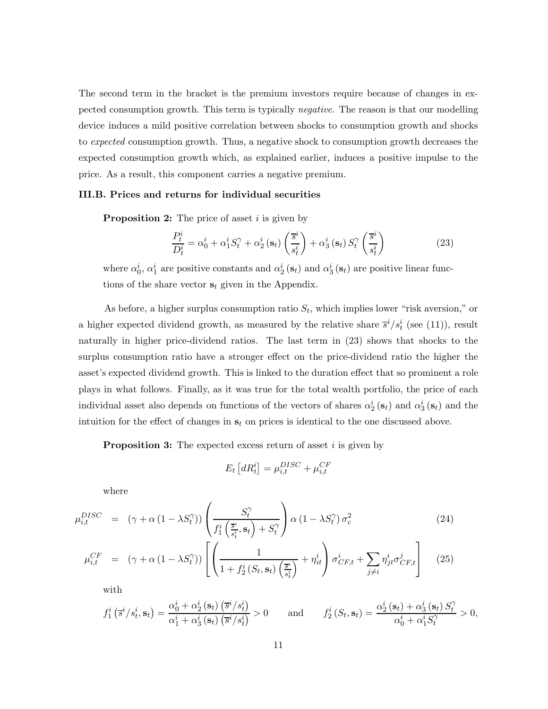The second term in the bracket is the premium investors require because of changes in expected consumption growth. This term is typically *negative*. The reason is that our modelling device induces a mild positive correlation between shocks to consumption growth and shocks to *expected* consumption growth. Thus, a negative shock to consumption growth decreases the expected consumption growth which, as explained earlier, induces a positive impulse to the price. As a result, this component carries a negative premium.

# **III.B. Prices and returns for individual securities**

**Proposition 2:** The price of asset *i* is given by

$$
\frac{P_t^i}{D_t^i} = \alpha_0^i + \alpha_1^i S_t^{\gamma} + \alpha_2^i \left(\mathbf{s}_t\right) \left(\frac{\overline{s}^i}{s_t^i}\right) + \alpha_3^i \left(\mathbf{s}_t\right) S_t^{\gamma} \left(\frac{\overline{s}^i}{s_t^i}\right)
$$
(23)

where  $\alpha_0^i$ ,  $\alpha_1^i$  are positive constants and  $\alpha_2^i$  ( $s_t$ ) and  $\alpha_3^i$  ( $s_t$ ) are positive linear functions of the share vector  $s_t$  given in the Appendix.

As before, a higher surplus consumption ratio  $S_t$ , which implies lower "risk aversion," or a higher expected dividend growth, as measured by the relative share  $\bar{s}^i/s_t^i$  (see (11)), result naturally in higher price-dividend ratios. The last term in (23) shows that shocks to the surplus consumption ratio have a stronger effect on the price-dividend ratio the higher the asset's expected dividend growth. This is linked to the duration effect that so prominent a role plays in what follows. Finally, as it was true for the total wealth portfolio, the price of each individual asset also depends on functions of the vectors of shares  $\alpha_2^i$  ( $\mathbf{s}_t$ ) and  $\alpha_3^i$  ( $\mathbf{s}_t$ ) and the intuition for the effect of changes in  $s_t$  on prices is identical to the one discussed above.

**Proposition 3:** The expected excess return of asset i is given by

$$
E_t \left[ dR_t^i \right] = \mu_{i,t}^{DISC} + \mu_{i,t}^{CF}
$$

where

$$
\mu_{i,t}^{DISC} = (\gamma + \alpha (1 - \lambda S_t^{\gamma})) \left( \frac{S_t^{\gamma}}{f_1^i \left( \frac{\overline{s}^i}{s_t^i}, \mathbf{s}_t \right) + S_t^{\gamma}} \right) \alpha (1 - \lambda S_t^{\gamma}) \sigma_c^2 \tag{24}
$$

$$
\mu_{i,t}^{CF} = (\gamma + \alpha (1 - \lambda S_t^{\gamma})) \left[ \left( \frac{1}{1 + f_2^i (S_t, \mathbf{s}_t) \left( \frac{\overline{s}^i}{s_t^i} \right)} + \eta_{it}^i \right) \sigma_{CF,t}^i + \sum_{j \neq i} \eta_{jt}^i \sigma_{CF,t}^j \right] \tag{25}
$$

with

$$
f_1^i\left(\overline{s}^i/s_t^i, \mathbf{s}_t\right) = \frac{\alpha_0^i + \alpha_2^i\left(\mathbf{s}_t\right)\left(\overline{s}^i/s_t^i\right)}{\alpha_1^i + \alpha_3^i\left(\mathbf{s}_t\right)\left(\overline{s}^i/s_t^i\right)} > 0 \quad \text{and} \quad f_2^i\left(S_t, \mathbf{s}_t\right) = \frac{\alpha_2^i\left(\mathbf{s}_t\right) + \alpha_3^i\left(\mathbf{s}_t\right)S_t^{\gamma}}{\alpha_0^i + \alpha_1^i S_t^{\gamma}} > 0,
$$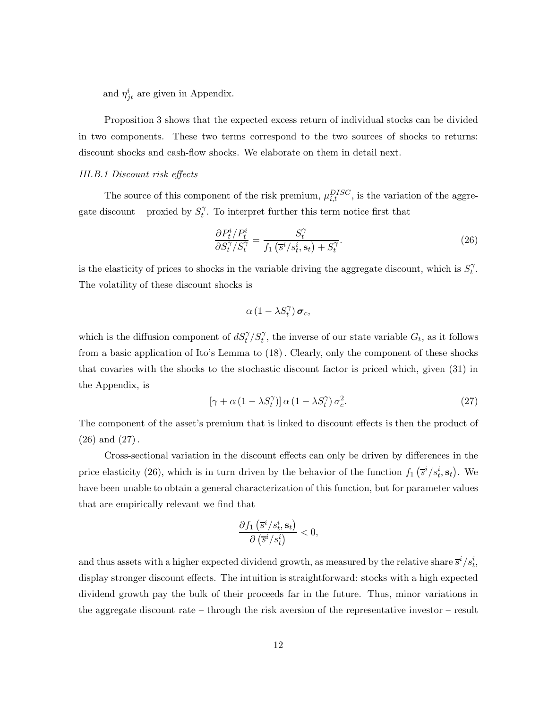and  $\eta_{jt}^{i}$  are given in Appendix.

Proposition 3 shows that the expected excess return of individual stocks can be divided in two components. These two terms correspond to the two sources of shocks to returns: discount shocks and cash-flow shocks. We elaborate on them in detail next.

### *III.B.1 Discount risk effects*

The source of this component of the risk premium,  $\mu_{i,t}^{DISC}$ , is the variation of the aggregate discount – proxied by  $S_t^{\gamma}$ . To interpret further this term notice first that

$$
\frac{\partial P_t^i / P_t^i}{\partial S_t^{\gamma} / S_t^{\gamma}} = \frac{S_t^{\gamma}}{f_1\left(\overline{s}^i / s_t^i, \mathbf{s}_t\right) + S_t^{\gamma}}.\tag{26}
$$

is the elasticity of prices to shocks in the variable driving the aggregate discount, which is  $S_t^{\gamma}$ . The volatility of these discount shocks is

$$
\alpha\left(1-\lambda S_{t}^{\gamma}\right)\boldsymbol{\sigma}_{c},
$$

which is the diffusion component of  $dS_t^{\gamma}/S_t^{\gamma}$ , the inverse of our state variable  $G_t$ , as it follows from a basic application of Ito's Lemma to (18). Clearly, only the component of these shocks that covaries with the shocks to the stochastic discount factor is priced which, given (31) in the Appendix, is

$$
[\gamma + \alpha (1 - \lambda S_t^{\gamma})] \alpha (1 - \lambda S_t^{\gamma}) \sigma_c^2.
$$
 (27)

The component of the asset's premium that is linked to discount effects is then the product of (26) and (27).

Cross-sectional variation in the discount effects can only be driven by differences in the price elasticity (26), which is in turn driven by the behavior of the function  $f_1(\bar{s}^i/s_t^i, s_t)$ . We have been unable to obtain a general characterization of this function, but for parameter values that are empirically relevant we find that

$$
\frac{\partial f_1\left(\overline{s}^i/s_t^i, \mathbf{s}_t\right)}{\partial\left(\overline{s}^i/s_t^i\right)} < 0,
$$

and thus assets with a higher expected dividend growth, as measured by the relative share  $\overline{s}^{i}/s_t^{i}$ , display stronger discount effects. The intuition is straightforward: stocks with a high expected dividend growth pay the bulk of their proceeds far in the future. Thus, minor variations in the aggregate discount rate – through the risk aversion of the representative investor – result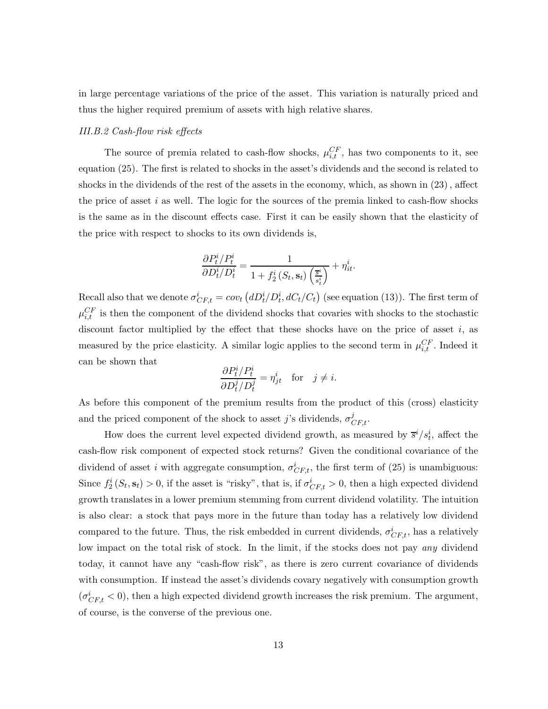in large percentage variations of the price of the asset. This variation is naturally priced and thus the higher required premium of assets with high relative shares.

### *III.B.2 Cash-flow risk effects*

The source of premia related to cash-flow shocks,  $\mu_{i,t}^{CF}$ , has two components to it, see equation (25). The first is related to shocks in the asset's dividends and the second is related to shocks in the dividends of the rest of the assets in the economy, which, as shown in (23), affect the price of asset  $i$  as well. The logic for the sources of the premia linked to cash-flow shocks is the same as in the discount effects case. First it can be easily shown that the elasticity of the price with respect to shocks to its own dividends is,

$$
\frac{\partial P_t^i/P_t^i}{\partial D_t^i/D_t^i} = \frac{1}{1+f_2^i\left(S_t,\mathbf{s}_t\right)\left(\frac{\overline{s}^i}{s_t^i}\right)} + \eta_{it}^i.
$$

Recall also that we denote  $\sigma_{CF,t}^i = cov_t (dD_t^i/D_t^i, dC_t/C_t)$  (see equation (13)). The first term of  $\mu_{i,t}^{CF}$  is then the component of the dividend shocks that covaries with shocks to the stochastic discount factor multiplied by the effect that these shocks have on the price of asset  $i$ , as measured by the price elasticity. A similar logic applies to the second term in  $\mu_{i,t}^{CF}$ . Indeed it can be shown that

$$
\frac{\partial P_t^i/P_t^i}{\partial D_t^j/D_t^j} = \eta_{jt}^i \quad \text{for} \quad j \neq i.
$$

As before this component of the premium results from the product of this (cross) elasticity and the priced component of the shock to asset j's dividends,  $\sigma_{CF,t}^{j}$ .

How does the current level expected dividend growth, as measured by  $\bar{s}^i/s_t^i$ , affect the cash-flow risk component of expected stock returns? Given the conditional covariance of the dividend of asset i with aggregate consumption,  $\sigma_{CF,t}^i$ , the first term of (25) is unambiguous: Since  $f_2^i(S_t, s_t) > 0$ , if the asset is "risky", that is, if  $\sigma_{CF,t}^i > 0$ , then a high expected dividend growth translates in a lower premium stemming from current dividend volatility. The intuition is also clear: a stock that pays more in the future than today has a relatively low dividend compared to the future. Thus, the risk embedded in current dividends,  $\sigma_{CF,t}^{i}$ , has a relatively low impact on the total risk of stock. In the limit, if the stocks does not pay *any* dividend today, it cannot have any "cash-flow risk", as there is zero current covariance of dividends with consumption. If instead the asset's dividends covary negatively with consumption growth  $(\sigma_{CF,t}^{i} < 0)$ , then a high expected dividend growth increases the risk premium. The argument, of course, is the converse of the previous one.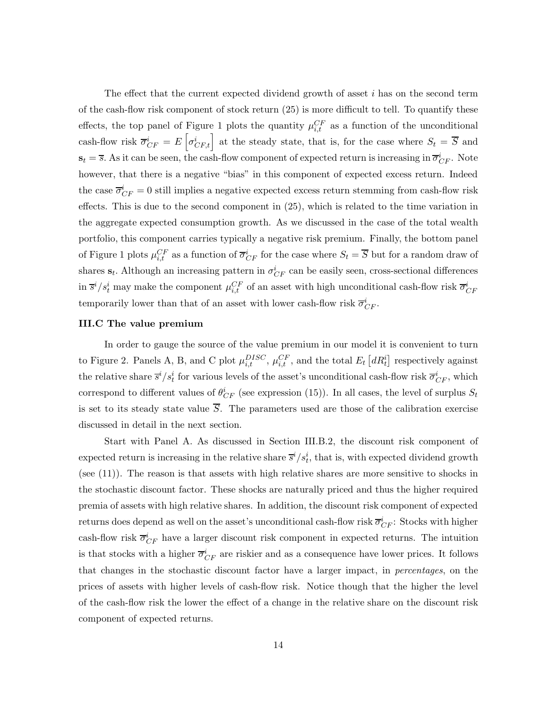The effect that the current expected dividend growth of asset  $i$  has on the second term of the cash-flow risk component of stock return (25) is more difficult to tell. To quantify these effects, the top panel of Figure 1 plots the quantity  $\mu_{i,t}^{CF}$  as a function of the unconditional cash-flow risk  $\overline{\sigma}_{CF}^i = E\left[\sigma_{CF,t}^i\right]$  at the steady state, that is, for the case where  $S_t = \overline{S}$  and  $\mathbf{s}_t = \overline{s}$ . As it can be seen, the cash-flow component of expected return is increasing in  $\overline{\sigma}_{CF}^i$ . Note however, that there is a negative "bias" in this component of expected excess return. Indeed the case  $\overline{\sigma}_{CF}^i = 0$  still implies a negative expected excess return stemming from cash-flow risk effects. This is due to the second component in (25), which is related to the time variation in the aggregate expected consumption growth. As we discussed in the case of the total wealth portfolio, this component carries typically a negative risk premium. Finally, the bottom panel of Figure 1 plots  $\mu_{i,t}^{CF}$  as a function of  $\overline{\sigma}_{CF}^i$  for the case where  $S_t = \overline{S}$  but for a random draw of shares  $\mathbf{s}_t$ . Although an increasing pattern in  $\sigma_{CF}^i$  can be easily seen, cross-sectional differences in  $\bar{s}^i/s_t^i$  may make the component  $\mu_{i,t}^{CF}$  of an asset with high unconditional cash-flow risk  $\overline{\sigma}_{CF}^i$ temporarily lower than that of an asset with lower cash-flow risk  $\overline{\sigma}_{CF}^i$ .

# **III.C The value premium**

In order to gauge the source of the value premium in our model it is convenient to turn to Figure 2. Panels A, B, and C plot  $\mu_{i,t}^{DISC}$ ,  $\mu_{i,t}^{CF}$ , and the total  $E_t\left[ dR_t^i \right]$  respectively against the relative share  $\bar{s}^i/s_t^i$  for various levels of the asset's unconditional cash-flow risk  $\bar{\sigma}_{CF}^i$ , which correspond to different values of  $\theta_{CF}^i$  (see expression (15)). In all cases, the level of surplus  $S_t$ is set to its steady state value  $\overline{S}$ . The parameters used are those of the calibration exercise discussed in detail in the next section.

Start with Panel A. As discussed in Section III.B.2, the discount risk component of expected return is increasing in the relative share  $\overline{s}^i/s_t^i$ , that is, with expected dividend growth (see (11)). The reason is that assets with high relative shares are more sensitive to shocks in the stochastic discount factor. These shocks are naturally priced and thus the higher required premia of assets with high relative shares. In addition, the discount risk component of expected returns does depend as well on the asset's unconditional cash-flow risk  $\overline{\sigma}_{CF}^i$ : Stocks with higher cash-flow risk  $\overline{\sigma}_{CF}^{i}$  have a larger discount risk component in expected returns. The intuition is that stocks with a higher  $\overline{\sigma}_{CF}^i$  are riskier and as a consequence have lower prices. It follows that changes in the stochastic discount factor have a larger impact, in *percentages*, on the prices of assets with higher levels of cash-flow risk. Notice though that the higher the level of the cash-flow risk the lower the effect of a change in the relative share on the discount risk component of expected returns.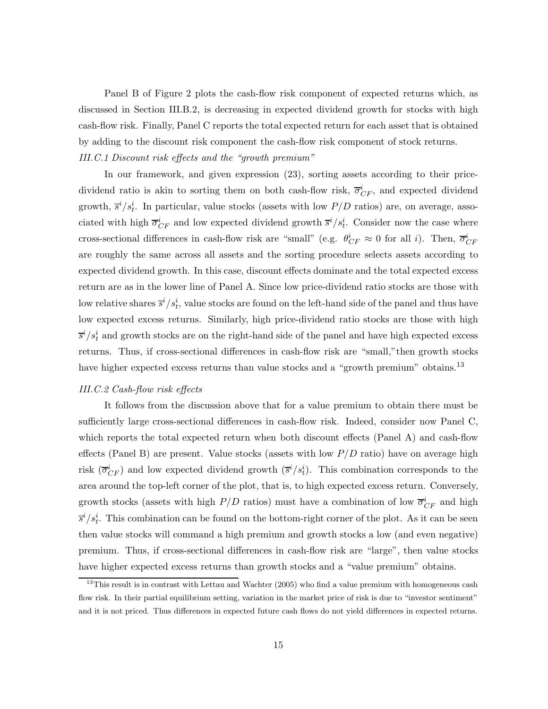Panel B of Figure 2 plots the cash-flow risk component of expected returns which, as discussed in Section III.B.2, is decreasing in expected dividend growth for stocks with high cash-flow risk. Finally, Panel C reports the total expected return for each asset that is obtained by adding to the discount risk component the cash-flow risk component of stock returns. *III.C.1 Discount risk effects and the "growth premium"*

In our framework, and given expression (23), sorting assets according to their pricedividend ratio is akin to sorting them on both cash-flow risk,  $\overline{\sigma}_{CF}^{i}$ , and expected dividend growth,  $\bar{s}^i/s_t^i$ . In particular, value stocks (assets with low  $P/D$  ratios) are, on average, associated with high  $\overline{\sigma}_{CF}^i$  and low expected dividend growth  $\overline{s}^i/s_t^i$ . Consider now the case where cross-sectional differences in cash-flow risk are "small" (e.g.  $\theta_{CF}^i \approx 0$  for all *i*). Then,  $\overline{\sigma}_{CF}^i$ are roughly the same across all assets and the sorting procedure selects assets according to expected dividend growth. In this case, discount effects dominate and the total expected excess return are as in the lower line of Panel A. Since low price-dividend ratio stocks are those with low relative shares  $\overline{s}^{i}/s_t^{i}$ , value stocks are found on the left-hand side of the panel and thus have low expected excess returns. Similarly, high price-dividend ratio stocks are those with high  $\overline{s}^{i}/s_{t}^{i}$  and growth stocks are on the right-hand side of the panel and have high expected excess returns. Thus, if cross-sectional differences in cash-flow risk are "small,"then growth stocks have higher expected excess returns than value stocks and a "growth premium" obtains.<sup>13</sup>

# *III.C.2 Cash-flow risk effects*

It follows from the discussion above that for a value premium to obtain there must be sufficiently large cross-sectional differences in cash-flow risk. Indeed, consider now Panel C, which reports the total expected return when both discount effects (Panel A) and cash-flow effects (Panel B) are present. Value stocks (assets with low  $P/D$  ratio) have on average high risk  $(\overline{\sigma}_{CF}^i)$  and low expected dividend growth  $(\overline{s}^i/s_t^i)$ . This combination corresponds to the area around the top-left corner of the plot, that is, to high expected excess return. Conversely, growth stocks (assets with high  $P/D$  ratios) must have a combination of low  $\overline{\sigma}_{CF}^{i}$  and high  $\overline{s}^i/s_t^i$ . This combination can be found on the bottom-right corner of the plot. As it can be seen then value stocks will command a high premium and growth stocks a low (and even negative) premium. Thus, if cross-sectional differences in cash-flow risk are "large", then value stocks have higher expected excess returns than growth stocks and a "value premium" obtains.

 $13$ This result is in contrast with Lettau and Wachter (2005) who find a value premium with homogeneous cash flow risk. In their partial equilibrium setting, variation in the market price of risk is due to "investor sentiment" and it is not priced. Thus differences in expected future cash flows do not yield differences in expected returns.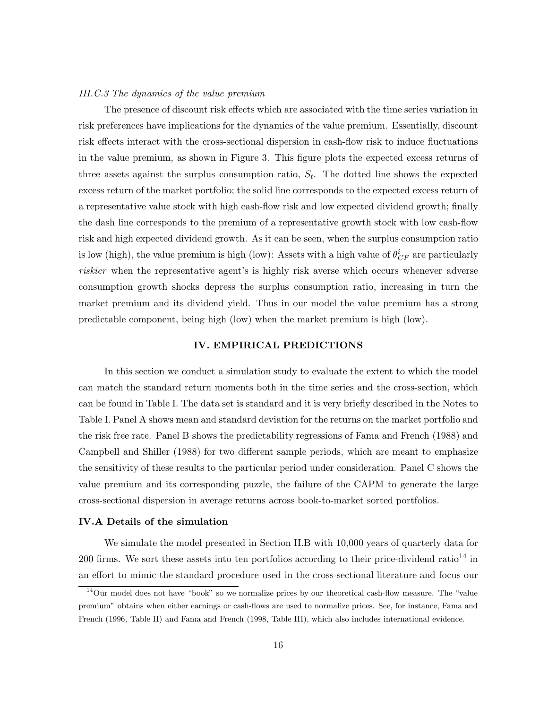#### *III.C.3 The dynamics of the value premium*

The presence of discount risk effects which are associated with the time series variation in risk preferences have implications for the dynamics of the value premium. Essentially, discount risk effects interact with the cross-sectional dispersion in cash-flow risk to induce fluctuations in the value premium, as shown in Figure 3. This figure plots the expected excess returns of three assets against the surplus consumption ratio,  $S_t$ . The dotted line shows the expected excess return of the market portfolio; the solid line corresponds to the expected excess return of a representative value stock with high cash-flow risk and low expected dividend growth; finally the dash line corresponds to the premium of a representative growth stock with low cash-flow risk and high expected dividend growth. As it can be seen, when the surplus consumption ratio is low (high), the value premium is high (low): Assets with a high value of  $\theta^i_{CF}$  are particularly *riskier* when the representative agent's is highly risk averse which occurs whenever adverse consumption growth shocks depress the surplus consumption ratio, increasing in turn the market premium and its dividend yield. Thus in our model the value premium has a strong predictable component, being high (low) when the market premium is high (low).

# **IV. EMPIRICAL PREDICTIONS**

In this section we conduct a simulation study to evaluate the extent to which the model can match the standard return moments both in the time series and the cross-section, which can be found in Table I. The data set is standard and it is very briefly described in the Notes to Table I. Panel A shows mean and standard deviation for the returns on the market portfolio and the risk free rate. Panel B shows the predictability regressions of Fama and French (1988) and Campbell and Shiller (1988) for two different sample periods, which are meant to emphasize the sensitivity of these results to the particular period under consideration. Panel C shows the value premium and its corresponding puzzle, the failure of the CAPM to generate the large cross-sectional dispersion in average returns across book-to-market sorted portfolios.

## **IV.A Details of the simulation**

We simulate the model presented in Section II.B with 10,000 years of quarterly data for 200 firms. We sort these assets into ten portfolios according to their price-dividend ratio<sup>14</sup> in an effort to mimic the standard procedure used in the cross-sectional literature and focus our

 $14$ Our model does not have "book" so we normalize prices by our theoretical cash-flow measure. The "value" premium" obtains when either earnings or cash-flows are used to normalize prices. See, for instance, Fama and French (1996, Table II) and Fama and French (1998, Table III), which also includes international evidence.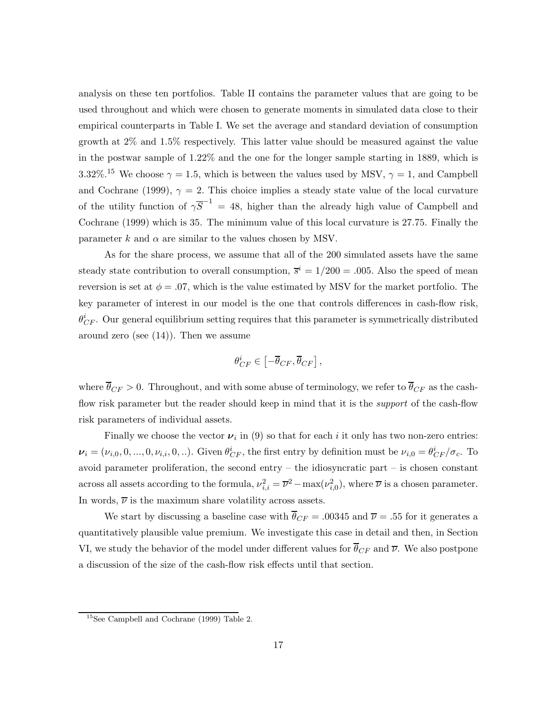analysis on these ten portfolios. Table II contains the parameter values that are going to be used throughout and which were chosen to generate moments in simulated data close to their empirical counterparts in Table I. We set the average and standard deviation of consumption growth at 2% and 1.5% respectively. This latter value should be measured against the value in the postwar sample of 1.22% and the one for the longer sample starting in 1889, which is 3.32%.<sup>15</sup> We choose  $\gamma = 1.5$ , which is between the values used by MSV,  $\gamma = 1$ , and Campbell and Cochrane (1999),  $\gamma = 2$ . This choice implies a steady state value of the local curvature of the utility function of  $\gamma \overline{S}^{-1} = 48$ , higher than the already high value of Campbell and Cochrane (1999) which is 35. The minimum value of this local curvature is 27.75. Finally the parameter k and  $\alpha$  are similar to the values chosen by MSV.

As for the share process, we assume that all of the 200 simulated assets have the same steady state contribution to overall consumption,  $\overline{s}^i = 1/200 = .005$ . Also the speed of mean reversion is set at  $\phi = 0.07$ , which is the value estimated by MSV for the market portfolio. The key parameter of interest in our model is the one that controls differences in cash-flow risk,  $\theta_{CF}^i$ . Our general equilibrium setting requires that this parameter is symmetrically distributed around zero (see (14)). Then we assume

$$
\theta_{CF}^i \in \left[ -\overline{\theta}_{CF}, \overline{\theta}_{CF} \right],
$$

where  $\overline{\theta}_{CF} > 0$ . Throughout, and with some abuse of terminology, we refer to  $\overline{\theta}_{CF}$  as the cashflow risk parameter but the reader should keep in mind that it is the *support* of the cash-flow risk parameters of individual assets.

Finally we choose the vector  $\nu_i$  in (9) so that for each i it only has two non-zero entries:  $\nu_i = (\nu_{i,0}, 0, ..., 0, \nu_{i,i}, 0, ...)$ . Given  $\theta_{CF}^i$ , the first entry by definition must be  $\nu_{i,0} = \theta_{CF}^i / \sigma_c$ . To avoid parameter proliferation, the second entry  $-$  the idiosyncratic part  $-$  is chosen constant across all assets according to the formula,  $\nu_{i,i}^2 = \overline{\nu}^2 - \max(\nu_{i,0}^2)$ , where  $\overline{\nu}$  is a chosen parameter. In words,  $\overline{\nu}$  is the maximum share volatility across assets.

We start by discussing a baseline case with  $\overline{\theta}_{CF} = .00345$  and  $\overline{\nu} = .55$  for it generates a quantitatively plausible value premium. We investigate this case in detail and then, in Section VI, we study the behavior of the model under different values for  $\theta_{CF}$  and  $\overline{\nu}$ . We also postpone a discussion of the size of the cash-flow risk effects until that section.

<sup>15</sup>See Campbell and Cochrane (1999) Table 2.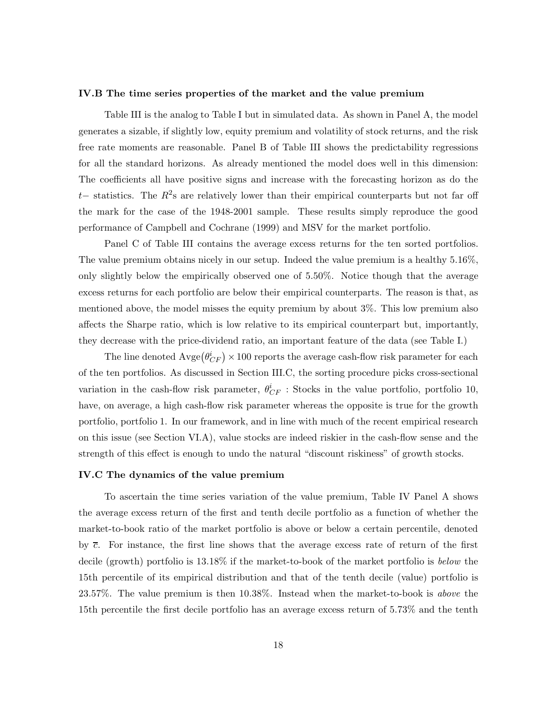#### **IV.B The time series properties of the market and the value premium**

Table III is the analog to Table I but in simulated data. As shown in Panel A, the model generates a sizable, if slightly low, equity premium and volatility of stock returns, and the risk free rate moments are reasonable. Panel B of Table III shows the predictability regressions for all the standard horizons. As already mentioned the model does well in this dimension: The coefficients all have positive signs and increase with the forecasting horizon as do the t– statistics. The  $R^2$ s are relatively lower than their empirical counterparts but not far off the mark for the case of the 1948-2001 sample. These results simply reproduce the good performance of Campbell and Cochrane (1999) and MSV for the market portfolio.

Panel C of Table III contains the average excess returns for the ten sorted portfolios. The value premium obtains nicely in our setup. Indeed the value premium is a healthy 5.16%, only slightly below the empirically observed one of 5.50%. Notice though that the average excess returns for each portfolio are below their empirical counterparts. The reason is that, as mentioned above, the model misses the equity premium by about 3%. This low premium also affects the Sharpe ratio, which is low relative to its empirical counterpart but, importantly, they decrease with the price-dividend ratio, an important feature of the data (see Table I.)

The line denoted  $\text{Avge}(\theta_{CF}^i) \times 100$  reports the average cash-flow risk parameter for each of the ten portfolios. As discussed in Section III.C, the sorting procedure picks cross-sectional variation in the cash-flow risk parameter,  $\theta_{CF}^{i}$ : Stocks in the value portfolio, portfolio 10, have, on average, a high cash-flow risk parameter whereas the opposite is true for the growth portfolio, portfolio 1. In our framework, and in line with much of the recent empirical research on this issue (see Section VI.A), value stocks are indeed riskier in the cash-flow sense and the strength of this effect is enough to undo the natural "discount riskiness" of growth stocks.

### **IV.C The dynamics of the value premium**

To ascertain the time series variation of the value premium, Table IV Panel A shows the average excess return of the first and tenth decile portfolio as a function of whether the market-to-book ratio of the market portfolio is above or below a certain percentile, denoted by  $\bar{c}$ . For instance, the first line shows that the average excess rate of return of the first decile (growth) portfolio is 13.18% if the market-to-book of the market portfolio is *below* the 15th percentile of its empirical distribution and that of the tenth decile (value) portfolio is 23.57%. The value premium is then 10.38%. Instead when the market-to-book is *above* the 15th percentile the first decile portfolio has an average excess return of 5.73% and the tenth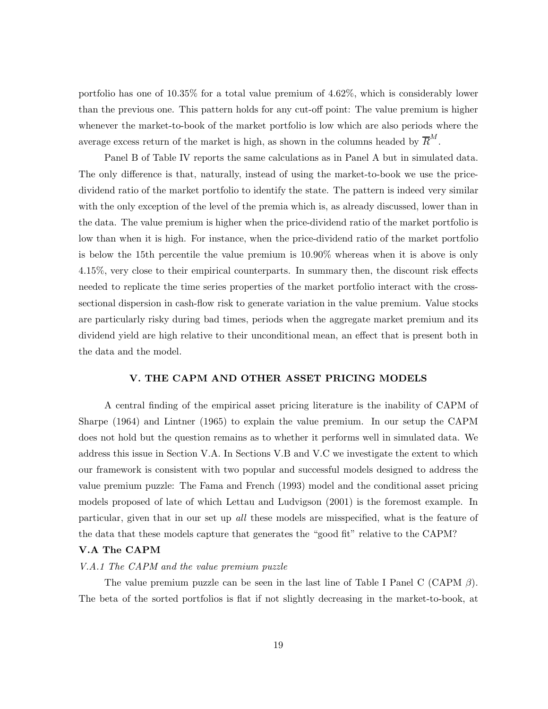portfolio has one of 10.35% for a total value premium of 4.62%, which is considerably lower than the previous one. This pattern holds for any cut-off point: The value premium is higher whenever the market-to-book of the market portfolio is low which are also periods where the average excess return of the market is high, as shown in the columns headed by  $\overline{R}^M$ .

Panel B of Table IV reports the same calculations as in Panel A but in simulated data. The only difference is that, naturally, instead of using the market-to-book we use the pricedividend ratio of the market portfolio to identify the state. The pattern is indeed very similar with the only exception of the level of the premia which is, as already discussed, lower than in the data. The value premium is higher when the price-dividend ratio of the market portfolio is low than when it is high. For instance, when the price-dividend ratio of the market portfolio is below the 15th percentile the value premium is 10.90% whereas when it is above is only 4.15%, very close to their empirical counterparts. In summary then, the discount risk effects needed to replicate the time series properties of the market portfolio interact with the crosssectional dispersion in cash-flow risk to generate variation in the value premium. Value stocks are particularly risky during bad times, periods when the aggregate market premium and its dividend yield are high relative to their unconditional mean, an effect that is present both in the data and the model.

## **V. THE CAPM AND OTHER ASSET PRICING MODELS**

A central finding of the empirical asset pricing literature is the inability of CAPM of Sharpe (1964) and Lintner (1965) to explain the value premium. In our setup the CAPM does not hold but the question remains as to whether it performs well in simulated data. We address this issue in Section V.A. In Sections V.B and V.C we investigate the extent to which our framework is consistent with two popular and successful models designed to address the value premium puzzle: The Fama and French (1993) model and the conditional asset pricing models proposed of late of which Lettau and Ludvigson (2001) is the foremost example. In particular, given that in our set up *all* these models are misspecified, what is the feature of the data that these models capture that generates the "good fit" relative to the CAPM?

## **V.A The CAPM**

#### *V.A.1 The CAPM and the value premium puzzle*

The value premium puzzle can be seen in the last line of Table I Panel C (CAPM  $\beta$ ). The beta of the sorted portfolios is flat if not slightly decreasing in the market-to-book, at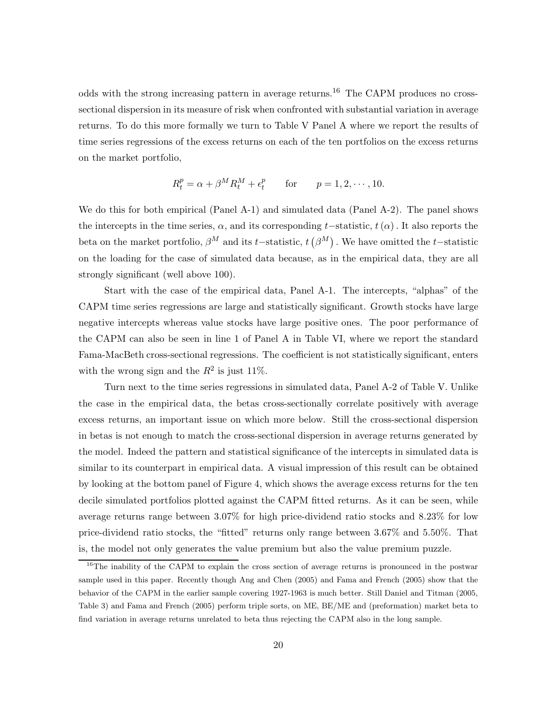odds with the strong increasing pattern in average returns.<sup>16</sup> The CAPM produces no crosssectional dispersion in its measure of risk when confronted with substantial variation in average returns. To do this more formally we turn to Table V Panel A where we report the results of time series regressions of the excess returns on each of the ten portfolios on the excess returns on the market portfolio,

$$
R_t^p = \alpha + \beta^M R_t^M + \epsilon_t^p \quad \text{for} \quad p = 1, 2, \cdots, 10.
$$

We do this for both empirical (Panel A-1) and simulated data (Panel A-2). The panel shows the intercepts in the time series,  $\alpha$ , and its corresponding t–statistic,  $t(\alpha)$ . It also reports the beta on the market portfolio,  $\beta^M$  and its t−statistic,  $t(\beta^M)$  . We have omitted the t−statistic on the loading for the case of simulated data because, as in the empirical data, they are all strongly significant (well above 100).

Start with the case of the empirical data, Panel A-1. The intercepts, "alphas" of the CAPM time series regressions are large and statistically significant. Growth stocks have large negative intercepts whereas value stocks have large positive ones. The poor performance of the CAPM can also be seen in line 1 of Panel A in Table VI, where we report the standard Fama-MacBeth cross-sectional regressions. The coefficient is not statistically significant, enters with the wrong sign and the  $R^2$  is just 11%.

Turn next to the time series regressions in simulated data, Panel A-2 of Table V. Unlike the case in the empirical data, the betas cross-sectionally correlate positively with average excess returns, an important issue on which more below. Still the cross-sectional dispersion in betas is not enough to match the cross-sectional dispersion in average returns generated by the model. Indeed the pattern and statistical significance of the intercepts in simulated data is similar to its counterpart in empirical data. A visual impression of this result can be obtained by looking at the bottom panel of Figure 4, which shows the average excess returns for the ten decile simulated portfolios plotted against the CAPM fitted returns. As it can be seen, while average returns range between 3.07% for high price-dividend ratio stocks and 8.23% for low price-dividend ratio stocks, the "fitted" returns only range between 3.67% and 5.50%. That is, the model not only generates the value premium but also the value premium puzzle.

<sup>&</sup>lt;sup>16</sup>The inability of the CAPM to explain the cross section of average returns is pronounced in the postwar sample used in this paper. Recently though Ang and Chen (2005) and Fama and French (2005) show that the behavior of the CAPM in the earlier sample covering 1927-1963 is much better. Still Daniel and Titman (2005, Table 3) and Fama and French (2005) perform triple sorts, on ME, BE/ME and (preformation) market beta to find variation in average returns unrelated to beta thus rejecting the CAPM also in the long sample.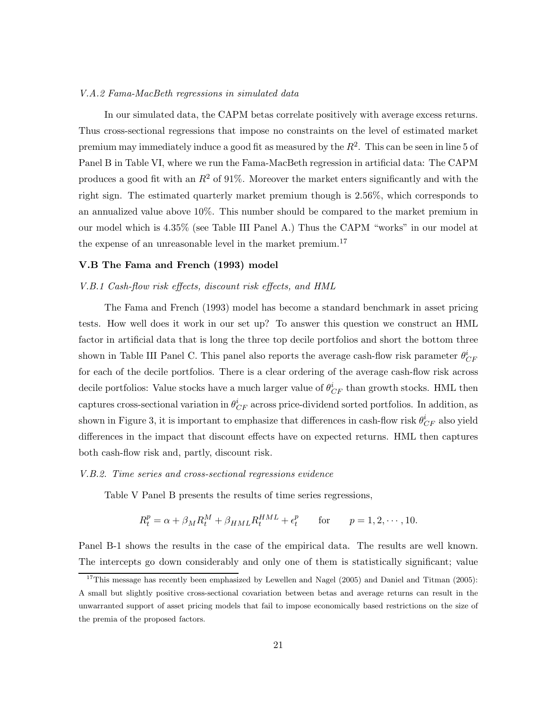#### *V.A.2 Fama-MacBeth regressions in simulated data*

In our simulated data, the CAPM betas correlate positively with average excess returns. Thus cross-sectional regressions that impose no constraints on the level of estimated market premium may immediately induce a good fit as measured by the  $R<sup>2</sup>$ . This can be seen in line 5 of Panel B in Table VI, where we run the Fama-MacBeth regression in artificial data: The CAPM produces a good fit with an  $R^2$  of 91%. Moreover the market enters significantly and with the right sign. The estimated quarterly market premium though is 2.56%, which corresponds to an annualized value above 10%. This number should be compared to the market premium in our model which is 4.35% (see Table III Panel A.) Thus the CAPM "works" in our model at the expense of an unreasonable level in the market premium.<sup>17</sup>

# **V.B The Fama and French (1993) model**

#### *V.B.1 Cash-flow risk effects, discount risk effects, and HML*

The Fama and French (1993) model has become a standard benchmark in asset pricing tests. How well does it work in our set up? To answer this question we construct an HML factor in artificial data that is long the three top decile portfolios and short the bottom three shown in Table III Panel C. This panel also reports the average cash-flow risk parameter  $\theta^i_{CF}$ for each of the decile portfolios. There is a clear ordering of the average cash-flow risk across decile portfolios: Value stocks have a much larger value of  $\theta^{i}_{CF}$  than growth stocks. HML then captures cross-sectional variation in  $\theta^i_{CF}$  across price-dividend sorted portfolios. In addition, as shown in Figure 3, it is important to emphasize that differences in cash-flow risk  $\theta_{CF}^i$  also yield differences in the impact that discount effects have on expected returns. HML then captures both cash-flow risk and, partly, discount risk.

#### *V.B.2. Time series and cross-sectional regressions evidence*

Table V Panel B presents the results of time series regressions,

$$
R_t^p = \alpha + \beta_M R_t^M + \beta_{HML} R_t^{HML} + \epsilon_t^p \quad \text{for} \quad p = 1, 2, \cdots, 10.
$$

Panel B-1 shows the results in the case of the empirical data. The results are well known. The intercepts go down considerably and only one of them is statistically significant; value

<sup>&</sup>lt;sup>17</sup>This message has recently been emphasized by Lewellen and Nagel (2005) and Daniel and Titman (2005): A small but slightly positive cross-sectional covariation between betas and average returns can result in the unwarranted support of asset pricing models that fail to impose economically based restrictions on the size of the premia of the proposed factors.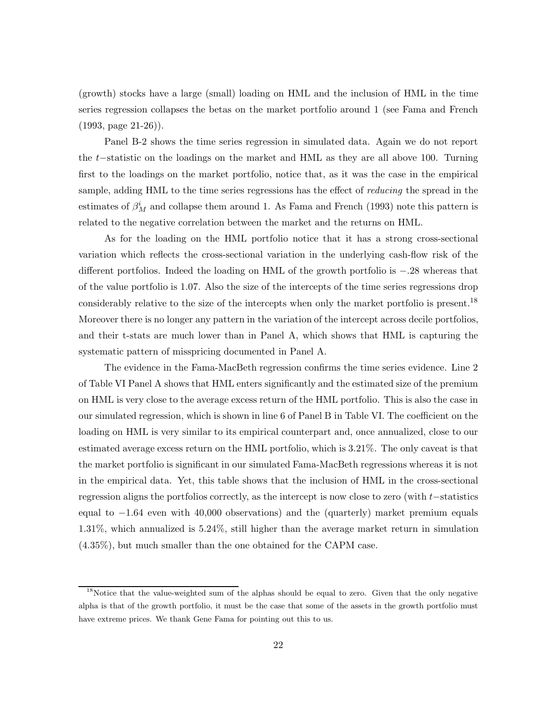(growth) stocks have a large (small) loading on HML and the inclusion of HML in the time series regression collapses the betas on the market portfolio around 1 (see Fama and French (1993, page 21-26)).

Panel B-2 shows the time series regression in simulated data. Again we do not report the <sup>t</sup>−statistic on the loadings on the market and HML as they are all above 100. Turning first to the loadings on the market portfolio, notice that, as it was the case in the empirical sample, adding HML to the time series regressions has the effect of *reducing* the spread in the estimates of  $\beta^i_M$  and collapse them around 1. As Fama and French (1993) note this pattern is related to the negative correlation between the market and the returns on HML.

As for the loading on the HML portfolio notice that it has a strong cross-sectional variation which reflects the cross-sectional variation in the underlying cash-flow risk of the different portfolios. Indeed the loading on HML of the growth portfolio is <sup>−</sup>.28 whereas that of the value portfolio is 1.07. Also the size of the intercepts of the time series regressions drop considerably relative to the size of the intercepts when only the market portfolio is present.<sup>18</sup> Moreover there is no longer any pattern in the variation of the intercept across decile portfolios, and their t-stats are much lower than in Panel A, which shows that HML is capturing the systematic pattern of misspricing documented in Panel A.

The evidence in the Fama-MacBeth regression confirms the time series evidence. Line 2 of Table VI Panel A shows that HML enters significantly and the estimated size of the premium on HML is very close to the average excess return of the HML portfolio. This is also the case in our simulated regression, which is shown in line 6 of Panel B in Table VI. The coefficient on the loading on HML is very similar to its empirical counterpart and, once annualized, close to our estimated average excess return on the HML portfolio, which is 3.21%. The only caveat is that the market portfolio is significant in our simulated Fama-MacBeth regressions whereas it is not in the empirical data. Yet, this table shows that the inclusion of HML in the cross-sectional regression aligns the portfolios correctly, as the intercept is now close to zero (with <sup>t</sup>−statistics equal to <sup>−</sup>1.64 even with 40,000 observations) and the (quarterly) market premium equals 1.31%, which annualized is 5.24%, still higher than the average market return in simulation (4.35%), but much smaller than the one obtained for the CAPM case.

<sup>&</sup>lt;sup>18</sup>Notice that the value-weighted sum of the alphas should be equal to zero. Given that the only negative alpha is that of the growth portfolio, it must be the case that some of the assets in the growth portfolio must have extreme prices. We thank Gene Fama for pointing out this to us.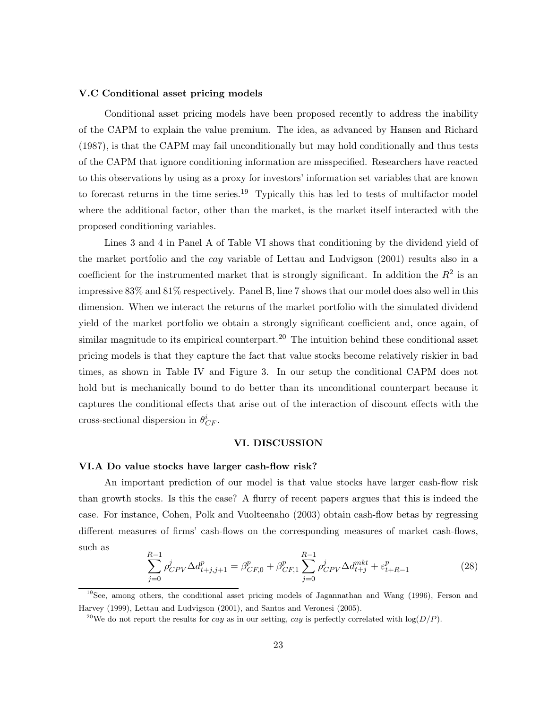#### **V.C Conditional asset pricing models**

Conditional asset pricing models have been proposed recently to address the inability of the CAPM to explain the value premium. The idea, as advanced by Hansen and Richard (1987), is that the CAPM may fail unconditionally but may hold conditionally and thus tests of the CAPM that ignore conditioning information are misspecified. Researchers have reacted to this observations by using as a proxy for investors' information set variables that are known to forecast returns in the time series.<sup>19</sup> Typically this has led to tests of multifactor model where the additional factor, other than the market, is the market itself interacted with the proposed conditioning variables.

Lines 3 and 4 in Panel A of Table VI shows that conditioning by the dividend yield of the market portfolio and the cay variable of Lettau and Ludvigson (2001) results also in a coefficient for the instrumented market that is strongly significant. In addition the  $R^2$  is an impressive 83% and 81% respectively. Panel B, line 7 shows that our model does also well in this dimension. When we interact the returns of the market portfolio with the simulated dividend yield of the market portfolio we obtain a strongly significant coefficient and, once again, of similar magnitude to its empirical counterpart.<sup>20</sup> The intuition behind these conditional asset pricing models is that they capture the fact that value stocks become relatively riskier in bad times, as shown in Table IV and Figure 3. In our setup the conditional CAPM does not hold but is mechanically bound to do better than its unconditional counterpart because it captures the conditional effects that arise out of the interaction of discount effects with the cross-sectional dispersion in  $\theta_{CF}^i$ .

# **VI. DISCUSSION**

# **VI.A Do value stocks have larger cash-flow risk?**

An important prediction of our model is that value stocks have larger cash-flow risk than growth stocks. Is this the case? A flurry of recent papers argues that this is indeed the case. For instance, Cohen, Polk and Vuolteenaho (2003) obtain cash-flow betas by regressing different measures of firms' cash-flows on the corresponding measures of market cash-flows, such as

$$
\sum_{j=0}^{R-1} \rho_{CPV}^j \Delta d_{t+j,j+1}^p = \beta_{CF,0}^p + \beta_{CF,1}^p \sum_{j=0}^{R-1} \rho_{CPV}^j \Delta d_{t+j}^{mkt} + \varepsilon_{t+R-1}^p
$$
\n(28)

<sup>&</sup>lt;sup>19</sup>See, among others, the conditional asset pricing models of Jagannathan and Wang (1996), Ferson and Harvey (1999), Lettau and Ludvigson (2001), and Santos and Veronesi (2005).

<sup>&</sup>lt;sup>20</sup>We do not report the results for *cay* as in our setting, *cay* is perfectly correlated with  $log(D/P)$ .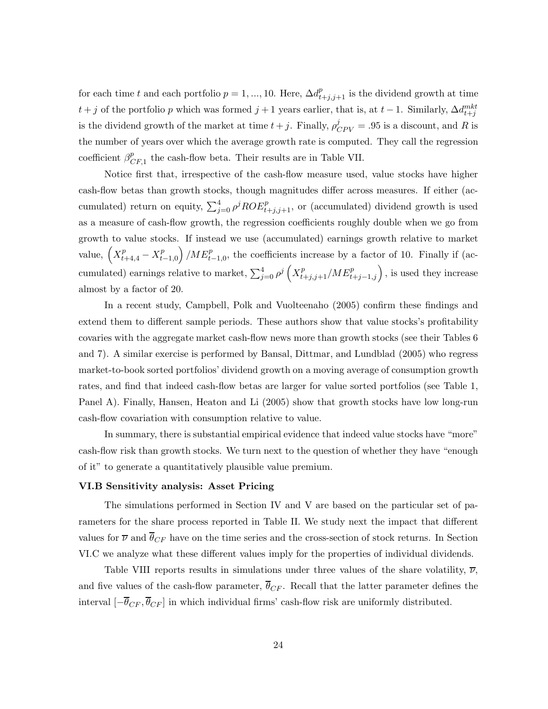for each time t and each portfolio  $p = 1, ..., 10$ . Here,  $\Delta d_{t+j,j+1}^p$  is the dividend growth at time  $t + j$  of the portfolio p which was formed  $j + 1$  years earlier, that is, at  $t - 1$ . Similarly,  $\Delta d_{t+j}^{mkt}$ is the dividend growth of the market at time  $t + j$ . Finally,  $\rho_{CPV}^j = .95$  is a discount, and R is the number of years over which the average growth rate is computed. They call the regression coefficient  $\beta_{CF,1}^p$  the cash-flow beta. Their results are in Table VII.

Notice first that, irrespective of the cash-flow measure used, value stocks have higher cash-flow betas than growth stocks, though magnitudes differ across measures. If either (accumulated) return on equity,  $\sum_{j=0}^{4} \rho^{j} ROE_{t+j,j+1}^{p}$ , or (accumulated) dividend growth is used as a measure of cash-flow growth, the regression coefficients roughly double when we go from growth to value stocks. If instead we use (accumulated) earnings growth relative to market value,  $\left(X_{t+4,4}^p - X_{t-1,0}^p\right)$  $\left($  /ME<sub>t<sup>-1</sup>,0</sub>, the coefficients increase by a factor of 10. Finally if (accumulated) earnings relative to market,  $\sum_{j=0}^{4} \rho^j \left( X_{t+j,j+1}^p / M E_{t+j-1,j}^p \right)$ , is used they increase almost by a factor of 20.

In a recent study, Campbell, Polk and Vuolteenaho (2005) confirm these findings and extend them to different sample periods. These authors show that value stocks's profitability covaries with the aggregate market cash-flow news more than growth stocks (see their Tables 6 and 7). A similar exercise is performed by Bansal, Dittmar, and Lundblad (2005) who regress market-to-book sorted portfolios' dividend growth on a moving average of consumption growth rates, and find that indeed cash-flow betas are larger for value sorted portfolios (see Table 1, Panel A). Finally, Hansen, Heaton and Li (2005) show that growth stocks have low long-run cash-flow covariation with consumption relative to value.

In summary, there is substantial empirical evidence that indeed value stocks have "more" cash-flow risk than growth stocks. We turn next to the question of whether they have "enough of it" to generate a quantitatively plausible value premium.

#### **VI.B Sensitivity analysis: Asset Pricing**

The simulations performed in Section IV and V are based on the particular set of parameters for the share process reported in Table II. We study next the impact that different values for  $\overline{\nu}$  and  $\overline{\theta}_{CF}$  have on the time series and the cross-section of stock returns. In Section VI.C we analyze what these different values imply for the properties of individual dividends.

Table VIII reports results in simulations under three values of the share volatility,  $\overline{\nu}$ , and five values of the cash-flow parameter,  $\overline{\theta}_{CF}$ . Recall that the latter parameter defines the interval  $\left[-\overline{\theta}_{CF}, \overline{\theta}_{CF}\right]$  in which individual firms' cash-flow risk are uniformly distributed.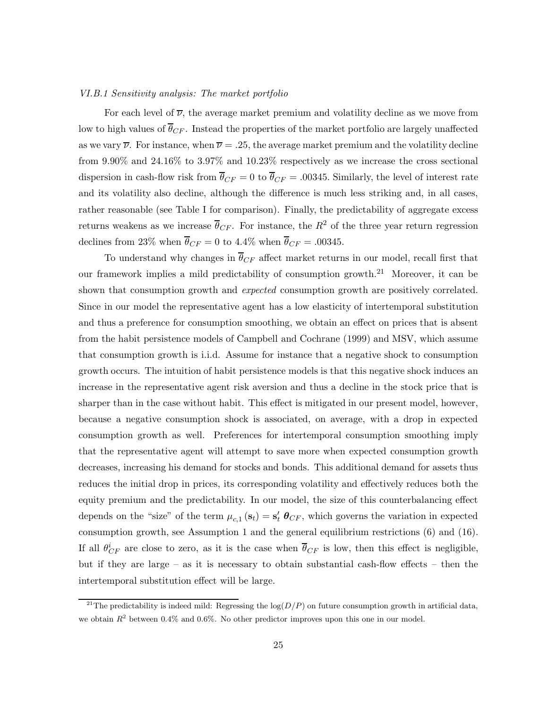#### *VI.B.1 Sensitivity analysis: The market portfolio*

For each level of  $\overline{\nu}$ , the average market premium and volatility decline as we move from low to high values of  $\bar{\theta}_{CF}$ . Instead the properties of the market portfolio are largely unaffected as we vary  $\overline{\nu}$ . For instance, when  $\overline{\nu} = .25$ , the average market premium and the volatility decline from 9.90% and 24.16% to 3.97% and 10.23% respectively as we increase the cross sectional dispersion in cash-flow risk from  $\overline{\theta}_{CF} = 0$  to  $\overline{\theta}_{CF} = .00345$ . Similarly, the level of interest rate and its volatility also decline, although the difference is much less striking and, in all cases, rather reasonable (see Table I for comparison). Finally, the predictability of aggregate excess returns weakens as we increase  $\overline{\theta}_{CF}$ . For instance, the  $R^2$  of the three year return regression declines from 23% when  $\overline{\theta}_{CF} = 0$  to 4.4% when  $\overline{\theta}_{CF} = .00345$ .

To understand why changes in  $\overline{\theta}_{CF}$  affect market returns in our model, recall first that our framework implies a mild predictability of consumption growth.<sup>21</sup> Moreover, it can be shown that consumption growth and *expected* consumption growth are positively correlated. Since in our model the representative agent has a low elasticity of intertemporal substitution and thus a preference for consumption smoothing, we obtain an effect on prices that is absent from the habit persistence models of Campbell and Cochrane (1999) and MSV, which assume that consumption growth is i.i.d. Assume for instance that a negative shock to consumption growth occurs. The intuition of habit persistence models is that this negative shock induces an increase in the representative agent risk aversion and thus a decline in the stock price that is sharper than in the case without habit. This effect is mitigated in our present model, however, because a negative consumption shock is associated, on average, with a drop in expected consumption growth as well. Preferences for intertemporal consumption smoothing imply that the representative agent will attempt to save more when expected consumption growth decreases, increasing his demand for stocks and bonds. This additional demand for assets thus reduces the initial drop in prices, its corresponding volatility and effectively reduces both the equity premium and the predictability. In our model, the size of this counterbalancing effect depends on the "size" of the term  $\mu_{c,1}(\mathbf{s}_t) = \mathbf{s}'_t \boldsymbol{\theta}_{CF}$ , which governs the variation in expected consumption growth, see Assumption 1 and the general equilibrium restrictions (6) and (16). If all  $\theta_{CF}^i$  are close to zero, as it is the case when  $\overline{\theta}_{CF}$  is low, then this effect is negligible, but if they are large – as it is necessary to obtain substantial cash-flow effects – then the intertemporal substitution effect will be large.

<sup>&</sup>lt;sup>21</sup>The predictability is indeed mild: Regressing the  $log(D/P)$  on future consumption growth in artificial data, we obtain  $R^2$  between 0.4% and 0.6%. No other predictor improves upon this one in our model.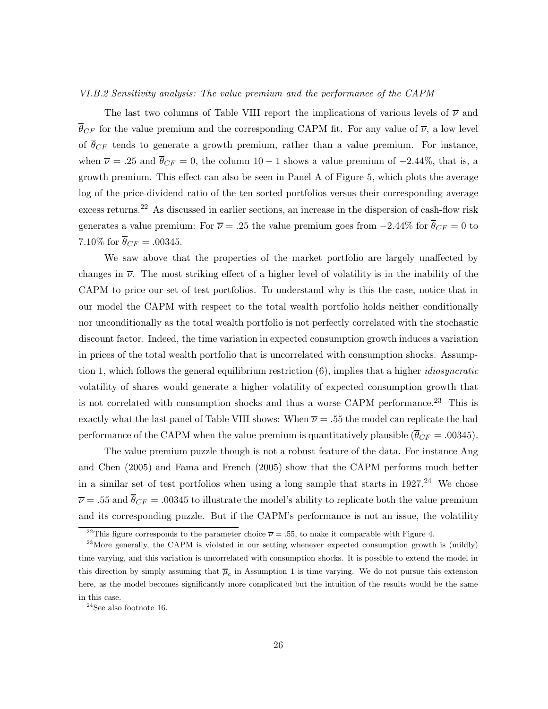#### *VI.B.2 Sensitivity analysis: The value premium and the performance of the CAPM*

The last two columns of Table VIII report the implications of various levels of  $\overline{\nu}$  and  $\overline{\theta}_{CF}$  for the value premium and the corresponding CAPM fit. For any value of  $\overline{\nu}$ , a low level of  $\overline{\theta}_{CF}$  tends to generate a growth premium, rather than a value premium. For instance, when  $\overline{\nu} = .25$  and  $\overline{\theta}_{CF} = 0$ , the column 10 – 1 shows a value premium of –2.44%, that is, a growth premium. This effect can also be seen in Panel A of Figure 5, which plots the average log of the price-dividend ratio of the ten sorted portfolios versus their corresponding average excess returns.<sup>22</sup> As discussed in earlier sections, an increase in the dispersion of cash-flow risk generates a value premium: For  $\overline{\nu} = .25$  the value premium goes from  $-2.44\%$  for  $\overline{\theta}_{CF} = 0$  to 7.10\% for  $\overline{\theta}_{CF} = .00345$ .

We saw above that the properties of the market portfolio are largely unaffected by changes in  $\overline{\nu}$ . The most striking effect of a higher level of volatility is in the inability of the CAPM to price our set of test portfolios. To understand why is this the case, notice that in our model the CAPM with respect to the total wealth portfolio holds neither conditionally nor unconditionally as the total wealth portfolio is not perfectly correlated with the stochastic discount factor. Indeed, the time variation in expected consumption growth induces a variation in prices of the total wealth portfolio that is uncorrelated with consumption shocks. Assumption 1, which follows the general equilibrium restriction (6), implies that a higher *idiosyncratic* volatility of shares would generate a higher volatility of expected consumption growth that is not correlated with consumption shocks and thus a worse CAPM performance.<sup>23</sup> This is exactly what the last panel of Table VIII shows: When  $\overline{\nu} = .55$  the model can replicate the bad performance of the CAPM when the value premium is quantitatively plausible  $(\bar{\theta}_{CF} = .00345)$ .

The value premium puzzle though is not a robust feature of the data. For instance Ang and Chen (2005) and Fama and French (2005) show that the CAPM performs much better in a similar set of test portfolios when using a long sample that starts in  $1927<sup>24</sup>$  We chose  $\overline{\nu} = .55$  and  $\overline{\theta}_{CF} = .00345$  to illustrate the model's ability to replicate both the value premium and its corresponding puzzle. But if the CAPM's performance is not an issue, the volatility

<sup>&</sup>lt;sup>22</sup>This figure corresponds to the parameter choice  $\overline{\nu} = .55$ , to make it comparable with Figure 4.

 $^{23}$ More generally, the CAPM is violated in our setting whenever expected consumption growth is (mildly) time varying, and this variation is uncorrelated with consumption shocks. It is possible to extend the model in this direction by simply assuming that  $\overline{\mu}_c$  in Assumption 1 is time varying. We do not pursue this extension here, as the model becomes significantly more complicated but the intuition of the results would be the same in this case.

 $^{24}$  See also footnote 16.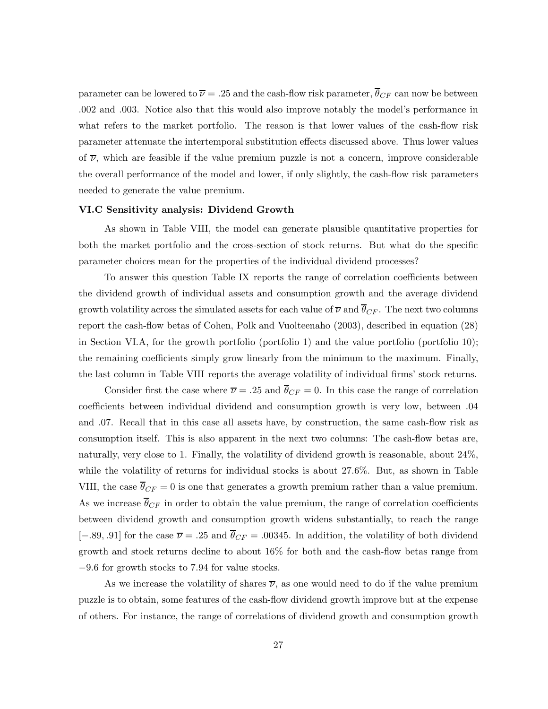parameter can be lowered to  $\overline{\nu} = .25$  and the cash-flow risk parameter,  $\overline{\theta}_{CF}$  can now be between .002 and .003. Notice also that this would also improve notably the model's performance in what refers to the market portfolio. The reason is that lower values of the cash-flow risk parameter attenuate the intertemporal substitution effects discussed above. Thus lower values of  $\overline{\nu}$ , which are feasible if the value premium puzzle is not a concern, improve considerable the overall performance of the model and lower, if only slightly, the cash-flow risk parameters needed to generate the value premium.

#### **VI.C Sensitivity analysis: Dividend Growth**

As shown in Table VIII, the model can generate plausible quantitative properties for both the market portfolio and the cross-section of stock returns. But what do the specific parameter choices mean for the properties of the individual dividend processes?

To answer this question Table IX reports the range of correlation coefficients between the dividend growth of individual assets and consumption growth and the average dividend growth volatility across the simulated assets for each value of  $\overline{\nu}$  and  $\overline{\theta}_{CF}$ . The next two columns report the cash-flow betas of Cohen, Polk and Vuolteenaho (2003), described in equation (28) in Section VI.A, for the growth portfolio (portfolio 1) and the value portfolio (portfolio 10); the remaining coefficients simply grow linearly from the minimum to the maximum. Finally, the last column in Table VIII reports the average volatility of individual firms' stock returns.

Consider first the case where  $\overline{\nu} = .25$  and  $\overline{\theta}_{CF} = 0$ . In this case the range of correlation coefficients between individual dividend and consumption growth is very low, between .04 and .07. Recall that in this case all assets have, by construction, the same cash-flow risk as consumption itself. This is also apparent in the next two columns: The cash-flow betas are, naturally, very close to 1. Finally, the volatility of dividend growth is reasonable, about 24%, while the volatility of returns for individual stocks is about 27.6%. But, as shown in Table VIII, the case  $\overline{\theta}_{CF} = 0$  is one that generates a growth premium rather than a value premium. As we increase  $\overline{\theta}_{CF}$  in order to obtain the value premium, the range of correlation coefficients between dividend growth and consumption growth widens substantially, to reach the range [−.89, .91] for the case  $\overline{\nu}$  = .25 and  $\overline{\theta}_{CF}$  = .00345. In addition, the volatility of both dividend growth and stock returns decline to about 16% for both and the cash-flow betas range from <sup>−</sup>9.6 for growth stocks to 7.94 for value stocks.

As we increase the volatility of shares  $\overline{\nu}$ , as one would need to do if the value premium puzzle is to obtain, some features of the cash-flow dividend growth improve but at the expense of others. For instance, the range of correlations of dividend growth and consumption growth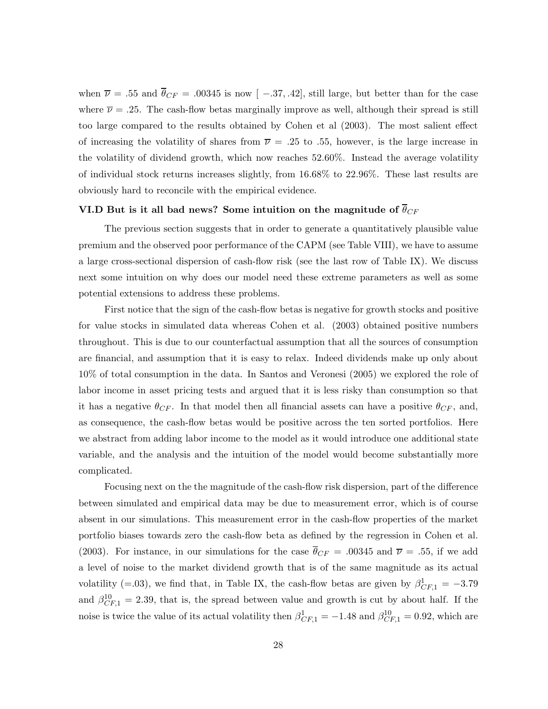when  $\overline{\nu}$  = .55 and  $\overline{\theta}_{CF}$  = .00345 is now [ -.37, .42], still large, but better than for the case where  $\overline{\nu} = .25$ . The cash-flow betas marginally improve as well, although their spread is still too large compared to the results obtained by Cohen et al (2003). The most salient effect of increasing the volatility of shares from  $\overline{\nu}$  = .25 to .55, however, is the large increase in the volatility of dividend growth, which now reaches 52.60%. Instead the average volatility of individual stock returns increases slightly, from 16.68% to 22.96%. These last results are obviously hard to reconcile with the empirical evidence.

# **VI.D But is it all bad news? Some intuition on the magnitude of**  $\overline{\theta}_{CF}$

The previous section suggests that in order to generate a quantitatively plausible value premium and the observed poor performance of the CAPM (see Table VIII), we have to assume a large cross-sectional dispersion of cash-flow risk (see the last row of Table IX). We discuss next some intuition on why does our model need these extreme parameters as well as some potential extensions to address these problems.

First notice that the sign of the cash-flow betas is negative for growth stocks and positive for value stocks in simulated data whereas Cohen et al. (2003) obtained positive numbers throughout. This is due to our counterfactual assumption that all the sources of consumption are financial, and assumption that it is easy to relax. Indeed dividends make up only about 10% of total consumption in the data. In Santos and Veronesi (2005) we explored the role of labor income in asset pricing tests and argued that it is less risky than consumption so that it has a negative  $\theta_{CF}$ . In that model then all financial assets can have a positive  $\theta_{CF}$ , and, as consequence, the cash-flow betas would be positive across the ten sorted portfolios. Here we abstract from adding labor income to the model as it would introduce one additional state variable, and the analysis and the intuition of the model would become substantially more complicated.

Focusing next on the the magnitude of the cash-flow risk dispersion, part of the difference between simulated and empirical data may be due to measurement error, which is of course absent in our simulations. This measurement error in the cash-flow properties of the market portfolio biases towards zero the cash-flow beta as defined by the regression in Cohen et al. (2003). For instance, in our simulations for the case  $\overline{\theta}_{CF} = .00345$  and  $\overline{\nu} = .55$ , if we add a level of noise to the market dividend growth that is of the same magnitude as its actual volatility (=.03), we find that, in Table IX, the cash-flow betas are given by  $\beta_{CF,1}^1 = -3.79$ and  $\beta_{CF,1}^{10} = 2.39$ , that is, the spread between value and growth is cut by about half. If the noise is twice the value of its actual volatility then  $\beta_{CF,1}^1 = -1.48$  and  $\beta_{CF,1}^{10} = 0.92$ , which are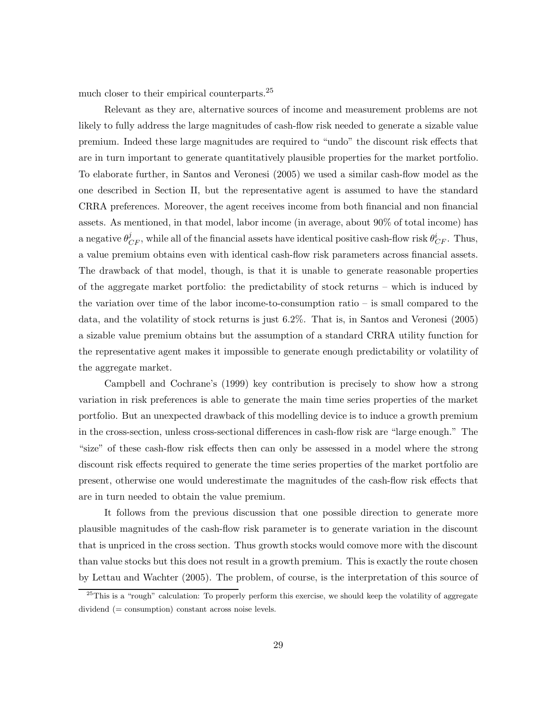much closer to their empirical counterparts.<sup>25</sup>

Relevant as they are, alternative sources of income and measurement problems are not likely to fully address the large magnitudes of cash-flow risk needed to generate a sizable value premium. Indeed these large magnitudes are required to "undo" the discount risk effects that are in turn important to generate quantitatively plausible properties for the market portfolio. To elaborate further, in Santos and Veronesi (2005) we used a similar cash-flow model as the one described in Section II, but the representative agent is assumed to have the standard CRRA preferences. Moreover, the agent receives income from both financial and non financial assets. As mentioned, in that model, labor income (in average, about 90% of total income) has a negative  $\theta^j_{CF}$ , while all of the financial assets have identical positive cash-flow risk  $\theta^i_{CF}$ . Thus, a value premium obtains even with identical cash-flow risk parameters across financial assets. The drawback of that model, though, is that it is unable to generate reasonable properties of the aggregate market portfolio: the predictability of stock returns – which is induced by the variation over time of the labor income-to-consumption ratio – is small compared to the data, and the volatility of stock returns is just 6.2%. That is, in Santos and Veronesi (2005) a sizable value premium obtains but the assumption of a standard CRRA utility function for the representative agent makes it impossible to generate enough predictability or volatility of the aggregate market.

Campbell and Cochrane's (1999) key contribution is precisely to show how a strong variation in risk preferences is able to generate the main time series properties of the market portfolio. But an unexpected drawback of this modelling device is to induce a growth premium in the cross-section, unless cross-sectional differences in cash-flow risk are "large enough." The "size" of these cash-flow risk effects then can only be assessed in a model where the strong discount risk effects required to generate the time series properties of the market portfolio are present, otherwise one would underestimate the magnitudes of the cash-flow risk effects that are in turn needed to obtain the value premium.

It follows from the previous discussion that one possible direction to generate more plausible magnitudes of the cash-flow risk parameter is to generate variation in the discount that is unpriced in the cross section. Thus growth stocks would comove more with the discount than value stocks but this does not result in a growth premium. This is exactly the route chosen by Lettau and Wachter (2005). The problem, of course, is the interpretation of this source of

 $25$ This is a "rough" calculation: To properly perform this exercise, we should keep the volatility of aggregate dividend (= consumption) constant across noise levels.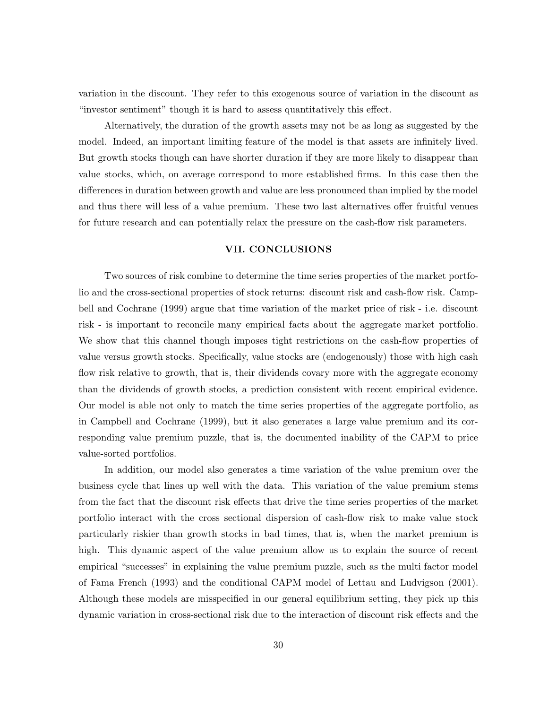variation in the discount. They refer to this exogenous source of variation in the discount as "investor sentiment" though it is hard to assess quantitatively this effect.

Alternatively, the duration of the growth assets may not be as long as suggested by the model. Indeed, an important limiting feature of the model is that assets are infinitely lived. But growth stocks though can have shorter duration if they are more likely to disappear than value stocks, which, on average correspond to more established firms. In this case then the differences in duration between growth and value are less pronounced than implied by the model and thus there will less of a value premium. These two last alternatives offer fruitful venues for future research and can potentially relax the pressure on the cash-flow risk parameters.

# **VII. CONCLUSIONS**

Two sources of risk combine to determine the time series properties of the market portfolio and the cross-sectional properties of stock returns: discount risk and cash-flow risk. Campbell and Cochrane (1999) argue that time variation of the market price of risk - i.e. discount risk - is important to reconcile many empirical facts about the aggregate market portfolio. We show that this channel though imposes tight restrictions on the cash-flow properties of value versus growth stocks. Specifically, value stocks are (endogenously) those with high cash flow risk relative to growth, that is, their dividends covary more with the aggregate economy than the dividends of growth stocks, a prediction consistent with recent empirical evidence. Our model is able not only to match the time series properties of the aggregate portfolio, as in Campbell and Cochrane (1999), but it also generates a large value premium and its corresponding value premium puzzle, that is, the documented inability of the CAPM to price value-sorted portfolios.

In addition, our model also generates a time variation of the value premium over the business cycle that lines up well with the data. This variation of the value premium stems from the fact that the discount risk effects that drive the time series properties of the market portfolio interact with the cross sectional dispersion of cash-flow risk to make value stock particularly riskier than growth stocks in bad times, that is, when the market premium is high. This dynamic aspect of the value premium allow us to explain the source of recent empirical "successes" in explaining the value premium puzzle, such as the multi factor model of Fama French (1993) and the conditional CAPM model of Lettau and Ludvigson (2001). Although these models are misspecified in our general equilibrium setting, they pick up this dynamic variation in cross-sectional risk due to the interaction of discount risk effects and the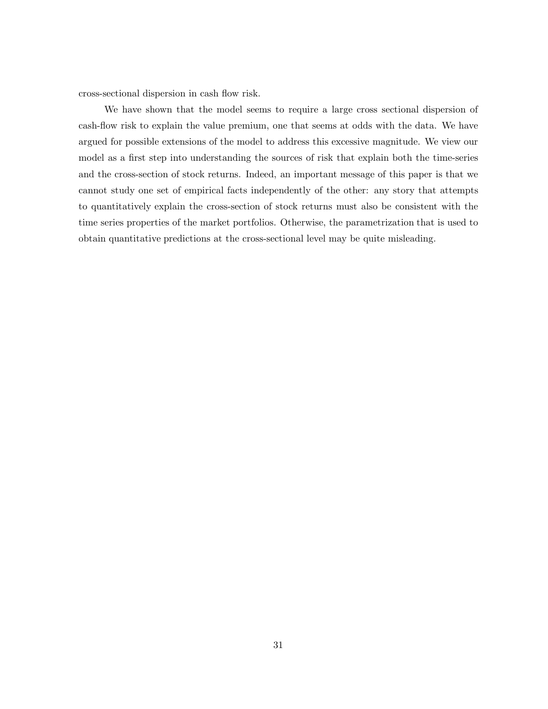cross-sectional dispersion in cash flow risk.

We have shown that the model seems to require a large cross sectional dispersion of cash-flow risk to explain the value premium, one that seems at odds with the data. We have argued for possible extensions of the model to address this excessive magnitude. We view our model as a first step into understanding the sources of risk that explain both the time-series and the cross-section of stock returns. Indeed, an important message of this paper is that we cannot study one set of empirical facts independently of the other: any story that attempts to quantitatively explain the cross-section of stock returns must also be consistent with the time series properties of the market portfolios. Otherwise, the parametrization that is used to obtain quantitative predictions at the cross-sectional level may be quite misleading.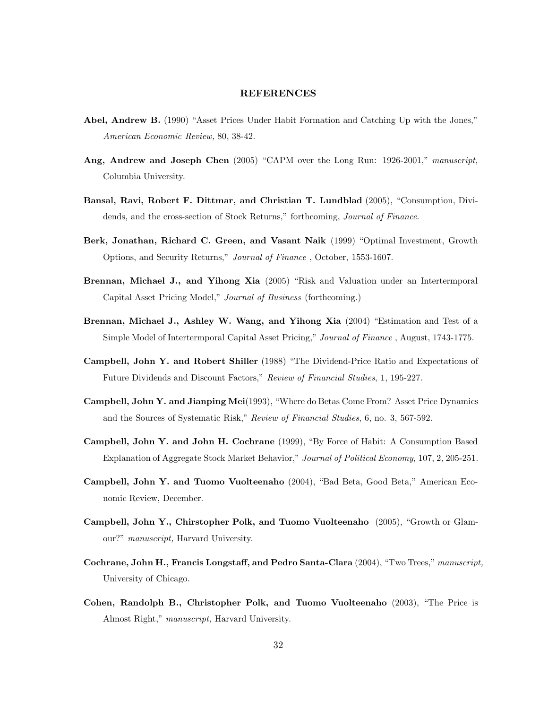## **REFERENCES**

- **Abel, Andrew B.** (1990) "Asset Prices Under Habit Formation and Catching Up with the Jones," *American Economic Review,* 80, 38-42.
- **Ang, Andrew and Joseph Chen** (2005) "CAPM over the Long Run: 1926-2001," *manuscript,* Columbia University.
- **Bansal, Ravi, Robert F. Dittmar, and Christian T. Lundblad** (2005), "Consumption, Dividends, and the cross-section of Stock Returns," forthcoming, *Journal of Finance*.
- **Berk, Jonathan, Richard C. Green, and Vasant Naik** (1999) "Optimal Investment, Growth Options, and Security Returns," *Journal of Finance* , October, 1553-1607.
- **Brennan, Michael J., and Yihong Xia** (2005) "Risk and Valuation under an Intertermporal Capital Asset Pricing Model," *Journal of Business* (forthcoming.)
- **Brennan, Michael J., Ashley W. Wang, and Yihong Xia** (2004) "Estimation and Test of a Simple Model of Intertermporal Capital Asset Pricing," *Journal of Finance* , August, 1743-1775.
- **Campbell, John Y. and Robert Shiller** (1988) "The Dividend-Price Ratio and Expectations of Future Dividends and Discount Factors," *Review of Financial Studies*, 1, 195-227.
- **Campbell, John Y. and Jianping Mei**(1993), "Where do Betas Come From? Asset Price Dynamics and the Sources of Systematic Risk," *Review of Financial Studies*, 6, no. 3, 567-592.
- **Campbell, John Y. and John H. Cochrane** (1999), "By Force of Habit: A Consumption Based Explanation of Aggregate Stock Market Behavior," *Journal of Political Economy*, 107, 2, 205-251.
- **Campbell, John Y. and Tuomo Vuolteenaho** (2004), "Bad Beta, Good Beta," American Economic Review, December.
- **Campbell, John Y., Chirstopher Polk, and Tuomo Vuolteenaho** (2005), "Growth or Glamour?" *manuscript,* Harvard University.
- **Cochrane, John H., Francis Longstaff, and Pedro Santa-Clara** (2004), "Two Trees," *manuscript,* University of Chicago.
- **Cohen, Randolph B., Christopher Polk, and Tuomo Vuolteenaho** (2003), "The Price is Almost Right," *manuscript,* Harvard University.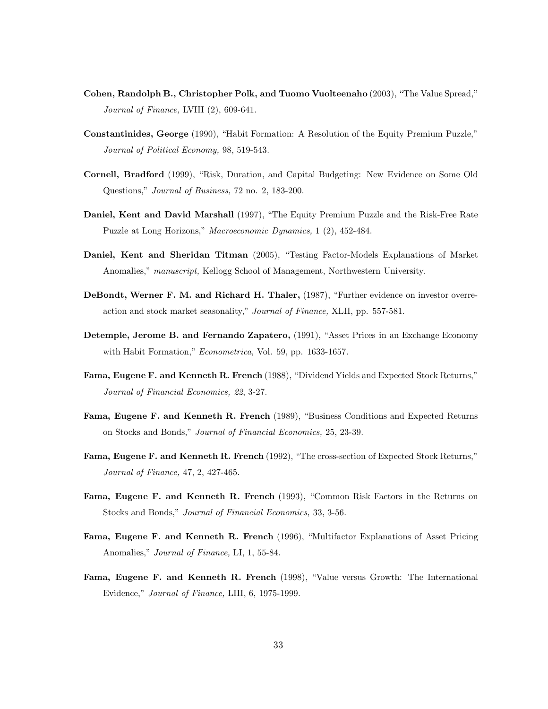- **Cohen, Randolph B., Christopher Polk, and Tuomo Vuolteenaho** (2003), "The Value Spread," *Journal of Finance,* LVIII (2), 609-641.
- **Constantinides, George** (1990), "Habit Formation: A Resolution of the Equity Premium Puzzle," *Journal of Political Economy,* 98, 519-543.
- **Cornell, Bradford** (1999), "Risk, Duration, and Capital Budgeting: New Evidence on Some Old Questions," *Journal of Business,* 72 no. 2, 183-200.
- **Daniel, Kent and David Marshall** (1997), "The Equity Premium Puzzle and the Risk-Free Rate Puzzle at Long Horizons," *Macroeconomic Dynamics,* 1 (2), 452-484.
- **Daniel, Kent and Sheridan Titman** (2005), "Testing Factor-Models Explanations of Market Anomalies," *manuscript,* Kellogg School of Management, Northwestern University.
- **DeBondt, Werner F. M. and Richard H. Thaler,** (1987), "Further evidence on investor overreaction and stock market seasonality," *Journal of Finance,* XLII, pp. 557-581.
- **Detemple, Jerome B. and Fernando Zapatero,** (1991), "Asset Prices in an Exchange Economy with Habit Formation," *Econometrica,* Vol. 59, pp. 1633-1657.
- **Fama, Eugene F. and Kenneth R. French** (1988), "Dividend Yields and Expected Stock Returns," *Journal of Financial Economics, 22*, 3-27.
- **Fama, Eugene F. and Kenneth R. French** (1989), "Business Conditions and Expected Returns on Stocks and Bonds," *Journal of Financial Economics,* 25, 23-39.
- **Fama, Eugene F. and Kenneth R. French** (1992), "The cross-section of Expected Stock Returns," *Journal of Finance,* 47, 2, 427-465.
- **Fama, Eugene F. and Kenneth R. French** (1993), "Common Risk Factors in the Returns on Stocks and Bonds," *Journal of Financial Economics,* 33, 3-56.
- **Fama, Eugene F. and Kenneth R. French** (1996), "Multifactor Explanations of Asset Pricing Anomalies," *Journal of Finance,* LI, 1, 55-84.
- **Fama, Eugene F. and Kenneth R. French** (1998), "Value versus Growth: The International Evidence," *Journal of Finance,* LIII, 6, 1975-1999.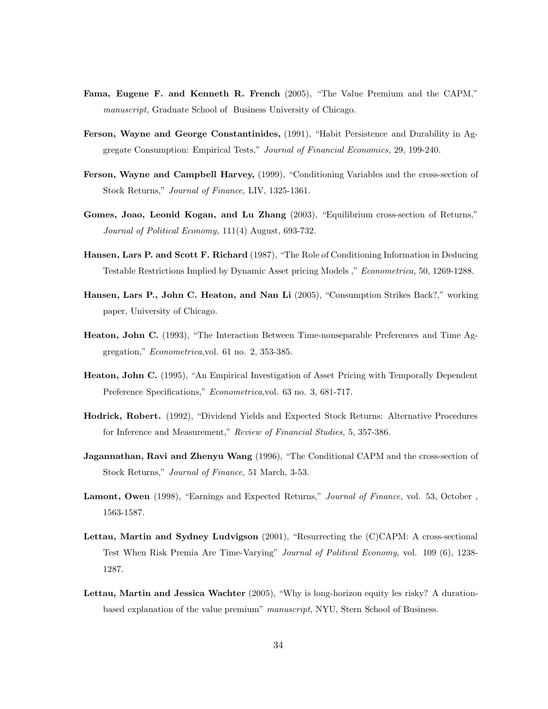- **Fama, Eugene F. and Kenneth R. French** (2005), "The Value Premium and the CAPM," *manuscript,* Graduate School of Business University of Chicago.
- **Ferson, Wayne and George Constantinides,** (1991), "Habit Persistence and Durability in Aggregate Consumption: Empirical Tests," *Journal of Financial Economics,* 29, 199-240.
- **Ferson, Wayne and Campbell Harvey,** (1999), "Conditioning Variables and the cross-section of Stock Returns," *Journal of Finance,* LIV, 1325-1361.
- **Gomes, Joao, Leonid Kogan, and Lu Zhang** (2003), "Equilibrium cross-section of Returns," *Journal of Political Economy,* 111(4) August, 693-732.
- **Hansen, Lars P. and Scott F. Richard** (1987), "The Role of Conditioning Information in Deducing Testable Restrictions Implied by Dynamic Asset pricing Models ," *Econometrica,* 50, 1269-1288.
- **Hansen, Lars P., John C. Heaton, and Nan Li** (2005), "Consumption Strikes Back?," working paper, University of Chicago.
- **Heaton, John C.** (1993), "The Interaction Between Time-nonseparable Preferences and Time Aggregation," *Econometrica,*vol. 61 no. 2, 353-385.
- **Heaton, John C.** (1995), "An Empirical Investigation of Asset Pricing with Temporally Dependent Preference Specifications," *Econometrica,*vol. 63 no. 3, 681-717.
- **Hodrick, Robert.** (1992), "Dividend Yields and Expected Stock Returns: Alternative Procedures for Inference and Measurement," *Review of Financial Studies,* 5, 357-386.
- **Jagannathan, Ravi and Zhenyu Wang** (1996), "The Conditional CAPM and the cross-section of Stock Returns," *Journal of Finance,* 51 March, 3-53.
- **Lamont, Owen** (1998), "Earnings and Expected Returns," *Journal of Finance,* vol. 53, October , 1563-1587.
- **Lettau, Martin and Sydney Ludvigson** (2001), "Resurrecting the (C)CAPM: A cross-sectional Test When Risk Premia Are Time-Varying" *Journal of Political Economy,* vol. 109 (6), 1238- 1287.
- **Lettau, Martin and Jessica Wachter** (2005), "Why is long-horizon equity les risky? A durationbased explanation of the value premium" *manuscript*, NYU, Stern School of Business.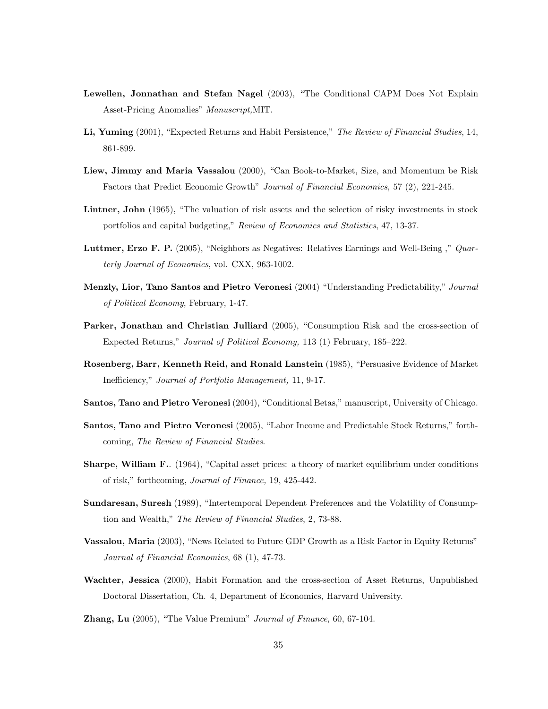- **Lewellen, Jonnathan and Stefan Nagel** (2003), "The Conditional CAPM Does Not Explain Asset-Pricing Anomalies" *Manuscript,*MIT.
- **Li, Yuming** (2001), "Expected Returns and Habit Persistence," *The Review of Financial Studies*, 14, 861-899.
- **Liew, Jimmy and Maria Vassalou** (2000), "Can Book-to-Market, Size, and Momentum be Risk Factors that Predict Economic Growth" *Journal of Financial Economics*, 57 (2), 221-245.
- **Lintner, John** (1965), "The valuation of risk assets and the selection of risky investments in stock portfolios and capital budgeting," *Review of Economics and Statistics*, 47, 13-37.
- **Luttmer, Erzo F. P.** (2005), "Neighbors as Negatives: Relatives Earnings and Well-Being ," *Quarterly Journal of Economics*, vol. CXX, 963-1002.
- **Menzly, Lior, Tano Santos and Pietro Veronesi** (2004) "Understanding Predictability," *Journal of Political Economy*, February, 1-47.
- **Parker, Jonathan and Christian Julliard** (2005), "Consumption Risk and the cross-section of Expected Returns," *Journal of Political Economy,* 113 (1) February, 185–222.
- **Rosenberg, Barr, Kenneth Reid, and Ronald Lanstein** (1985), "Persuasive Evidence of Market Inefficiency," *Journal of Portfolio Management,* 11, 9-17.
- **Santos, Tano and Pietro Veronesi** (2004), "Conditional Betas," manuscript, University of Chicago.
- **Santos, Tano and Pietro Veronesi** (2005), "Labor Income and Predictable Stock Returns," forthcoming, *The Review of Financial Studies*.
- **Sharpe, William F.**. (1964), "Capital asset prices: a theory of market equilibrium under conditions of risk," forthcoming, *Journal of Finance,* 19, 425-442.
- **Sundaresan, Suresh** (1989), "Intertemporal Dependent Preferences and the Volatility of Consumption and Wealth," *The Review of Financial Studies*, 2, 73-88.
- **Vassalou, Maria** (2003), "News Related to Future GDP Growth as a Risk Factor in Equity Returns" *Journal of Financial Economics*, 68 (1), 47-73.
- **Wachter, Jessica** (2000), Habit Formation and the cross-section of Asset Returns, Unpublished Doctoral Dissertation, Ch. 4, Department of Economics, Harvard University.
- **Zhang, Lu** (2005), "The Value Premium" *Journal of Finance*, 60, 67-104.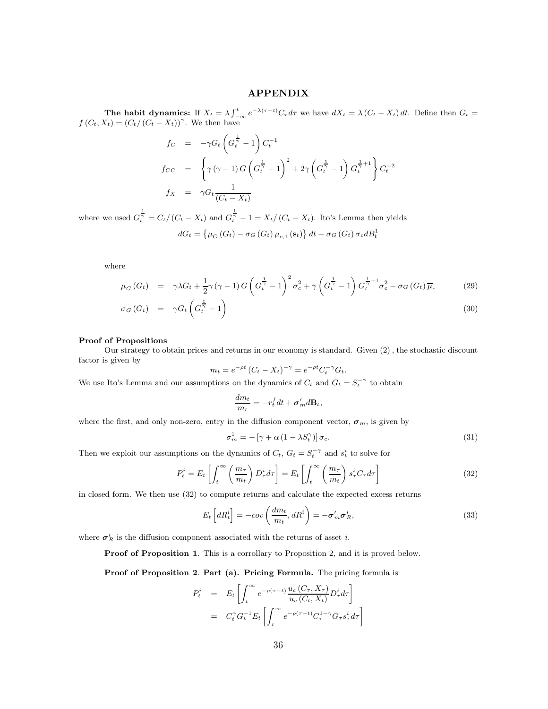# **APPENDIX**

**The habit dynamics:** If  $X_t = \lambda \int_{-\infty}^t e^{-\lambda(\tau-t)} C_\tau d\tau$  we have  $dX_t = \lambda (C_t - X_t) dt$ . Define then  $G_t =$  $f(C_t, X_t)=(C_t/(C_t - X_t))^{\gamma}$ . We then have

$$
f_C = -\gamma G_t \left( G_t^{\frac{1}{\gamma}} - 1 \right) C_t^{-1}
$$
  
\n
$$
f_{CC} = \left\{ \gamma (\gamma - 1) G \left( G_t^{\frac{1}{\gamma}} - 1 \right)^2 + 2\gamma \left( G_t^{\frac{1}{\gamma}} - 1 \right) G_t^{\frac{1}{\gamma} + 1} \right\} C_t^{-2}
$$
  
\n
$$
f_X = \gamma G_t \frac{1}{(C_t - X_t)}
$$

where we used  $G_t^{\frac{1}{\gamma}} = C_t/(C_t - X_t)$  and  $G_t^{\frac{1}{\gamma}} - 1 = X_t/(C_t - X_t)$ . Ito's Lemma then yields

$$
dG_t = \left\{ \mu_G \left( G_t \right) - \sigma_G \left( G_t \right) \mu_{c,1} \left( \mathbf{s}_t \right) \right\} dt - \sigma_G \left( G_t \right) \sigma_c dB_t^1
$$

where

$$
\mu_G\left(G_t\right) = \gamma \lambda G_t + \frac{1}{2}\gamma \left(\gamma - 1\right)G\left(G_t^{\frac{1}{\gamma}} - 1\right)^2 \sigma_c^2 + \gamma \left(G_t^{\frac{1}{\gamma}} - 1\right)G_t^{\frac{1}{\gamma}+1} \sigma_c^2 - \sigma_G\left(G_t\right)\overline{\mu}_c \tag{29}
$$

$$
\sigma_G\left(G_t\right) = \gamma G_t\left(G_t^{\frac{1}{\gamma}} - 1\right) \tag{30}
$$

#### **Proof of Propositions**

Our strategy to obtain prices and returns in our economy is standard. Given (2) , the stochastic discount factor is given by

$$
m_t = e^{-\rho t} (C_t - X_t)^{-\gamma} = e^{-\rho t} C_t^{-\gamma} G_t.
$$

We use Ito's Lemma and our assumptions on the dynamics of  $C_t$  and  $G_t = S_t^{-\gamma}$  to obtain

$$
\frac{dm_t}{m_t} = -r_t^f dt + \sigma'_m d\mathbf{B}_t,
$$

where the first, and only non-zero, entry in the diffusion component vector,  $\sigma_m$ , is given by

$$
\sigma_m^1 = -\left[\gamma + \alpha \left(1 - \lambda S_t^{\gamma}\right)\right] \sigma_c. \tag{31}
$$

Then we exploit our assumptions on the dynamics of  $C_t$ ,  $G_t = S_t^{-\gamma}$  and  $s_t^i$  to solve for

$$
P_t^i = E_t \left[ \int_t^\infty \left( \frac{m_\tau}{m_t} \right) D_\tau^i d\tau \right] = E_t \left[ \int_t^\infty \left( \frac{m_\tau}{m_t} \right) s_\tau^i C_\tau d\tau \right]
$$
(32)

in closed form. We then use (32) to compute returns and calculate the expected excess returns

$$
E_t\left[dR_t^i\right] = -\text{cov}\left(\frac{dm_t}{m_t}, dR^i\right) = -\sigma'_m \sigma^i_R,
$$
\n(33)

where  $\sigma_R^i$  is the diffusion component associated with the returns of asset *i*.

**Proof of Proposition 1.** This is a corrollary to Proposition 2, and it is proved below.

**Proof of Proposition 2**. **Part (a). Pricing Formula.** The pricing formula is

$$
P_t^i = E_t \left[ \int_t^\infty e^{-\rho(\tau - t)} \frac{u_c(C_\tau, X_\tau)}{u_c(C_t, X_t)} D_\tau^i d\tau \right]
$$
  
=  $C_t^\gamma G_t^{-1} E_t \left[ \int_t^\infty e^{-\rho(\tau - t)} C_\tau^{1-\gamma} G_\tau s_\tau^i d\tau \right]$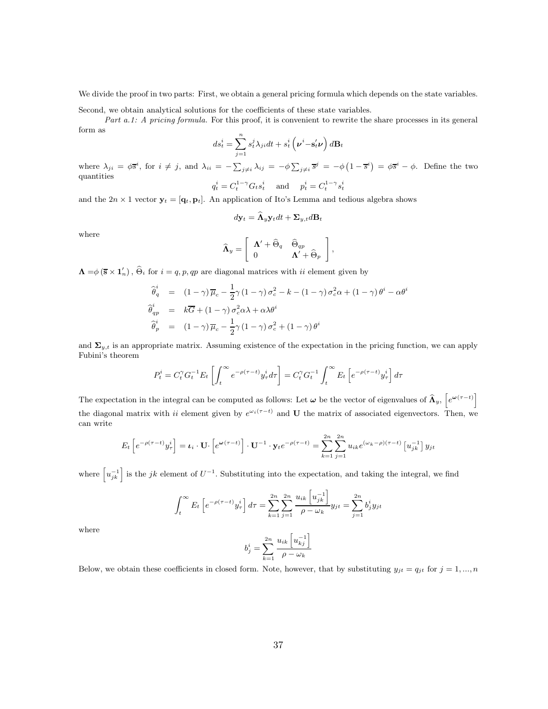We divide the proof in two parts: First, we obtain a general pricing formula which depends on the state variables.

Second, we obtain analytical solutions for the coefficients of these state variables.

*Part a.1: A pricing formula.* For this proof, it is convenient to rewrite the share processes in its general form as

$$
ds_t^i = \sum_{j=1}^n s_t^j \lambda_{ji} dt + s_t^i \left( \boldsymbol{\nu}^i - \mathbf{s}_t' \boldsymbol{\nu} \right) d\mathbf{B}_t
$$

where  $\lambda_{ji} = \phi \overline{s}^i$ , for  $i \neq j$ , and  $\lambda_{ii} = -\sum_{j \neq i} \lambda_{ij} = -\phi \sum_{j \neq i} \overline{s}^j = -\phi (1 - \overline{s}^i) = \phi \overline{s}^i - \phi$ . Define the two quantities i

$$
q_t^i = C_t^{1-\gamma} G_t s_t^i \quad \text{and} \quad p_t^i = C_t^{1-\gamma} s_t^i
$$

and the  $2n \times 1$  vector  $\mathbf{y}_t = [\mathbf{q}_t, \mathbf{p}_t]$ . An application of Ito's Lemma and tedious algebra shows

$$
d\mathbf{y}_t = \mathbf{\Lambda}_y \mathbf{y}_t dt + \mathbf{\Sigma}_{y,t} d\mathbf{B}_t
$$

where

$$
\widehat{\mathbf{\Lambda}}_y = \left[ \begin{array}{cc} \mathbf{\Lambda}' + \widehat{\Theta}_q & \widehat{\Theta}_{qp} \\ 0 & \mathbf{\Lambda}' + \widehat{\Theta}_p \end{array} \right],
$$

 $\Lambda = \phi (\mathbf{\bar{s}} \times \mathbf{1}'_n)$ ,  $\widehat{\Theta}_i$  for  $i = q, p, qp$  are diagonal matrices with ii element given by

$$
\begin{aligned}\n\widehat{\theta}_{q}^{i} &= (1 - \gamma) \overline{\mu}_{c} - \frac{1}{2} \gamma (1 - \gamma) \sigma_{c}^{2} - k - (1 - \gamma) \sigma_{c}^{2} \alpha + (1 - \gamma) \theta^{i} - \alpha \theta^{i} \\
\widehat{\theta}_{qp}^{i} &= k \overline{G} + (1 - \gamma) \sigma_{c}^{2} \alpha \lambda + \alpha \lambda \theta^{i} \\
\widehat{\theta}_{p}^{i} &= (1 - \gamma) \overline{\mu}_{c} - \frac{1}{2} \gamma (1 - \gamma) \sigma_{c}^{2} + (1 - \gamma) \theta^{i}\n\end{aligned}
$$

and  $\Sigma_{y,t}$  is an appropriate matrix. Assuming existence of the expectation in the pricing function, we can apply Fubini's theorem

$$
P_t^i = C_t^{\gamma} G_t^{-1} E_t \left[ \int_t^{\infty} e^{-\rho(\tau - t)} y_{\tau}^i d\tau \right] = C_t^{\gamma} G_t^{-1} \int_t^{\infty} E_t \left[ e^{-\rho(\tau - t)} y_{\tau}^i \right] d\tau
$$

The expectation in the integral can be computed as follows: Let  $\omega$  be the vector of eigenvalues of  $\widehat{\Lambda}_y$ ,  $\left[e^{\omega(\tau-t)}\right]$ the diagonal matrix with ii element given by  $e^{\omega_i(\tau-t)}$  and **U** the matrix of associated eigenvectors. Then, we can write

$$
E_t\left[e^{-\rho(\tau-t)}y_\tau^i\right] = \mathbf{L}_i \cdot \mathbf{U} \cdot \left[e^{\omega(\tau-t)}\right] \cdot \mathbf{U}^{-1} \cdot \mathbf{y}_t e^{-\rho(\tau-t)} = \sum_{k=1}^{2n} \sum_{j=1}^{2n} u_{ik} e^{(\omega_k - \rho)(\tau-t)} \left[u_{jk}^{-1}\right] y_{jt}
$$

where  $\left[u_{jk}^{-1}\right]$  is the jk element of  $U^{-1}$ . Substituting into the expectation, and taking the integral, we find

$$
\int_{t}^{\infty} E_{t} \left[ e^{-\rho(\tau - t)} y_{\tau}^{i} \right] d\tau = \sum_{k=1}^{2n} \sum_{j=1}^{2n} \frac{u_{ik} \left[ u_{jk}^{-1} \right]}{\rho - \omega_{k}} y_{jt} = \sum_{j=1}^{2n} b_{j}^{i} y_{jt}
$$

where

$$
b_j^i = \sum_{k=1}^{2n} \frac{u_{ik} \left[ u_{kj}^{-1} \right]}{\rho - \omega_k}
$$

Below, we obtain these coefficients in closed form. Note, however, that by substituting  $y_{jt} = q_{jt}$  for  $j = 1, ..., n$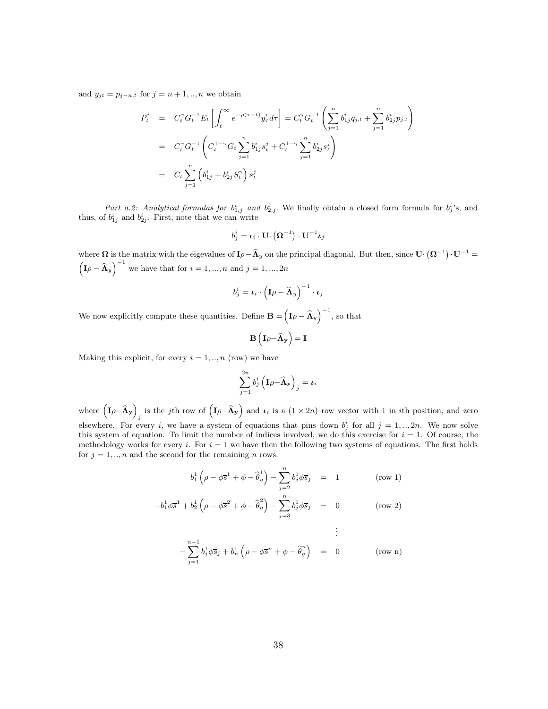and  $y_{jt} = p_{j-n,t}$  for  $j = n+1,..,n$  we obtain

$$
P_t^i = C_t^{\gamma} G_t^{-1} E_t \left[ \int_t^{\infty} e^{-\rho(\tau - t)} y_{\tau}^i d\tau \right] = C_t^{\gamma} G_t^{-1} \left( \sum_{j=1}^n b_{1j}^i q_{j,t} + \sum_{j=1}^n b_{2j}^i p_{j,t} \right)
$$
  
\n
$$
= C_t^{\gamma} G_t^{-1} \left( C_t^{1-\gamma} G_t \sum_{j=1}^n b_{1j}^i s_t^j + C_t^{1-\gamma} \sum_{j=1}^n b_{2j}^i s_t^j \right)
$$
  
\n
$$
= C_t \sum_{j=1}^n \left( b_{1j}^i + b_{2j}^i S_t^{\gamma} \right) s_t^j
$$

Part a.2: Analytical formulas for  $b_{1,j}^i$  and  $b_{2,j}^i$ . We finally obtain a closed form formula for  $b_j^i$ 's, and thus, of  $b_{1j}^i$  and  $b_{2j}^i$ . First, note that we can write

$$
b^i_j = \boldsymbol{\iota}_i \cdot \mathbf{U} \cdotp \left(\boldsymbol{\Omega}^{-1}\right) \cdot \mathbf{U}^{-1} \boldsymbol{\iota}_j
$$

where  $\Omega$  is the matrix with the eigevalues of  $I\rho - \hat{\Lambda}_y$  on the principal diagonal. But then, since  $\mathbf{U} \cdot (\Omega^{-1}) \cdot \mathbf{U}^{-1} =$  $\left(\mathbf{I}\rho - \widehat{\mathbf{\Lambda}}_{y}\right)^{-1}$  we have that for  $i = 1, ..., n$  and  $j = 1, ..., 2n$ 

$$
b_j^i = \boldsymbol{\iota}_i \cdot \left(\mathbf{I} \rho - \widehat{\mathbf{\Lambda}}_y\right)^{-1} \cdot \boldsymbol{\iota}_j
$$

We now explicitly compute these quantities. Define  $\mathbf{B} = (\mathbf{I}\rho - \hat{\mathbf{\Lambda}}_y)^{-1}$ , so that

$$
\mathbf{B}\left(\mathbf{I}\rho{-}\widehat{\boldsymbol{\Lambda}}_{\mathbf{y}}\right)=\mathbf{I}
$$

Making this explicit, for every  $i = 1, ..., n$  (row) we have

$$
\sum_{j=1}^{2n} b_j^i \left( \mathbf{I} \rho - \mathbf{\widehat{A}}_{\mathbf{y}} \right)_j = \boldsymbol{\iota}_i
$$

where  $\left(\mathbf{I}\rho\!-\!\boldsymbol{\hat{\Lambda}}_{\mathbf{y}}\right)$ is the jth row of  $(I\rho-\widehat{\Lambda}_y)$  and  $\iota_i$  is a  $(1 \times 2n)$  row vector with 1 in ith position, and zero elsewhere. For every i, we have a system of equations that pins down  $b_j^i$  for all  $j = 1, ..., 2n$ . We now solve this system of equation. To limit the number of indices involved, we do this exercise for  $i = 1$ . Of course, the methodology works for every i. For  $i = 1$  we have then the following two systems of equations. The first holds for  $j = 1, \ldots, n$  and the second for the remaining *n* rows:

$$
b_1^1 \left(\rho - \phi \overline{s}^1 + \phi - \widehat{\theta}_q^1\right) - \sum_{j=2}^n b_j^1 \phi \overline{s}_j = 1 \quad \text{(row 1)}
$$

$$
-b_1^1 \phi \overline{s}^1 + b_2^1 \left(\rho - \phi \overline{s}^2 + \phi - \widehat{\theta}_q^2\right) - \sum_{j=3}^n b_j^1 \phi \overline{s}_j = 0 \quad \text{(row 2)}
$$

$$
\vdots
$$
  
-
$$
\sum_{j=1}^{n-1} b_j^1 \phi \overline{s}_j + b_n^1 \left( \rho - \phi \overline{s}^n + \phi - \widehat{\theta}_q^n \right) = 0 \qquad \text{(row n)}
$$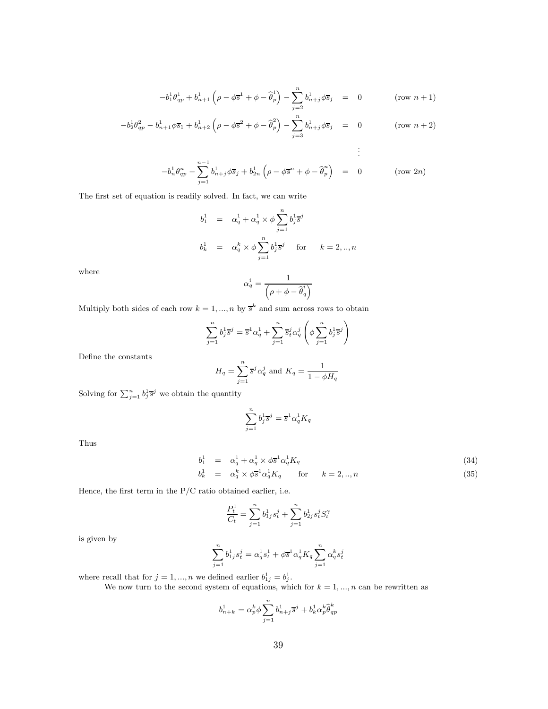$$
-b_1^1 \theta_{qp}^1 + b_{n+1}^1 \left( \rho - \phi \overline{s}^1 + \phi - \widehat{\theta}_p^1 \right) - \sum_{j=2}^n b_{n+j}^1 \phi \overline{s}_j = 0 \qquad (\text{row } n+1)
$$

$$
-b_2^1 \theta_{qp}^2 - b_{n+1}^1 \phi \overline{s}_1 + b_{n+2}^1 \left(\rho - \phi \overline{s}^2 + \phi - \widehat{\theta}_p^2\right) - \sum_{j=3}^n b_{n+j}^1 \phi \overline{s}_j = 0 \qquad (\text{row } n+2)
$$

$$
\vdots
$$
  
- $b_n^1 \theta_{qp}^n - \sum_{j=1}^{n-1} b_{n+j}^1 \phi \overline{s}_j + b_{2n}^1 (\rho - \phi \overline{s}^n + \phi - \widehat{\theta}_p^n) = 0 \qquad \text{(row 2n)}$ 

The first set of equation is readily solved. In fact, we can write

$$
\begin{array}{rcl} b^1_1&=&\alpha^1_q+\alpha^1_q\times\phi\sum\limits_{j=1}^nb^1_j\overline{s}^j\\[3mm] b^1_k&=&\alpha^k_q\times\phi\sum\limits_{j=1}^nb^1_j\overline{s}^j\quad\mbox{ for }\quad k=2,..,n \end{array}
$$

where

$$
\alpha_q^i = \frac{1}{\left(\rho + \phi - \widehat{\theta}_q^i\right)}
$$

Multiply both sides of each row  $k = 1, ..., n$  by  $\bar{s}^k$  and sum across rows to obtain

$$
\sum_{j=1}^{n} b_j^1 \overline{s}^j = \overline{s}^1 \alpha_q^1 + \sum_{j=1}^{n} \overline{s}_i^j \alpha_q^j \left( \phi \sum_{j=1}^{n} b_j^1 \overline{s}^j \right)
$$

Define the constants

$$
H_q = \sum_{j=1}^n \overline{s}^j \alpha_q^j
$$
 and 
$$
K_q = \frac{1}{1 - \phi H_q}
$$

Solving for  $\sum_{j=1}^n b_j^1 \overline{s}^j$  we obtain the quantity

$$
\sum_{j=1}^n b_j^1 \overline{s}^j = \overline{s}^1 \alpha_q^1 K_q
$$

Thus

$$
b_1^1 = \alpha_q^1 + \alpha_q^1 \times \phi \overline{s}^1 \alpha_q^1 K_q \tag{34}
$$

$$
b_k^1 = \alpha_q^k \times \phi \overline{s}^1 \alpha_q^1 K_q \quad \text{for} \quad k = 2, ..., n \tag{35}
$$

Hence, the first term in the  $P/C$  ratio obtained earlier, i.e.

$$
\frac{P_t^1}{C_t} = \sum_{j=1}^n b_{1j}^1 s_t^j + \sum_{j=1}^n b_{2j}^1 s_t^j S_t^{\gamma}
$$

is given by

$$
\sum_{j=1}^n b_{1j}^1 s_t^j = \alpha_q^1 s_t^1 + \phi \overline{s}^1 \alpha_q^1 K_q \sum_{j=1}^n \alpha_q^k s_t^j
$$

where recall that for  $j = 1, ..., n$  we defined earlier  $b_{1j}^1 = b_j^1$ .

We now turn to the second system of equations, which for  $k = 1, ..., n$  can be rewritten as

$$
b_{n+k}^1=\alpha_p^k\phi\sum_{j=1}^nb_{n+j}^1\overline{s}^j+b_k^1\alpha_p^k\widehat{\theta}^k_{qp}
$$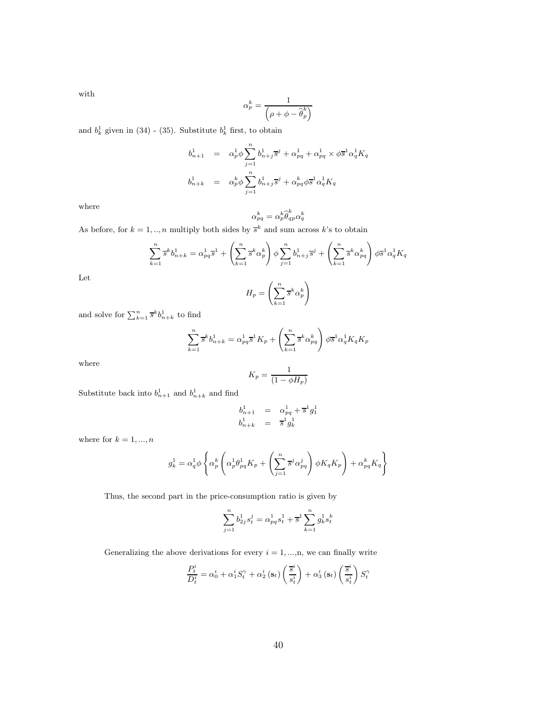with

$$
\alpha_p^k = \frac{1}{\left(\rho + \phi - \hat{\boldsymbol{\theta}}_p^k\right)}
$$

and  $b_k^1$  given in (34) - (35). Substitute  $b_k^1$  first, to obtain

$$
\begin{array}{rcl} b_{n+1}^1&=&\alpha_p^1\phi\sum_{j=1}^nb_{n+j}^1\overline{s}^j+\alpha_{pq}^1+\alpha_{pq}^1\times\phi\overline{s}^1\alpha_q^1K_q\\[3mm] b_{n+k}^1&=&\alpha_p^k\phi\sum_{j=1}^nb_{n+j}^1\overline{s}^j+\alpha_{pq}^k\phi\overline{s}^1\alpha_q^1K_q \end{array}
$$

where

$$
\alpha_{pq}^k = \alpha_p^k \widehat{\boldsymbol{\theta}}_{qp}^k \alpha_q^k
$$

As before, for  $k = 1, ..., n$  multiply both sides by  $\overline{s}^k$  and sum across k's to obtain

$$
\sum_{k=1}^{n} \overline{s}^{k} b_{n+k}^{1} = \alpha_{pq}^{1} \overline{s}^{1} + \left(\sum_{k=1}^{n} \overline{s}^{k} \alpha_{p}^{k}\right) \phi \sum_{j=1}^{n} b_{n+j}^{1} \overline{s}^{j} + \left(\sum_{k=1}^{n} \overline{s}^{k} \alpha_{pq}^{k}\right) \phi \overline{s}^{1} \alpha_{q}^{1} K_{q}
$$

Let

$$
H_p = \left(\sum_{k=1}^n \overline{s}^k \alpha_p^k\right)
$$

and solve for  $\sum_{k=1}^{n} \bar{s}^{k} b_{n+k}^{1}$  to find

$$
\sum_{k=1}^{n} \overline{s}^{k} b_{n+k}^{1} = \alpha_{pq}^{1} \overline{s}^{1} K_{p} + \left(\sum_{k=1}^{n} \overline{s}^{k} \alpha_{pq}^{k}\right) \phi \overline{s}^{1} \alpha_{q}^{1} K_{q} K_{p}
$$

where

$$
K_p = \frac{1}{(1 - \phi H_p)}
$$

Substitute back into  $b_{n+1}^1$  and  $b_{n+k}^1$  and find

$$
\begin{array}{ccc} b_{n+1}^1 & = & \alpha_{pq}^1 + \overline{s}^1 g_1^1 \\ b_{n+k}^1 & = & \overline{s}^1 g_k^1 \end{array}
$$

where for  $k = 1, ..., n$ 

$$
g_k^1 = \alpha_q^1 \phi \left\{ \alpha_p^k \left( \alpha_p^1 \theta_{pq}^1 K_p + \left( \sum_{j=1}^n \overline{s}^j \alpha_{pq}^j \right) \phi K_q K_p \right) + \alpha_{pq}^k K_q \right\}
$$

Thus, the second part in the price-consumption ratio is given by

$$
\sum_{j=1}^{n} b_{2j}^{1} s_{t}^{j} = \alpha_{pq}^{1} s_{t}^{1} + \overline{s}^{1} \sum_{k=1}^{n} g_{k}^{1} s_{t}^{k}
$$

Generalizing the above derivations for every  $i = 1, ..., n$ , we can finally write

$$
\frac{P_t^i}{D_t^i} = \alpha_0^i + \alpha_1^i S_t^{\gamma} + \alpha_2^i \left(\mathbf{s}_t\right) \left(\frac{\overline{s}^i}{s_t^i}\right) + \alpha_3^i \left(\mathbf{s}_t\right) \left(\frac{\overline{s}^i}{s_t^i}\right) S_t^{\gamma}
$$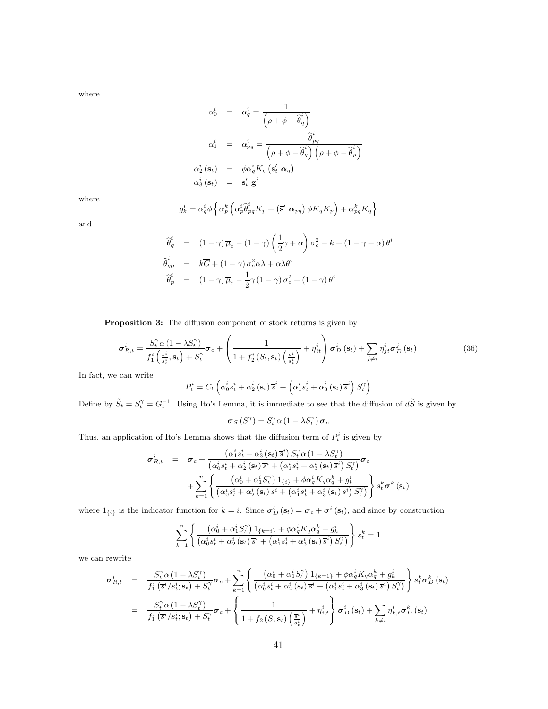where

$$
\alpha_0^i = \alpha_q^i = \frac{1}{\left(\rho + \phi - \hat{\theta}_q^i\right)}
$$
\n
$$
\alpha_1^i = \alpha_{pq}^i = \frac{\hat{\theta}_{pq}^i}{\left(\rho + \phi - \hat{\theta}_q^i\right)\left(\rho + \phi - \hat{\theta}_p^i\right)}
$$
\n
$$
\alpha_2^i(\mathbf{s}_t) = \phi \alpha_q^i K_q(\mathbf{s}_t' \alpha_q)
$$
\n
$$
\alpha_3^i(\mathbf{s}_t) = \mathbf{s}_t' \mathbf{g}^i
$$

where

$$
g_k^i = \alpha_q^i \phi \left\{ \alpha_p^k \left( \alpha_p^i \hat{\theta}_{pq}^i K_p + \left( \overline{\mathbf{s}}' \ \boldsymbol{\alpha}_{pq} \right) \phi K_q K_p \right) + \alpha_{pq}^k K_q \right\}
$$

and

$$
\begin{aligned}\n\widehat{\theta}_q^i &= (1 - \gamma) \overline{\mu}_c - (1 - \gamma) \left( \frac{1}{2} \gamma + \alpha \right) \sigma_c^2 - k + (1 - \gamma - \alpha) \theta^i \\
\widehat{\theta}_{qp}^i &= k \overline{G} + (1 - \gamma) \sigma_c^2 \alpha \lambda + \alpha \lambda \theta^i \\
\widehat{\theta}_p^i &= (1 - \gamma) \overline{\mu}_c - \frac{1}{2} \gamma (1 - \gamma) \sigma_c^2 + (1 - \gamma) \theta^i\n\end{aligned}
$$

**Proposition 3:** The diffusion component of stock returns is given by

$$
\boldsymbol{\sigma}_{R,t}^{i} = \frac{S_{t}^{\gamma} \alpha \left(1 - \lambda S_{t}^{\gamma}\right)}{f_{1}^{i}\left(\frac{\overline{s}_{t}^{i}}{s_{t}^{i}}, \mathbf{s}_{t}\right) + S_{t}^{\gamma}} \boldsymbol{\sigma}_{c} + \left(\frac{1}{1 + f_{2}^{i}\left(S_{t}, \mathbf{s}_{t}\right)\left(\frac{\overline{s}_{t}^{i}}{s_{t}^{i}}\right)} + \eta_{it}^{i}\right) \boldsymbol{\sigma}_{D}^{i}\left(\mathbf{s}_{t}\right) + \sum_{j \neq i} \eta_{jt}^{i} \boldsymbol{\sigma}_{D}^{j}\left(\mathbf{s}_{t}\right) \tag{36}
$$

In fact, we can write

$$
P_t^i = C_t \left( \alpha_0^i s_t^i + \alpha_2^i \left( \mathbf{s}_t \right) \overline{s}^i + \left( \alpha_1^i s_t^i + \alpha_3^i \left( \mathbf{s}_t \right) \overline{s}^i \right) S_t^{\gamma} \right)
$$

Define by  $\widetilde{S}_t = S_t^{\gamma} = G_t^{-1}$ . Using Ito's Lemma, it is immediate to see that the diffusion of  $d\widetilde{S}$  is given by

$$
\boldsymbol{\sigma}_{S}\left(S^{\gamma}\right)=S_{t}^{\gamma}\alpha\left(1-\lambda S_{t}^{\gamma}\right)\boldsymbol{\sigma}_{c}
$$

Thus, an application of Ito's Lemma shows that the diffusion term of  $P_t^i$  is given by

$$
\sigma_{R,t}^{i} = \sigma_c + \frac{\left(\alpha_1^i s_t^i + \alpha_3^i \left(\mathbf{s}_t\right) \overline{s}^i\right) S_t^{\gamma} \alpha \left(1 - \lambda S_t^{\gamma}\right)}{\left(\alpha_0^i s_t^i + \alpha_2^i \left(\mathbf{s}_t\right) \overline{s}^i + \left(\alpha_1^i s_t^i + \alpha_3^i \left(\mathbf{s}_t\right) \overline{s}^i\right) S_t^{\gamma}\right)} \sigma_c + \sum_{k=1}^n \left\{ \frac{\left(\alpha_0^i + \alpha_1^i S_t^{\gamma}\right) \mathbf{1}_{\{i\}} + \phi \alpha_q^i K_q \alpha_q^k + g_k^i}{\left(\alpha_0^i s_t^i + \alpha_2^i \left(\mathbf{s}_t\right) \overline{s}^i + \left(\alpha_1^i s_t^i + \alpha_3^i \left(\mathbf{s}_t\right) \overline{s}^i\right) S_t^{\gamma}\right)} \right\} s_t^k \sigma^k \left(\mathbf{s}_t\right)
$$

where  $1_{\{i\}}$  is the indicator function for  $k = i$ . Since  $\sigma_D^i(\mathbf{s}_t) = \sigma_c + \sigma^i(\mathbf{s}_t)$ , and since by construction

$$
\sum_{k=1}^{n} \left\{ \frac{\left(\alpha_0^i + \alpha_1^i S_t^{\gamma}\right) \mathbf{1}_{\{k=i\}} + \phi \alpha_q^i K_q \alpha_q^k + g_k^i}{\left(\alpha_0^i s_t^i + \alpha_2^i \left(\mathbf{s}_t\right) \overline{s}^i + \left(\alpha_1^i s_t^i + \alpha_3^i \left(\mathbf{s}_t\right) \overline{s}^i\right) S_t^{\gamma}\right)} \right\} s_t^k = 1
$$

we can rewrite

$$
\sigma_{R,t}^{i} = \frac{S_{t}^{\gamma} \alpha \left(1 - \lambda S_{t}^{\gamma}\right)}{f_{1}^{i}\left(\overline{s}^{i}/s_{t}^{i}; \mathbf{s}_{t}\right) + S_{t}^{\gamma}} \sigma_{c} + \sum_{k=1}^{n} \left\{\frac{\left(\alpha_{0}^{i} + \alpha_{1}^{i} S_{t}^{\gamma}\right) \mathbf{1}_{\{k=1\}} + \phi \alpha_{q}^{i} K_{q} \alpha_{q}^{k} + g_{k}^{i}}{\left(\alpha_{0}^{i} s_{t}^{i} + \alpha_{2}^{i} \left(\mathbf{s}_{t}\right) \overline{s}^{i} + \left(\alpha_{1}^{i} s_{t}^{i} + \alpha_{2}^{i} \left(\mathbf{s}_{t}\right) \overline{s}^{i}\right)\right)}\right\} s_{t}^{k} \sigma_{D}^{k}(\mathbf{s}_{t})
$$
\n
$$
= \frac{S_{t}^{\gamma} \alpha \left(1 - \lambda S_{t}^{\gamma}\right)}{f_{1}^{i}\left(\overline{s}^{i}/s_{t}^{i}; \mathbf{s}_{t}\right) + S_{t}^{\gamma}} \sigma_{c} + \left\{\frac{1}{1 + f_{2}\left(S; \mathbf{s}_{t}\right)\left(\frac{\overline{s}^{i}}{s_{t}^{i}}\right)} + \eta_{i,t}^{i}\right\} \sigma_{D}^{i}(\mathbf{s}_{t}) + \sum_{k \neq i} \eta_{k,t}^{i} \sigma_{D}^{k}(\mathbf{s}_{t})
$$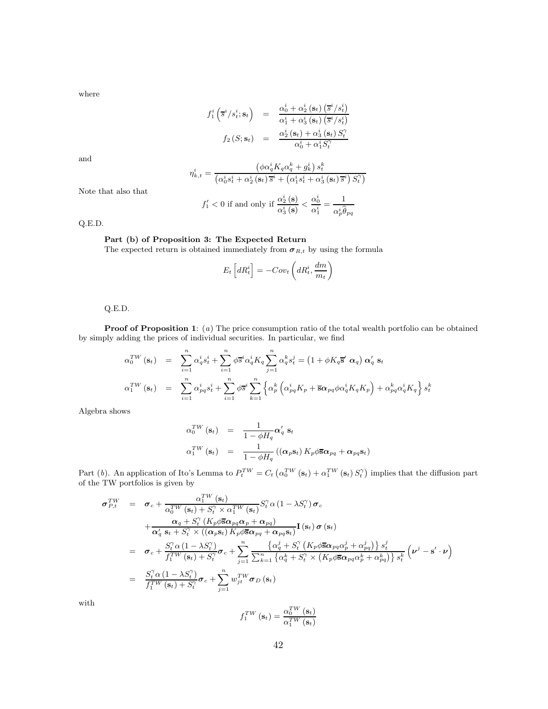where

$$
f_1^i\left(\overline{s}^i/s_t^i; \mathbf{s}_t\right) = \frac{\alpha_0^i + \alpha_2^i\left(\mathbf{s}_t\right)\left(\overline{s}^i/s_t^i\right)}{\alpha_1^i + \alpha_3^i\left(\mathbf{s}_t\right)\left(\overline{s}^i/s_t^i\right)}
$$

$$
f_2\left(S; \mathbf{s}_t\right) = \frac{\alpha_2^i\left(\mathbf{s}_t\right) + \alpha_3^i\left(\mathbf{s}_t\right)S_t^{\gamma}}{\alpha_0^i + \alpha_1^iS_t^{\gamma}}
$$

and

$$
\eta_{k,t}^i = \frac{\left(\phi \alpha_q^i K_q \alpha_q^k + g_k^i\right) s_t^k}{\left(\alpha_0^i s_t^i + \alpha_2^i \left(\mathbf{s}_t\right) \overline{s}^i + \left(\alpha_1^i s_t^i + \alpha_3^i \left(\mathbf{s}_t\right) \overline{s}^i\right) S_t^{\gamma}\right)}
$$

Note that also that

$$
f_1' < 0 \text{ if and only if } \frac{\alpha_2^i(\mathbf{s})}{\alpha_3^i(\mathbf{s})} < \frac{\alpha_0^i}{\alpha_1^i} = \frac{1}{\alpha_p^i \widehat{\theta}_{pq}}
$$

Q.E.D.

# **Part (b) of Proposition 3: The Expected Return**

The expected return is obtained immediately from  $\sigma_{R,t}$  by using the formula

$$
E_t\left[dR_t^i\right] = -Cov_t\left(dR_t^i, \frac{dm}{m_t}\right)
$$

Q.E.D.

**Proof of Proposition 1:** (*a*) The price consumption ratio of the total wealth portfolio can be obtained by simply adding the prices of individual securities. In particular, we find

$$
\alpha_0^{TW}(\mathbf{s}_t) = \sum_{i=1}^n \alpha_q^i s_t^i + \sum_{i=1}^n \phi \overline{s}^i \alpha_q^i K_q \sum_{j=1}^n \alpha_q^k s_t^j = (1 + \phi K_q \overline{\mathbf{s}}' \alpha_q) \alpha_q' \mathbf{s}_t
$$
  

$$
\alpha_1^{TW}(\mathbf{s}_t) = \sum_{i=1}^n \alpha_{pq}^i s_t^i + \sum_{i=1}^n \phi \overline{s}^i \sum_{k=1}^n \left\{ \alpha_p^k \left( \alpha_{pq}^i K_p + \overline{\mathbf{s}} \alpha_{pq} \phi \alpha_q^i K_q K_p \right) + \alpha_{pq}^k \alpha_q^i K_q \right\} s_t^k
$$

Algebra shows

$$
\alpha_0^{TW}(\mathbf{s}_t) = \frac{1}{1 - \phi H_q} \alpha'_q \mathbf{s}_t
$$
  
\n
$$
\alpha_1^{TW}(\mathbf{s}_t) = \frac{1}{1 - \phi H_q} ((\alpha_p \mathbf{s}_t) K_p \phi \overline{\mathbf{s}} \alpha_{pq} + \alpha_{pq} \mathbf{s}_t)
$$

Part (b). An application of Ito's Lemma to  $P_t^{TW} = C_t \left( \alpha_0^{TW} (\mathbf{s}_t) + \alpha_1^{TW} (\mathbf{s}_t) S_t^{\gamma} \right)$  implies that the diffusion part of the TW portfolios is given by

$$
\sigma_{P,t}^{TW} = \sigma_c + \frac{\alpha_1^{TW}(\mathbf{s}_t)}{\alpha_0^{TW}(\mathbf{s}_t) + S_t^{\gamma} \times \alpha_1^{TW}(\mathbf{s}_t)} S_t^{\gamma} \alpha (1 - \lambda S_t^{\gamma}) \sigma_c \n+ \frac{\alpha_q + S_t^{\gamma} (K_p \phi \overline{\mathbf{s}} \alpha_{pq} \alpha_p + \alpha_{pq})}{\alpha_q^{'} \mathbf{s}_t + S_t^{\gamma} \times ((\alpha_p \mathbf{s}_t) K_p \phi \overline{\mathbf{s}} \alpha_{pq} + \alpha_{pq} \mathbf{s}_t)} \mathbf{I}(\mathbf{s}_t) \sigma(\mathbf{s}_t) \n= \sigma_c + \frac{S_t^{\gamma} \alpha (1 - \lambda S_t^{\gamma})}{f_1^{TW}(\mathbf{s}_t) + S_t^{\gamma}} \sigma_c + \sum_{j=1}^n \frac{\{\alpha_q^j + S_t^{\gamma} (K_p \phi \overline{\mathbf{s}} \alpha_{pq} \alpha_p^j + \alpha_{pq}^j)\} s_t^j}{\sum_{k=1}^n \{\alpha_q^k + S_t^{\gamma} \times (K_p \phi \overline{\mathbf{s}} \alpha_{pq} \alpha_p^k + \alpha_{pq}^k)\} s_t^k} (\nu^j - \mathbf{s}' \cdot \nu) \n= \frac{S_t^{\gamma} \alpha (1 - \lambda S_t^{\gamma})}{f_1^{TW}(\mathbf{s}_t) + S_t^{\gamma}} \sigma_c + \sum_{j=1}^n w_{jt}^{TW} \sigma_D(\mathbf{s}_t)
$$

with

$$
f_1^{TW}(\mathbf{s}_t) = \frac{\alpha_0^{TW}(\mathbf{s}_t)}{\alpha_1^{TW}(\mathbf{s}_t)}
$$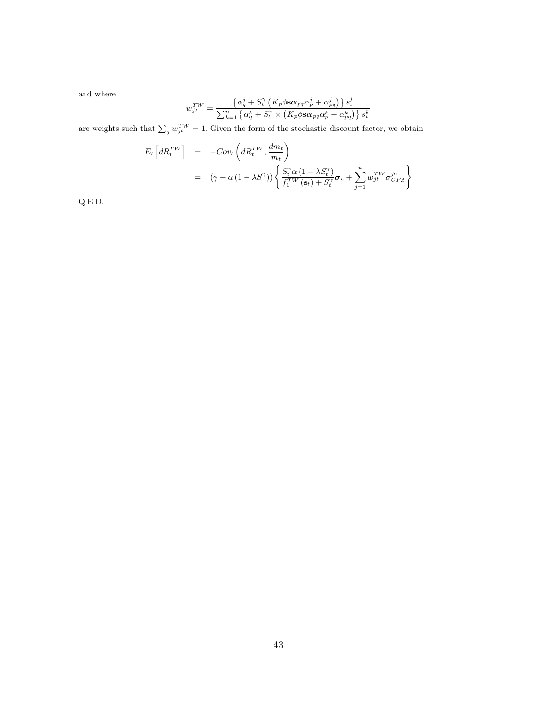and where

$$
w_{jt}^{TW} = \frac{\left\{\alpha_q^j + S_t^{\gamma} \left(K_p \phi \overline{\mathbf{s}} \alpha_{pq} \alpha_p^j + \alpha_{pq}^j \right) \right\} s_t^j}{\sum_{k=1}^n \left\{\alpha_q^k + S_t^{\gamma} \times \left(K_p \phi \overline{\mathbf{s}} \alpha_{pq} \alpha_p^k + \alpha_{pq}^k \right) \right\} s_t^k}
$$

are weights such that  $\sum_j w_{jt}^{TW} = 1$ . Given the form of the stochastic discount factor, we obtain

$$
E_t \left[ dR_t^{TW} \right] = -Cov_t \left( dR_t^{TW}, \frac{dm_t}{m_t} \right)
$$
  
= 
$$
(\gamma + \alpha (1 - \lambda S^{\gamma})) \left\{ \frac{S_t^{\gamma} \alpha (1 - \lambda S_t^{\gamma})}{f_1^{TW} (\mathbf{s}_t) + S_t^{\gamma}} \boldsymbol{\sigma}_c + \sum_{j=1}^n w_{jt}^{TW} \sigma_{CF,t}^{jc} \right\}
$$

Q.E.D.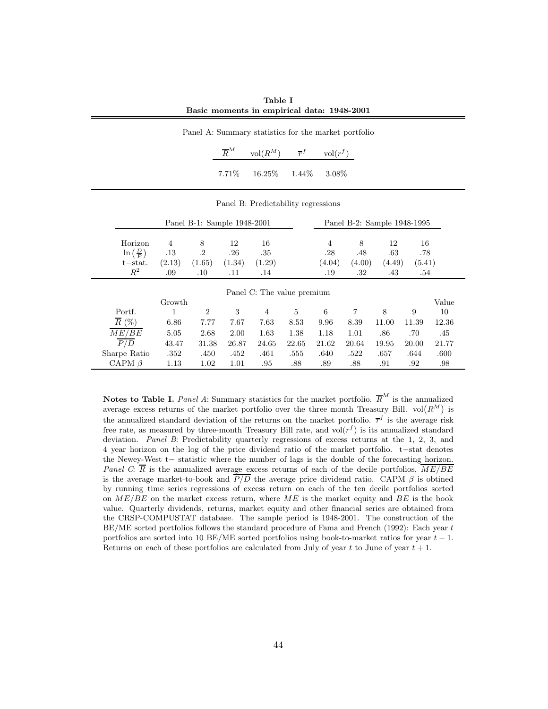**Table I Basic moments in empirical data: 1948-2001**

|  | Panel A: Summary statistics for the market portfolio      |  |  |
|--|-----------------------------------------------------------|--|--|
|  | $\overline{R}^M$ vol $(R^M)$ $\overline{r}^f$ vol $(r^f)$ |  |  |

| $7.71\%$ | 16.25% | 1.44\% | 3.08% |
|----------|--------|--------|-------|
|          |        |        |       |

Panel B: Predictability regressions

|                               |         | Panel B-1: Sample 1948-2001 |        |        |                            |                | Panel B-2: Sample 1948-1995 |        |        |       |
|-------------------------------|---------|-----------------------------|--------|--------|----------------------------|----------------|-----------------------------|--------|--------|-------|
| Horizon                       | 4       | 8                           | 12     | 16     |                            | $\overline{4}$ | 8                           | 12     | 16     |       |
| $\ln\left(\frac{D}{P}\right)$ | $.13\,$ | .2                          | .26    | .35    |                            | .28            | .48                         | .63    | .78    |       |
| $t - stat.$                   | (2.13)  | (1.65)                      | (1.34) | (1.29) |                            | (4.04)         | (4.00)                      | (4.49) | (5.41) |       |
| $R^2$                         | .09     | $.10\,$                     | .11    | .14    |                            | .19            | .32                         | .43    | .54    |       |
|                               |         |                             |        |        | Panel C: The value premium |                |                             |        |        |       |
|                               | Growth  |                             |        |        |                            |                |                             |        |        | Value |
| Portf.                        |         | $\overline{2}$              | 3      | 4      | 5                          | 6              |                             | 8      | 9      | 10    |
| $\overline{R}$ (%)            | 6.86    | 7.77                        | 7.67   | 7.63   | 8.53                       | 9.96           | 8.39                        | 11.00  | 11.39  | 12.36 |
| ME/BE                         | 5.05    | 2.68                        | 2.00   | 1.63   | 1.38                       | 1.18           | 1.01                        | .86    | .70    | .45   |
| P/D                           | 43.47   | 31.38                       | 26.87  | 24.65  | 22.65                      | 21.62          | 20.64                       | 19.95  | 20.00  | 21.77 |
| Sharpe Ratio                  | .352    | .450                        | .452   | .461   | .555                       | .640           | .522                        | .657   | .644   | .600  |
| CAPM $\beta$                  | 1.13    | 1.02                        | 1.01   | .95    | .88                        | .89            | .88                         | .91    | .92    | .98   |

**Notes to Table I.** *Panel A*: Summary statistics for the market portfolio.  $\overline{R}^M$  is the annualized average excess returns of the market portfolio over the three month Treasury Bill.  $vol(R^M)$  is the annualized standard deviation of the returns on the market portfolio.  $\bar{r}^f$  is the average risk free rate, as measured by three-month Treasury Bill rate, and  $vol(r^f)$  is its annualized standard deviation. *Panel B*: Predictability quarterly regressions of excess returns at the 1, 2, 3, and 4 year horizon on the log of the price dividend ratio of the market portfolio. t−stat denotes the Newey-West t− statistic where the number of lags is the double of the forecasting horizon. *Panel C*:  $\overline{R}$  is the annualized average excess returns of each of the decile portfolios,  $\overline{ME/BE}$ is the average market-to-book and  $P/D$  the average price dividend ratio. CAPM  $\beta$  is obtined by running time series regressions of excess return on each of the ten decile portfolios sorted on  $ME/BE$  on the market excess return, where ME is the market equity and BE is the book value. Quarterly dividends, returns, market equity and other financial series are obtained from the CRSP-COMPUSTAT database. The sample period is 1948-2001. The construction of the BE/ME sorted portfolios follows the standard procedure of Fama and French (1992): Each year t portfolios are sorted into 10 BE/ME sorted portfolios using book-to-market ratios for year  $t - 1$ . Returns on each of these portfolios are calculated from July of year t to June of year  $t + 1$ .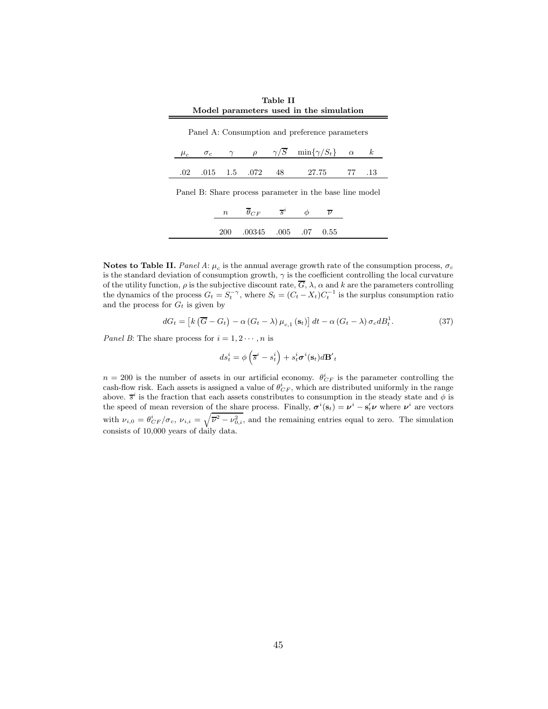| Model parameters used in the simulation |  |  |  |  |                                                                             |  |  |  |
|-----------------------------------------|--|--|--|--|-----------------------------------------------------------------------------|--|--|--|
|                                         |  |  |  |  | Panel A: Consumption and preference parameters                              |  |  |  |
|                                         |  |  |  |  | $\mu_c$ $\sigma_c$ $\gamma$ $\rho$ $\gamma/S$ $\min{\gamma/S_t}$ $\alpha$ k |  |  |  |
|                                         |  |  |  |  | .02 .015 1.5 .072 48 27.75 77 .13                                           |  |  |  |
|                                         |  |  |  |  | Danal D. Chana nyaagga nananantan in tha haga lina mada                     |  |  |  |

**Table II**

Panel B: Share process parameter in the base line model

| $\it n$ | $\theta_{CF}$   | $s^i$ |     |      |  |
|---------|-----------------|-------|-----|------|--|
| 200     | $.00345$ $.005$ |       | .07 | 0.55 |  |

**Notes to Table II.** *Panel A*:  $\mu_c$  is the annual average growth rate of the consumption process,  $\sigma_c$ is the standard deviation of consumption growth,  $\gamma$  is the coefficient controlling the local curvature of the utility function,  $\rho$  is the subjective discount rate,  $\overline{G}$ ,  $\lambda$ ,  $\alpha$  and  $k$  are the parameters controlling the dynamics of the process  $G_t = S_t^{-\gamma}$ , where  $S_t = (C_t - X_t)C_t^{-1}$  is the surplus consumption ratio and the process for  $G_t$  is given by

$$
dG_t = \left[ k \left( \overline{G} - G_t \right) - \alpha \left( G_t - \lambda \right) \mu_{c,1} \left( \mathbf{s}_t \right) \right] dt - \alpha \left( G_t - \lambda \right) \sigma_c d B_t^1. \tag{37}
$$

*Panel B*: The share process for  $i = 1, 2 \cdots, n$  is

$$
ds_t^i = \phi\left(\overline{s}^i - s_t^i\right) + s_t^i \sigma^i(\mathbf{s}_t) d\mathbf{B}'_t
$$

 $n = 200$  is the number of assets in our artificial economy.  $\theta_{CF}^{i}$  is the parameter controlling the cash-flow risk. Each assets is assigned a value of  $\theta_{CF}^i$ , which are distributed uniformly in the range above.  $\bar{s}^i$  is the fraction that each assets constributes to consumption in the steady state and  $\phi$  is the speed of mean reversion of the share process. Finally,  $\sigma^i(\mathbf{s}_t) = \nu^i - \mathbf{s}_t^i \nu$  where  $\nu^i$  are vectors with  $\nu_{i,0} = \frac{\theta_{CF}^i}{\sigma_c}$ ,  $\nu_{i,i} = \sqrt{\overline{\nu^2} - \nu_{0,i}^2}$ , and the remaining entries equal to zero. The simulation consists of 10,000 years of daily data.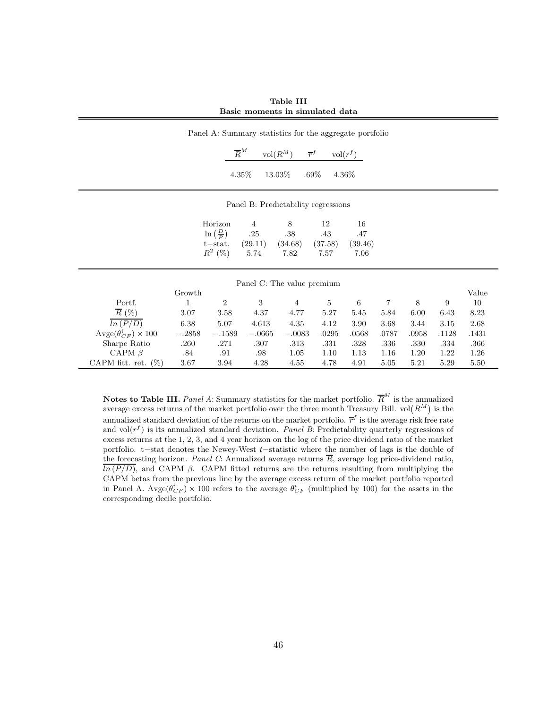**Table III Basic moments in simulated data**

| Panel A: Summary statistics for the aggregate portfolio |          |                               |          |                                     |                                         |          |                |       |       |       |
|---------------------------------------------------------|----------|-------------------------------|----------|-------------------------------------|-----------------------------------------|----------|----------------|-------|-------|-------|
|                                                         |          | $\overline{R}^M$              |          | $\text{vol}(R^M)$                   | $\overline{r}^f$<br>$\mathrm{vol}(r^f)$ |          |                |       |       |       |
|                                                         |          | 4.35%                         |          | 13.03%                              | $.69\%$                                 | $4.36\%$ |                |       |       |       |
|                                                         |          |                               |          | Panel B: Predictability regressions |                                         |          |                |       |       |       |
|                                                         |          | Horizon                       | 4        | 8                                   | 12                                      | 16       |                |       |       |       |
|                                                         |          | $\ln\left(\frac{D}{P}\right)$ | .25      | .38                                 | .43                                     | .47      |                |       |       |       |
|                                                         |          | $t$ -stat.                    | (29.11)  | (34.68)                             | (37.58)                                 | (39.46)  |                |       |       |       |
|                                                         |          | $R^2$ (%)                     | 5.74     | 7.82                                | 7.57                                    | 7.06     |                |       |       |       |
|                                                         |          |                               |          | Panel C: The value premium          |                                         |          |                |       |       |       |
|                                                         | Growth   |                               |          |                                     |                                         |          |                |       |       | Value |
| Portf.                                                  | 1        | $\overline{2}$                | 3        | $\overline{4}$                      | $\bf 5$                                 | $\,6\,$  | $\overline{7}$ | 8     | 9     | 10    |
| $\overline{R}$ (%)                                      | 3.07     | 3.58                          | 4.37     | 4.77                                | $5.27\,$                                | 5.45     | 5.84           | 6.00  | 6.43  | 8.23  |
| $\overline{ln(P/D)}$                                    | 6.38     | 5.07                          | 4.613    | 4.35                                | 4.12                                    | 3.90     | 3.68           | 3.44  | 3.15  | 2.68  |
| $\text{Avge}(\theta_{CF}^i) \times 100$                 | $-.2858$ | $-.1589$                      | $-.0665$ | $-.0083$                            | .0295                                   | .0568    | .0787          | .0958 | .1128 | .1431 |
| Sharpe Ratio                                            | .260     | .271                          | .307     | .313                                | .331                                    | .328     | .336           | .330  | .334  | .366  |
| CAPM $\beta$                                            | .84      | .91                           | .98      | 1.05                                | 1.10                                    | 1.13     | 1.16           | 1.20  | 1.22  | 1.26  |
| CAPM fitt. ret. $(\%)$                                  | 3.67     | $3.94\,$                      | 4.28     | 4.55                                | 4.78                                    | 4.91     | 5.05           | 5.21  | 5.29  | 5.50  |

**Notes to Table III.** *Panel A*: Summary statistics for the market portfolio.  $\overline{R}^M$  is the annualized average excess returns of the market portfolio over the three month Treasury Bill.  $vol(R^M)$  is the annualized standard deviation of the returns on the market portfolio.  $\bar{r}^f$  is the average risk free rate and vol $(r^f)$  is its annualized standard deviation. *Panel B*: Predictability quarterly regressions of excess returns at the 1, 2, 3, and 4 year horizon on the log of the price dividend ratio of the market portfolio. t−stat denotes the Newey-West t−statistic where the number of lags is the double of the forecasting horizon. *Panel C*: Annualized average returns  $\overline{R}$ , average log price-dividend ratio,  $\overline{ln(P/D)}$ , and CAPM β. CAPM fitted returns are the returns resulting from multiplying the CAPM betas from the previous line by the average excess return of the market portfolio reported in Panel A.  $Avge(\theta_{CF}^i) \times 100$  refers to the average  $\theta_{CF}^i$  (multiplied by 100) for the assets in the corresponding decile portfolio.

L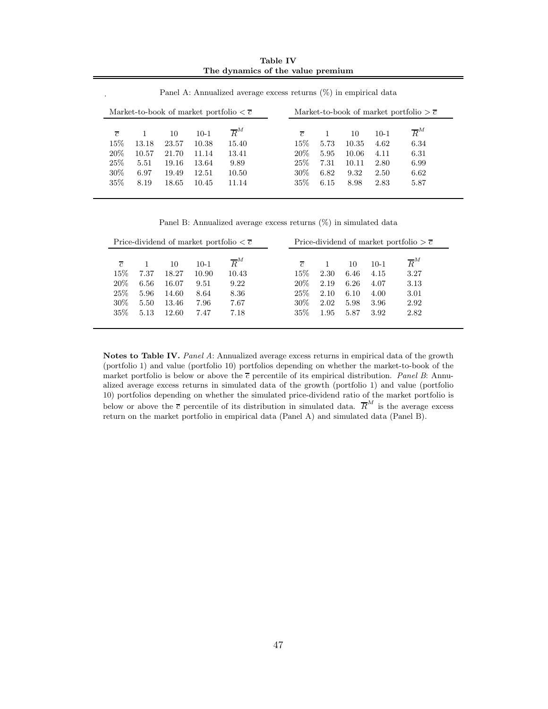**Table IV The dynamics of the value premium**

| $\overline{c}$ |       | 10    | $10-1$ | $\overline{R}^M$ | $\overline{c}$ |      | 10    | $10-1$ | $\overline{R}^M$ |
|----------------|-------|-------|--------|------------------|----------------|------|-------|--------|------------------|
| 15%            | 13.18 | 23.57 | 10.38  | 15.40            | 15%            | 5.73 | 10.35 | 4.62   | 6.34             |
| 20%            | 10.57 | 21.70 | 11.14  | 13.41            | $20\%$         | 5.95 | 10.06 | 4.11   | 6.31             |
| 25\%           | 5.51  | 19.16 | 13.64  | 9.89             | 25\%           | 7.31 | 10.11 | 2.80   | 6.99             |
| 30%            | 6.97  | 19.49 | 12.51  | 10.50            | $30\%$         | 6.82 | 9.32  | 2.50   | 6.62             |
| 35%            | 8.19  | 18.65 | 10.45  | 11.14            | 35%            | 6.15 | 8.98  | 2.83   | 5.87             |

Panel A: Annualized average excess returns  $(\%)$  in empirical data

.

Panel B: Annualized average excess returns (%) in simulated data

|                |      |       |        | Price-dividend of market portfolio $\langle \overline{c} \rangle$ |                |      |      |        | Price-dividend of market portfolio $\geq \overline{c}$ |
|----------------|------|-------|--------|-------------------------------------------------------------------|----------------|------|------|--------|--------------------------------------------------------|
| $\overline{c}$ |      | 10    | $10-1$ | $\overline{R}^M$                                                  | $\overline{c}$ |      | 10   | $10-1$ | $\overline{R}^M$                                       |
| 15%            | 7.37 | 18.27 | 10.90  | 10.43                                                             | $15\%$         | 2.30 | 6.46 | 4.15   | 3.27                                                   |
| 20%            | 6.56 | 16.07 | 9.51   | 9.22                                                              | $20\%$         | 2.19 | 6.26 | 4.07   | 3.13                                                   |
| 25%            | 5.96 | 14.60 | 8.64   | 8.36                                                              | 25%            | 2.10 | 6.10 | 4.00   | 3.01                                                   |
| $30\%$         | 5.50 | 13.46 | 7.96   | 7.67                                                              | $30\%$         | 2.02 | 5.98 | 3.96   | 2.92                                                   |
| $35\%$         | 5.13 | 12.60 | 7.47   | 7.18                                                              | 35%            | 1.95 | 5.87 | 3.92   | 2.82                                                   |

**Notes to Table IV.** *Panel A*: Annualized average excess returns in empirical data of the growth (portfolio 1) and value (portfolio 10) portfolios depending on whether the market-to-book of the market portfolio is below or above the  $\overline{c}$  percentile of its empirical distribution. *Panel B*: Annualized average excess returns in simulated data of the growth (portfolio 1) and value (portfolio 10) portfolios depending on whether the simulated price-dividend ratio of the market portfolio is below or above the  $\overline{c}$  percentile of its distribution in simulated data.  $\overline{R}^M$  is the average excess return on the market portfolio in empirical data (Panel A) and simulated data (Panel B).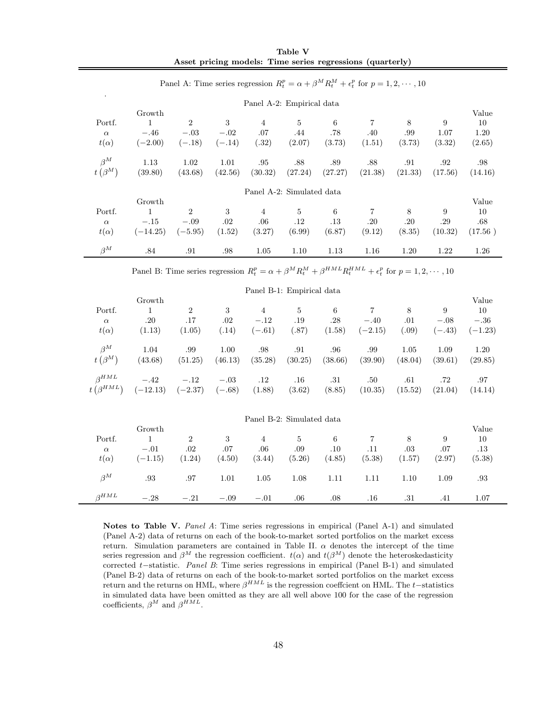|                           |            | Panel A: Time series regression $R_t^p = \alpha + \beta^M R_t^M + \epsilon_t^p$ for $p = 1, 2, \dots, 10$ |          |                |                           |         |         |         |         |         |
|---------------------------|------------|-----------------------------------------------------------------------------------------------------------|----------|----------------|---------------------------|---------|---------|---------|---------|---------|
|                           |            |                                                                                                           |          |                | Panel A-2: Empirical data |         |         |         |         |         |
|                           | Growth     |                                                                                                           |          |                |                           |         |         |         |         | Value   |
| Portf.                    | 1          | $\overline{2}$                                                                                            | 3        | $\overline{4}$ | 5                         | 6       | 7       | 8       | 9       | 10      |
| $\alpha$                  | $-.46$     | $-.03$                                                                                                    | $-.02$   | .07            | .44                       | .78     | .40     | .99     | 1.07    | 1.20    |
| $t(\alpha)$               | $(-2.00)$  | $(-.18)$                                                                                                  | $(-.14)$ | (.32)          | (2.07)                    | (3.73)  | (1.51)  | (3.73)  | (3.32)  | (2.65)  |
| $\beta^M$                 | 1.13       | 1.02                                                                                                      | 1.01     | .95            | .88                       | .89     | .88     | .91     | .92     | .98     |
| $t\left(\beta^{M}\right)$ | (39.80)    | (43.68)                                                                                                   | (42.56)  | (30.32)        | (27.24)                   | (27.27) | (21.38) | (21.33) | (17.56) | (14.16) |
|                           |            |                                                                                                           |          |                | Panel A-2: Simulated data |         |         |         |         |         |
|                           | Growth     |                                                                                                           |          |                |                           |         |         |         |         | Value   |
| Portf.                    | 1          | $\overline{2}$                                                                                            | 3        | 4              | 5                         | 6       | 7       | 8       | 9       | 10      |
| $\alpha$                  | $-.15$     | $-.09$                                                                                                    | .02      | .06            | $.12\,$                   | $.13\,$ | .20     | .20     | .29     | .68     |
| $t(\alpha)$               | $(-14.25)$ | $(-5.95)$                                                                                                 | (1.52)   | (3.27)         | (6.99)                    | (6.87)  | (9.12)  | (8.35)  | (10.32) | (17.56) |
| $\beta^M$                 | .84        | .91                                                                                                       | .98      | 1.05           | 1.10                      | 1.13    | 1.16    | 1.20    | 1.22    | 1.26    |

**Table V Asset pricing models: Time series regressions (quarterly)**

Panel B: Time series regression  $R_t^p = \alpha + \beta^M R_t^M + \beta^{HML} R_t^{HML} + \epsilon_t^p$  for  $p = 1, 2, \cdots, 10$ 

|                                              |                                         |                                 |                    | Panel B-1: Empirical data            |                                |                    |                          |                   |                         |                                    |
|----------------------------------------------|-----------------------------------------|---------------------------------|--------------------|--------------------------------------|--------------------------------|--------------------|--------------------------|-------------------|-------------------------|------------------------------------|
| Portf.<br>$\alpha$<br>$t(\alpha)$            | Growth<br>$\mathbf{1}$<br>.20<br>(1.13) | $\overline{2}$<br>.17<br>(1.05) | 3<br>.02<br>(.14)  | $\overline{4}$<br>$-.12$<br>$(-.61)$ | $\overline{5}$<br>.19<br>(.87) | 6<br>.28<br>(1.58) | 7<br>$-.40$<br>$(-2.15)$ | 8<br>.01<br>(.09) | 9<br>$-.08$<br>$(-.43)$ | Value<br>10<br>$-.36$<br>$(-1.23)$ |
| $\beta^M$<br>$t\left(\beta^{M}\right)$       | 1.04<br>(43.68)                         | .99<br>(51.25)                  | 1.00<br>(46.13)    | .98<br>(35.28)                       | .91<br>(30.25)                 | .96<br>(38.66)     | .99<br>(39.90)           | 1.05<br>(48.04)   | 1.09<br>(39.61)         | 1.20<br>(29.85)                    |
| $\beta^{HML}$<br>$t\left(\beta^{HML}\right)$ | $-.42$<br>$(-12.13)$                    | $-.12$<br>$(-2.37)$             | $-.03$<br>$(-.68)$ | $.12\,$<br>(1.88)                    | .16<br>(3.62)                  | .31<br>(8.85)      | .50<br>(10.35)           | .61<br>(15.52)    | .72<br>(21.04)          | .97<br>(14.14)                     |
|                                              |                                         |                                 |                    | Panel B-2: Simulated data            |                                |                    |                          |                   |                         |                                    |
|                                              | Growth                                  |                                 |                    |                                      |                                |                    |                          |                   |                         | Value                              |
| Portf.                                       | 1                                       | $\overline{2}$                  | 3                  | $\overline{4}$                       | $\overline{5}$                 | 6                  | 7                        | 8                 | 9                       | 10                                 |
| $\alpha$                                     | $-.01$                                  | $.02\,$                         | .07                | .06                                  | .09                            | .10                | .11                      | .03               | .07                     | $.13\,$                            |
| $t(\alpha)$                                  | $(-1.15)$                               | (1.24)                          | (4.50)             | (3.44)                               | (5.26)                         | (4.85)             | (5.38)                   | (1.57)            | (2.97)                  | (5.38)                             |
| $\beta^M$                                    | .93                                     | .97                             | 1.01               | 1.05                                 | 1.08                           | 1.11               | 1.11                     | 1.10              | 1.09                    | .93                                |
| $\beta^{HML}$                                | $-.28$                                  | $-.21$                          | $-.09$             | $-.01$                               | .06                            | .08                | $.16\,$                  | .31               | .41                     | 1.07                               |

**Notes to Table V.** *Panel A*: Time series regressions in empirical (Panel A-1) and simulated (Panel A-2) data of returns on each of the book-to-market sorted portfolios on the market excess return. Simulation parameters are contained in Table II.  $\alpha$  denotes the intercept of the time series regression and  $\beta^M$  the regression coefficient.  $t(\alpha)$  and  $t(\beta^M)$  denote the heteroskedasticity corrected t−statistic. *Panel B*: Time series regressions in empirical (Panel B-1) and simulated (Panel B-2) data of returns on each of the book-to-market sorted portfolios on the market excess return and the returns on HML, where  $\beta^{HML}$  is the regression coeffcient on HML. The t–statistics in simulated data have been omitted as they are all well above 100 for the case of the regression coefficients,  $\beta^M$  and  $\beta^{HML}$ .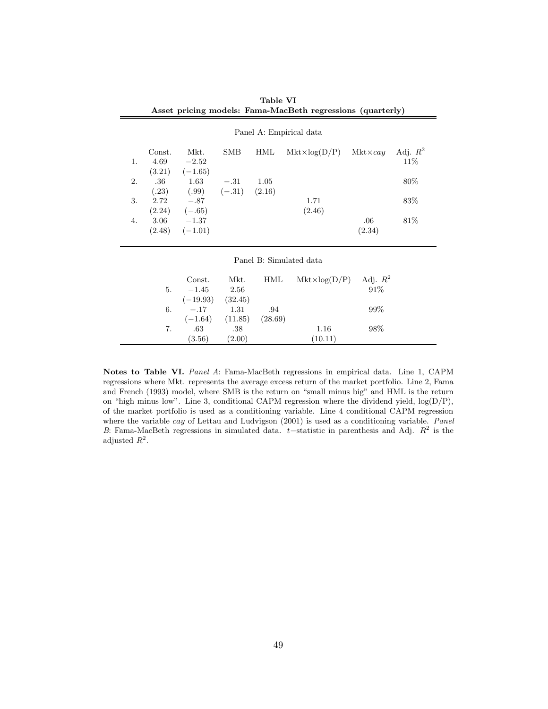|    |        |                                   |                     |         | Asset pricing models: Fama-MacBeth regressions (quarterly) |                  |            |
|----|--------|-----------------------------------|---------------------|---------|------------------------------------------------------------|------------------|------------|
|    |        |                                   |                     |         | Panel A: Empirical data                                    |                  |            |
|    | Const. | Mkt.                              | SMB                 | HML     | $Mkt \times log(D/P)$                                      | $Mkt \times cay$ | Adj. $R^2$ |
| 1. | 4.69   | $-2.52$<br>$(3.21)$ $(-1.65)$     |                     |         |                                                            |                  | 11\%       |
| 2. |        | $.36 \qquad 1.63 \qquad -.31$     |                     | 1.05    |                                                            |                  | 80%        |
|    |        | $(.23)$ $(.99)$ $(-.31)$ $(2.16)$ |                     |         |                                                            |                  |            |
| 3. |        | $2.72 - 87$                       |                     |         | 1.71                                                       |                  | 83\%       |
|    |        | $(2.24)$ $(-.65)$                 |                     |         | (2.46)                                                     |                  |            |
| 4. |        | $3.06 -1.37$                      |                     |         |                                                            | .06              | 81\%       |
|    |        | $(2.48)$ $(-1.01)$                |                     |         |                                                            | (2.34)           |            |
|    |        |                                   |                     |         |                                                            |                  |            |
|    |        |                                   |                     |         | Panel B: Simulated data                                    |                  |            |
|    |        |                                   |                     |         |                                                            |                  |            |
|    |        | Const.                            | Mkt.                | HML     | Mkt×log(D/P) Adj. $R^2$                                    |                  |            |
|    | 5.     | $-1.45$                           | 2.56                |         |                                                            | 91%              |            |
|    |        | $(-19.93)$ $(32.45)$              |                     |         |                                                            |                  |            |
|    | 6.     |                                   | $-.17$ 1.31         | .94     |                                                            | $99\%$           |            |
|    |        |                                   | $(-1.64)$ $(11.85)$ | (28.69) |                                                            |                  |            |
|    | 7.     | .63                               | .38                 |         | 1.16                                                       | 98%              |            |
|    |        | (3.56)                            | (2.00)              |         | (10.11)                                                    |                  |            |

**Table VI Asset pricing models: Fama-MacBeth regressions (quarterly)**

**Notes to Table VI.** *Panel A*: Fama-MacBeth regressions in empirical data. Line 1, CAPM regressions where Mkt. represents the average excess return of the market portfolio. Line 2, Fama and French (1993) model, where SMB is the return on "small minus big" and HML is the return on "high minus low". Line 3, conditional CAPM regression where the dividend yield,  $log(D/P)$ , of the market portfolio is used as a conditioning variable. Line 4 conditional CAPM regression where the variable cay of Lettau and Ludvigson (2001) is used as a conditioning variable. *Panel B*: Fama-MacBeth regressions in simulated data. t–statistic in parenthesis and Adj.  $R^2$  is the adjusted  $R^2$ .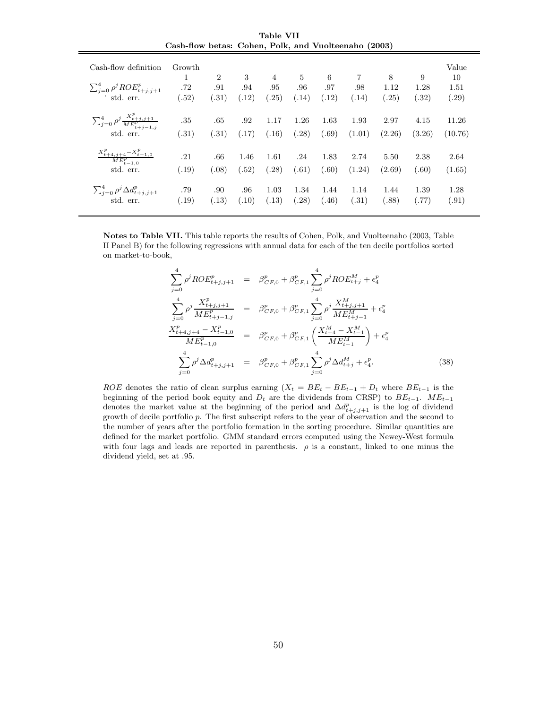| Table VII |  |                                                      |  |  |  |  |  |  |
|-----------|--|------------------------------------------------------|--|--|--|--|--|--|
|           |  | Cash-flow betas: Cohen, Polk, and Vuolteenaho (2003) |  |  |  |  |  |  |

| Cash-flow definition<br>$\sum_{i=0}^4 \rho^j ROE_{t+j,j+1}^p$<br>std. err. | Growth<br>1<br>.72<br>(.52) | $\overline{2}$<br>.91<br>(.31) | 3<br>.94<br>(.12) | $\overline{4}$<br>.95<br>(.25) | $\frac{5}{2}$<br>.96<br>(.14) | 6<br>.97<br>(.12) | $\overline{7}$<br>.98<br>(.14) | 8<br>1.12<br>(.25) | 9<br>1.28<br>(.32) | Value<br>10<br>1.51<br>(.29) |
|----------------------------------------------------------------------------|-----------------------------|--------------------------------|-------------------|--------------------------------|-------------------------------|-------------------|--------------------------------|--------------------|--------------------|------------------------------|
| $\sum_{j=0}^{4} \rho^j \frac{X_{t+j,j+1}^p}{ME_{t+j-1,j}^p}$               | .35                         | .65                            | .92               | 1.17                           | 1.26                          | 1.63              | 1.93                           | 2.97               | 4.15               | 11.26                        |
| std. err.                                                                  | (.31)                       | (.31)                          | (.17)             | (.16)                          | (.28)                         | (.69)             | (1.01)                         | (2.26)             | (3.26)             | (10.76)                      |
| $X_{t+4,j+4}^p-X_{t-1,0}^p$<br>$ME_{t-1,0}^{p}$<br>std. err.               | .21<br>(.19)                | .66<br>(.08)                   | 1.46<br>(.52)     | 1.61<br>(.28)                  | .24<br>(.61)                  | 1.83<br>(.60)     | 2.74<br>(1.24)                 | 5.50<br>(2.69)     | 2.38<br>(.60)      | 2.64<br>(1.65)               |
| $\sum_{j=0}^4 \rho^j \Delta d_{t+j,j+1}^p$                                 | .79                         | .90                            | .96               | 1.03                           | 1.34                          | 1.44              | 1.14                           | 1.44               | 1.39               | 1.28                         |
| std. err.                                                                  | (.19)                       | (.13)                          | (.10)             | (.13)                          | (.28)                         | (.46)             | (.31)                          | (.88)              | (.77)              | (.91)                        |

**Notes to Table VII.** This table reports the results of Cohen, Polk, and Vuolteenaho (2003, Table II Panel B) for the following regressions with annual data for each of the ten decile portfolios sorted on market-to-book,

$$
\sum_{j=0}^{4} \rho^{j} ROE_{t+j,j+1}^{p} = \beta_{CF,0}^{p} + \beta_{CF,1}^{p} \sum_{j=0}^{4} \rho^{j} ROE_{t+j}^{M} + \epsilon_{4}^{p}
$$
\n
$$
\sum_{j=0}^{4} \rho^{j} \frac{X_{t+j,j+1}^{p}}{ME_{t+j-1,j}^{p}} = \beta_{CF,0}^{p} + \beta_{CF,1}^{p} \sum_{j=0}^{4} \rho^{j} \frac{X_{t+j,j+1}^{M}}{ME_{t+j-1}^{M}} + \epsilon_{4}^{p}
$$
\n
$$
\frac{X_{t+4,j+4}^{p} - X_{t-1,0}^{p}}{ME_{t-1,0}^{p}} = \beta_{CF,0}^{p} + \beta_{CF,1}^{p} \left( \frac{X_{t+4}^{M} - X_{t-1}^{M}}{ME_{t-1}^{M}} \right) + \epsilon_{4}^{p}
$$
\n
$$
\sum_{j=0}^{4} \rho^{j} \Delta d_{t+j,j+1}^{p} = \beta_{CF,0}^{p} + \beta_{CF,1}^{p} \sum_{j=0}^{4} \rho^{j} \Delta d_{t+j}^{M} + \epsilon_{4}^{p}.
$$
\n(38)

ROE denotes the ratio of clean surplus earning  $(X_t = BE_t - BE_{t-1} + D_t$  where  $BE_{t-1}$  is the beginning of the period book equity and  $D_t$  are the dividends from CRSP) to  $BE_{t-1}$ .  $ME_{t-1}$ denotes the market value at the beginning of the period and  $\Delta d_{t+j,j+1}^p$  is the log of dividend growth of decile portfolio p. The first subscript refers to the year of observation and the second to the number of years after the portfolio formation in the sorting procedure. Similar quantities are defined for the market portfolio. GMM standard errors computed using the Newey-West formula with four lags and leads are reported in parenthesis.  $\rho$  is a constant, linked to one minus the dividend yield, set at .95.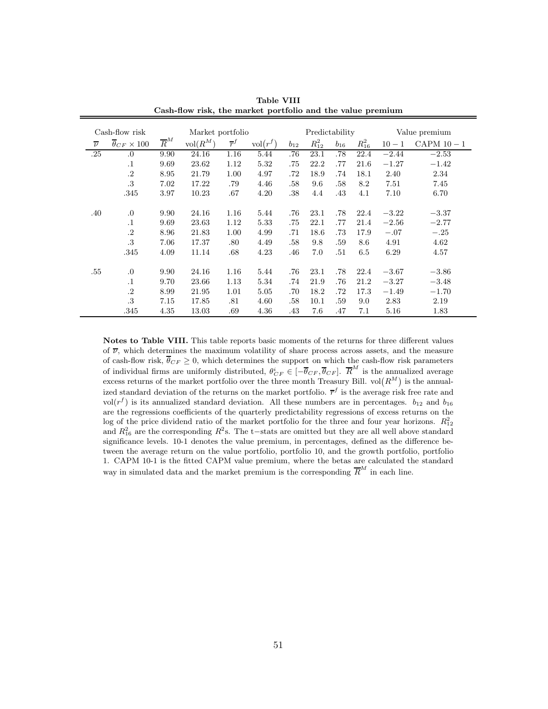| Cash-flow risk<br>Market portfolio |                          |                  |            |                  | Predictability      |          |            |          | Value premium |          |             |
|------------------------------------|--------------------------|------------------|------------|------------------|---------------------|----------|------------|----------|---------------|----------|-------------|
| $\overline{\nu}$                   | $\theta_{CF} \times 100$ | $\overline{R}^M$ | $vol(R^M)$ | $\overline{r}^f$ | $\mathrm{vol}(r^f)$ | $b_{12}$ | $R_{12}^2$ | $b_{16}$ | $R_{16}^2$    | $10 - 1$ | CAPM $10-1$ |
| .25                                | .0                       | 9.90             | 24.16      | 1.16             | 5.44                | .76      | 23.1       | .78      | 22.4          | $-2.44$  | $-2.53$     |
|                                    | $\cdot$ 1                | 9.69             | 23.62      | 1.12             | 5.32                | .75      | 22.2       | .77      | 21.6          | $-1.27$  | $-1.42$     |
|                                    | $\cdot$ <sup>2</sup>     | 8.95             | 21.79      | 1.00             | 4.97                | .72      | 18.9       | .74      | 18.1          | 2.40     | 2.34        |
|                                    | .3                       | 7.02             | 17.22      | .79              | 4.46                | .58      | 9.6        | .58      | 8.2           | 7.51     | 7.45        |
|                                    | .345                     | 3.97             | 10.23      | .67              | 4.20                | .38      | 4.4        | .43      | 4.1           | 7.10     | 6.70        |
|                                    |                          |                  |            |                  |                     |          |            |          |               |          |             |
| .40                                | .0                       | 9.90             | 24.16      | 1.16             | 5.44                | .76      | 23.1       | .78      | 22.4          | $-3.22$  | $-3.37$     |
|                                    | $\cdot$ 1                | 9.69             | 23.63      | 1.12             | 5.33                | .75      | 22.1       | .77      | 21.4          | $-2.56$  | $-2.77$     |
|                                    | $\cdot$ <sup>2</sup>     | 8.96             | 21.83      | 1.00             | 4.99                | .71      | 18.6       | .73      | 17.9          | $-.07$   | $-.25$      |
|                                    | .3                       | 7.06             | 17.37      | .80              | 4.49                | .58      | 9.8        | .59      | 8.6           | 4.91     | 4.62        |
|                                    | .345                     | 4.09             | 11.14      | .68              | 4.23                | .46      | 7.0        | .51      | 6.5           | 6.29     | 4.57        |
|                                    |                          |                  |            |                  |                     |          |            |          |               |          |             |
| .55                                | 0.                       | 9.90             | 24.16      | 1.16             | 5.44                | .76      | 23.1       | .78      | 22.4          | $-3.67$  | $-3.86$     |
|                                    | $\cdot$ 1                | 9.70             | 23.66      | 1.13             | 5.34                | .74      | 21.9       | .76      | 21.2          | $-3.27$  | $-3.48$     |
|                                    | $\cdot$ <sup>2</sup>     | 8.99             | 21.95      | 1.01             | 5.05                | .70      | 18.2       | .72      | 17.3          | $-1.49$  | $-1.70$     |
|                                    | .3                       | 7.15             | 17.85      | .81              | 4.60                | .58      | 10.1       | .59      | 9.0           | 2.83     | 2.19        |
|                                    | .345                     | 4.35             | 13.03      | .69              | 4.36                | .43      | 7.6        | .47      | 7.1           | 5.16     | 1.83        |

**Table VIII Cash-flow risk, the market portfolio and the value premium**

**Notes to Table VIII.** This table reports basic moments of the returns for three different values of  $\overline{\nu}$ , which determines the maximum volatility of share process across assets, and the measure of cash-flow risk,  $\overline{\theta}_{CF} \geq 0$ , which determines the support on which the cash-flow risk parameters of individual firms are uniformly distributed,  $\theta_{CF}^i \in [-\overline{\theta}_{CF}, \overline{\theta}_{CF}]$ .  $\overline{R}^M$  is the annualized average excess returns of the market portfolio over the three month Treasury Bill.  $vol(R^M)$  is the annualized standard deviation of the returns on the market portfolio.  $\bar{r}^f$  is the average risk free rate and vol( $r<sup>f</sup>$ ) is its annualized standard deviation. All these numbers are in percentages.  $b_{12}$  and  $b_{16}$ are the regressions coefficients of the quarterly predictability regressions of excess returns on the log of the price dividend ratio of the market portfolio for the three and four year horizons.  $R_{12}^2$ and  $R_{16}^2$  are the corresponding  $R^2$ s. The t−stats are omitted but they are all well above standard significance levels. 10-1 denotes the value premium, in percentages, defined as the difference between the average return on the value portfolio, portfolio 10, and the growth portfolio, portfolio 1. CAPM 10-1 is the fitted CAPM value premium, where the betas are calculated the standard way in simulated data and the market premium is the corresponding  $\overline{R}^M$  in each line.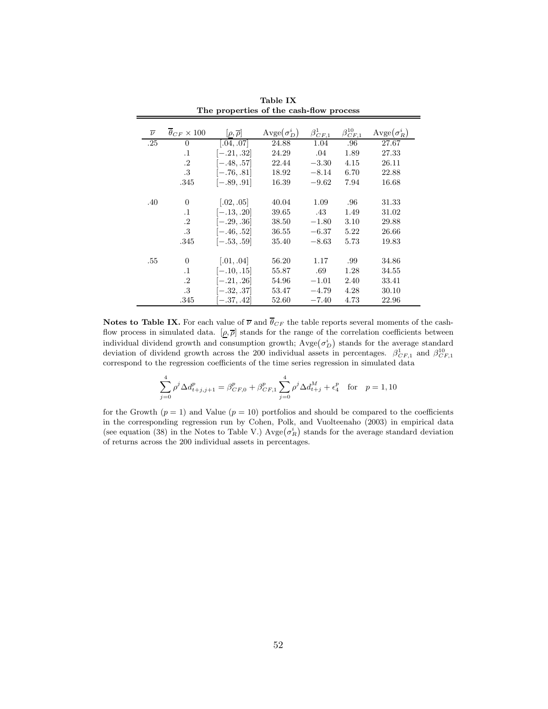| $\overline{\nu}$ | $\overline{\theta}_{CF} \times 100$ | $[\rho, \overline{\rho}]$ | $\text{Avge}(\sigma_D^i)$ | $\beta_{CF.1}^1$ | $\beta_{CE,\underline{1}}^{10}$ | $\text{Avge}(\sigma_R^i)$ |
|------------------|-------------------------------------|---------------------------|---------------------------|------------------|---------------------------------|---------------------------|
| .25              | $\Omega$                            | [.04, .07]                | 24.88                     | 1.04             | .96                             | 27.67                     |
|                  | $\cdot$ 1                           | $[-.21, .32]$             | 24.29                     | .04              | 1.89                            | 27.33                     |
|                  | $\cdot$ .2                          | $[-.48, .57]$             | 22.44                     | $-3.30$          | 4.15                            | 26.11                     |
|                  | $.3\,$                              | $[-.76, .81]$             | 18.92                     | $-8.14$          | 6.70                            | 22.88                     |
|                  | .345                                | $[-.89, .91]$             | 16.39                     | $-9.62$          | 7.94                            | 16.68                     |
|                  |                                     |                           |                           |                  |                                 |                           |
| .40              | $\Omega$                            | [.02, .05]                | 40.04                     | 1.09             | .96                             | 31.33                     |
|                  | $\cdot$ 1                           | $[-.13, .20]$             | 39.65                     | .43              | 1.49                            | 31.02                     |
|                  | $\cdot$ .2                          | $[-.29, .36]$             | 38.50                     | $-1.80$          | 3.10                            | 29.88                     |
|                  | .3                                  | $[-.46, .52]$             | 36.55                     | $-6.37$          | 5.22                            | 26.66                     |
|                  | .345                                | $[-.53, .59]$             | 35.40                     | $-8.63$          | 5.73                            | 19.83                     |
|                  |                                     |                           |                           |                  |                                 |                           |
| .55              | $\Omega$                            | [.01, .04]                | 56.20                     | 1.17             | .99                             | 34.86                     |
|                  | $\cdot$ 1                           | $[-.10, .15]$             | 55.87                     | .69              | 1.28                            | 34.55                     |
|                  | $\cdot$ .2                          | $[-.21, .26]$             | 54.96                     | $-1.01$          | 2.40                            | 33.41                     |
|                  | .3                                  | $[-.32, .37]$             | 53.47                     | $-4.79$          | 4.28                            | 30.10                     |
|                  | .345                                | $[-.37, .42]$             | 52.60                     | $-7.40$          | 4.73                            | 22.96                     |

**Table IX The properties of the cash-flow process**

**Notes to Table IX.** For each value of  $\overline{\nu}$  and  $\overline{\theta}_{CF}$  the table reports several moments of the cashflow process in simulated data.  $[\rho, \overline{\rho}]$  stands for the range of the correlation coefficients between individual dividend growth and consumption growth;  $\text{Avge}(\sigma_D^i)$  stands for the average standard deviation of dividend growth across the 200 individual assets in percentages.  $\beta_{CF,1}^1$  and  $\beta_{CF,1}^{10}$ correspond to the regression coefficients of the time series regression in simulated data

$$
\sum_{j=0}^{4} \rho^j \Delta d_{t+j,j+1}^p = \beta_{CF,0}^p + \beta_{CF,1}^p \sum_{j=0}^{4} \rho^j \Delta d_{t+j}^M + \epsilon_4^p \quad \text{for} \quad p = 1, 10
$$

for the Growth  $(p = 1)$  and Value  $(p = 10)$  portfolios and should be compared to the coefficients in the corresponding regression run by Cohen, Polk, and Vuolteenaho (2003) in empirical data (see equation (38) in the Notes to Table V.) Avge $(\sigma_R^i)$  stands for the average standard deviation of returns across the 200 individual assets in percentages.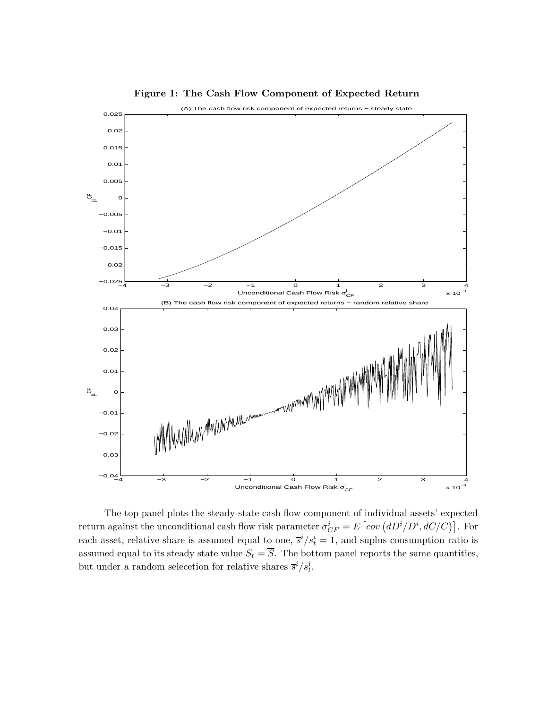

**Figure 1: The Cash Flow Component of Expected Return**

The top panel plots the steady-state cash flow component of individual assets' expected return against the unconditional cash flow risk parameter  $\sigma_{CF}^i = E\left[cov(dD^i/D^i, dC/C)\right]$ . For each asset, relative share is assumed equal to one,  $\bar{s}^i/s_t^i = 1$ , and suplus consumption ratio is assumed equal to its steady state value  $S_t = \overline{S}$ . The bottom panel reports the same quantities, but under a random selecction for relative shares  $\overline{s}^{i}/s_{t}^{i}$ .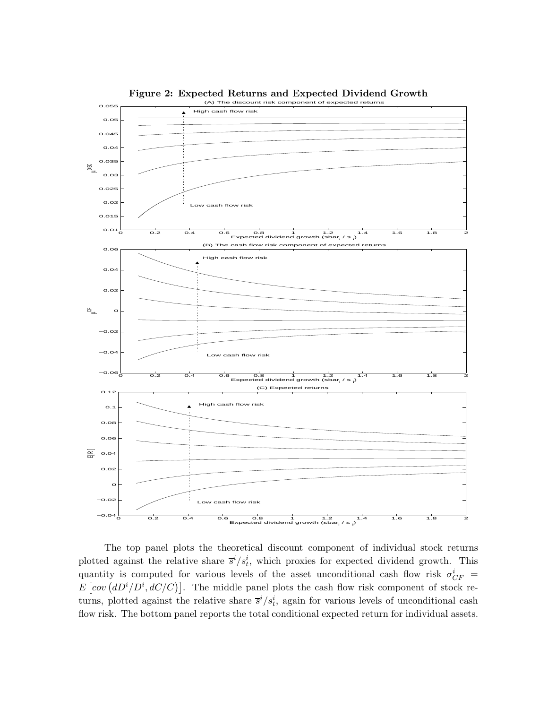

**Figure 2: Expected Returns and Expected Dividend Growth**

The top panel plots the theoretical discount component of individual stock returns plotted against the relative share  $\bar{s}^i/s_t^i$ , which proxies for expected dividend growth. This quantity is computed for various levels of the asset unconditional cash flow risk  $\sigma_{CF}^{i}$  =  $E\left[cov\left(dD^{i}/D^{i},dC/C\right)\right]$ . The middle panel plots the cash flow risk component of stock returns, plotted against the relative share  $\bar{s}^i/s_t^i$ , again for various levels of unconditional cash flow risk. The bottom panel reports the total conditional expected return for individual assets.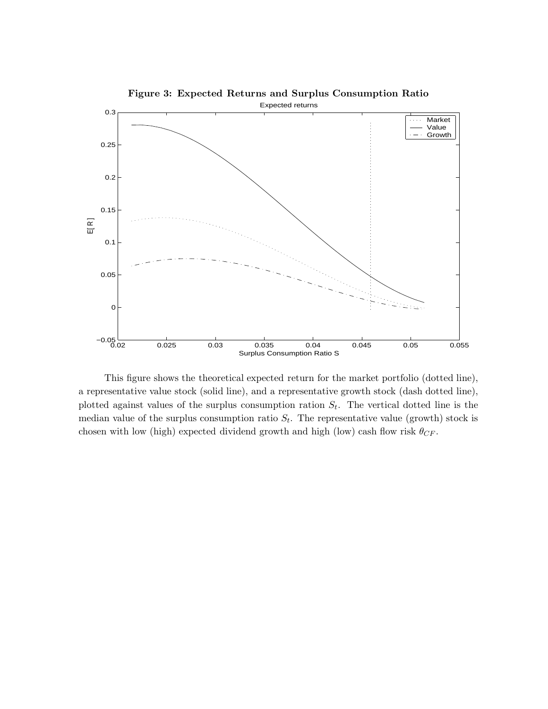

This figure shows the theoretical expected return for the market portfolio (dotted line), a representative value stock (solid line), and a representative growth stock (dash dotted line), plotted against values of the surplus consumption ration  $S_t$ . The vertical dotted line is the median value of the surplus consumption ratio  $S_t$ . The representative value (growth) stock is chosen with low (high) expected dividend growth and high (low) cash flow risk  $\theta_{CF}$ .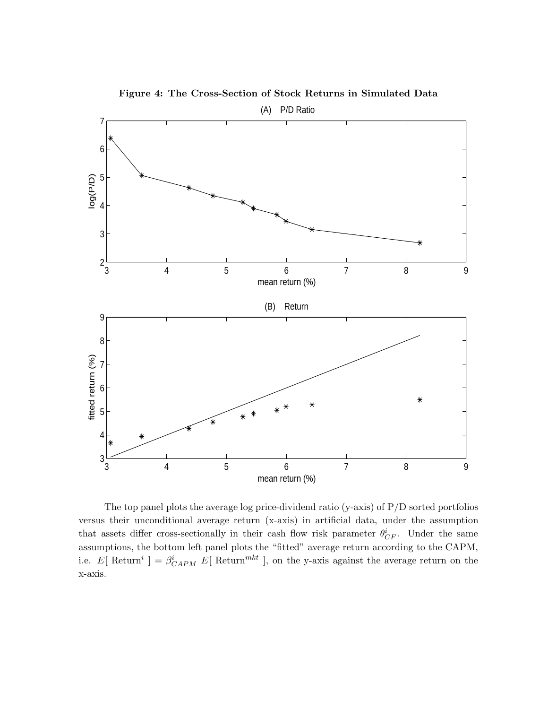

**Figure 4: The Cross-Section of Stock Returns in Simulated Data**

The top panel plots the average log price-dividend ratio (y-axis) of P/D sorted portfolios versus their unconditional average return (x-axis) in artificial data, under the assumption that assets differ cross-sectionally in their cash flow risk parameter  $\theta_{CF}^i$ . Under the same assumptions, the bottom left panel plots the "fitted" average return according to the CAPM, i.e. E[Return<sup>i</sup>] =  $\beta_{CAPM}^{i}$  E[Return<sup>mkt</sup>], on the y-axis against the average return on the x-axis.